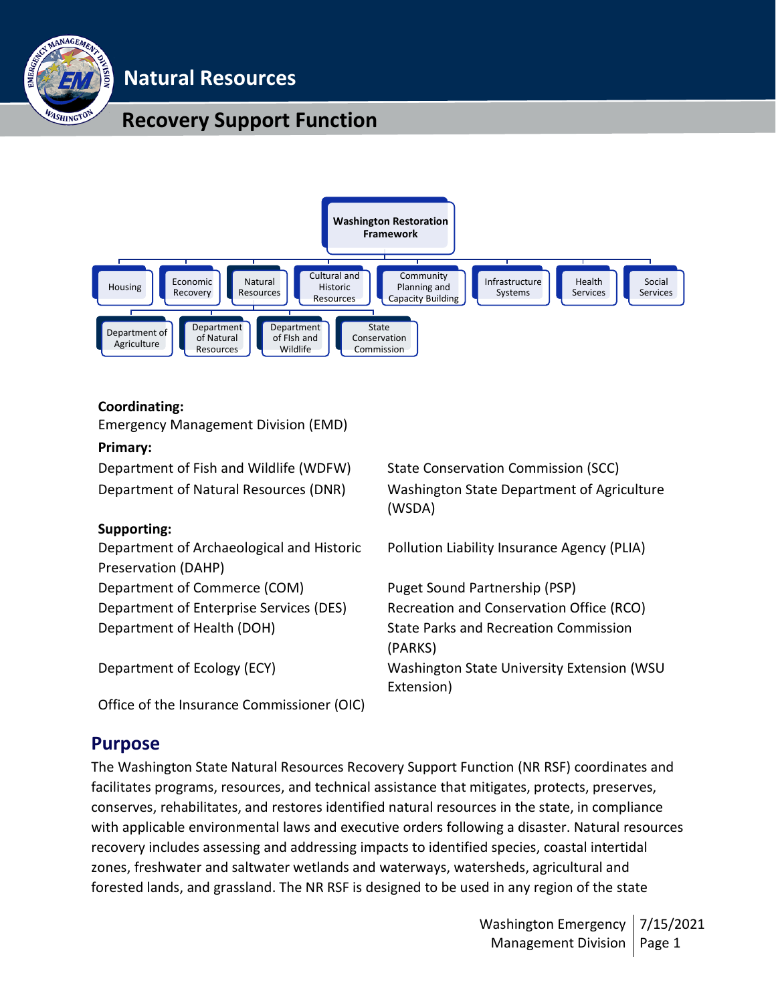

# **Natural Resources**

# **Recovery Support Function**



#### **Coordinating:**

Emergency Management Division (EMD)

#### **Primary:**

Department of Fish and Wildlife (WDFW) State Conservation Commission (SCC)

#### **Supporting:**

Department of Archaeological and Historic Preservation (DAHP) Department of Commerce (COM) Puget Sound Partnership (PSP) Department of Enterprise Services (DES) Recreation and Conservation Office (RCO) Department of Health (DOH) State Parks and Recreation Commission

Office of the Insurance Commissioner (OIC)

Department of Natural Resources (DNR) Washington State Department of Agriculture (WSDA)

Pollution Liability Insurance Agency (PLIA)

(PARKS) Department of Ecology (ECY) Washington State University Extension (WSU Extension)

## **Purpose**

The Washington State Natural Resources Recovery Support Function (NR RSF) coordinates and facilitates programs, resources, and technical assistance that mitigates, protects, preserves, conserves, rehabilitates, and restores identified natural resources in the state, in compliance with applicable environmental laws and executive orders following a disaster. Natural resources recovery includes assessing and addressing impacts to identified species, coastal intertidal zones, freshwater and saltwater wetlands and waterways, watersheds, agricultural and forested lands, and grassland. The NR RSF is designed to be used in any region of the state

> Washington Emergency Management Division | Page 1 7/15/2021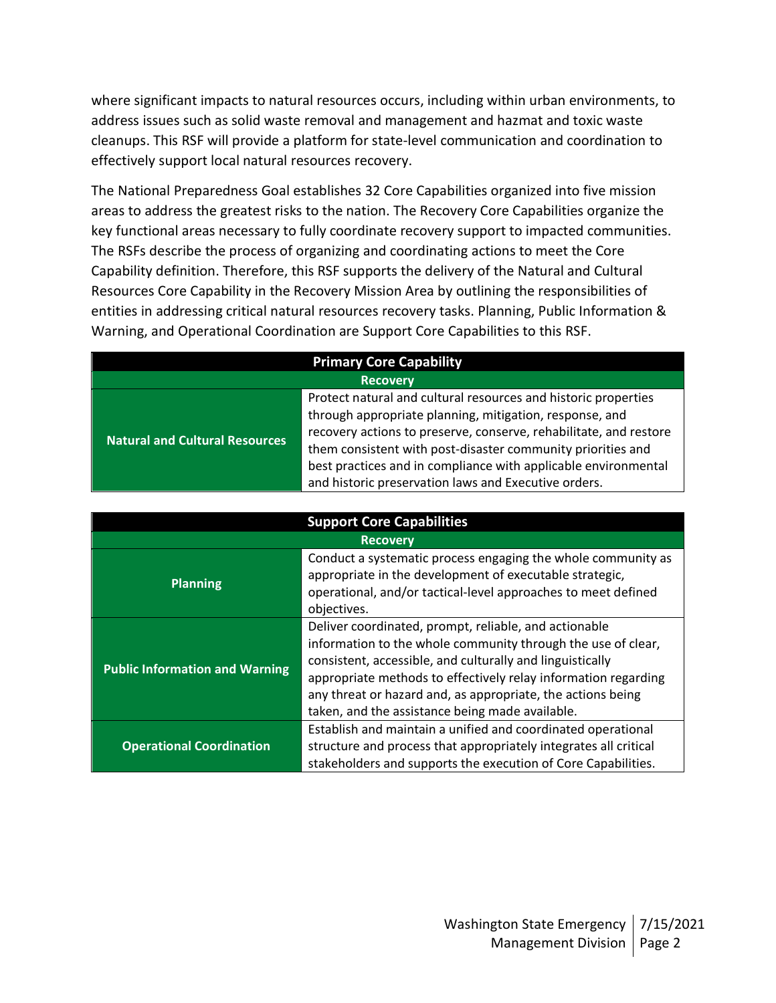where significant impacts to natural resources occurs, including within urban environments, to address issues such as solid waste removal and management and hazmat and toxic waste cleanups. This RSF will provide a platform for state-level communication and coordination to effectively support local natural resources recovery.

The National Preparedness Goal establishes 32 Core Capabilities organized into five mission areas to address the greatest risks to the nation. The Recovery Core Capabilities organize the key functional areas necessary to fully coordinate recovery support to impacted communities. The RSFs describe the process of organizing and coordinating actions to meet the Core Capability definition. Therefore, this RSF supports the delivery of the Natural and Cultural Resources Core Capability in the Recovery Mission Area by outlining the responsibilities of entities in addressing critical natural resources recovery tasks. Planning, Public Information & Warning, and Operational Coordination are Support Core Capabilities to this RSF.

| <b>Primary Core Capability</b>        |                                                                   |  |
|---------------------------------------|-------------------------------------------------------------------|--|
| <b>Recovery</b>                       |                                                                   |  |
| <b>Natural and Cultural Resources</b> | Protect natural and cultural resources and historic properties    |  |
|                                       | through appropriate planning, mitigation, response, and           |  |
|                                       | recovery actions to preserve, conserve, rehabilitate, and restore |  |
|                                       | them consistent with post-disaster community priorities and       |  |
|                                       | best practices and in compliance with applicable environmental    |  |
|                                       | and historic preservation laws and Executive orders.              |  |

| <b>Support Core Capabilities</b>      |                                                                                                                                                                                                                                                                                                                                                                        |  |  |
|---------------------------------------|------------------------------------------------------------------------------------------------------------------------------------------------------------------------------------------------------------------------------------------------------------------------------------------------------------------------------------------------------------------------|--|--|
| <b>Recovery</b>                       |                                                                                                                                                                                                                                                                                                                                                                        |  |  |
| <b>Planning</b>                       | Conduct a systematic process engaging the whole community as<br>appropriate in the development of executable strategic,<br>operational, and/or tactical-level approaches to meet defined<br>objectives.                                                                                                                                                                |  |  |
| <b>Public Information and Warning</b> | Deliver coordinated, prompt, reliable, and actionable<br>information to the whole community through the use of clear,<br>consistent, accessible, and culturally and linguistically<br>appropriate methods to effectively relay information regarding<br>any threat or hazard and, as appropriate, the actions being<br>taken, and the assistance being made available. |  |  |
| <b>Operational Coordination</b>       | Establish and maintain a unified and coordinated operational<br>structure and process that appropriately integrates all critical<br>stakeholders and supports the execution of Core Capabilities.                                                                                                                                                                      |  |  |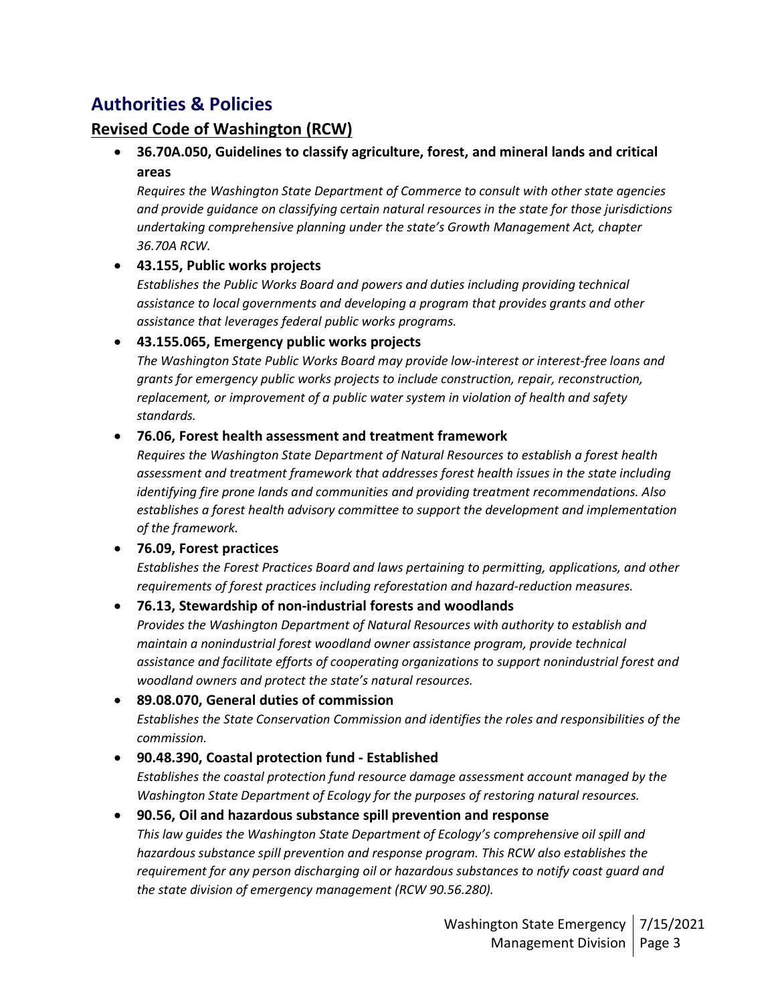# **Authorities & Policies**

## **Revised Code of Washington (RCW)**

• **36.70A.050, Guidelines to classify agriculture, forest, and mineral lands and critical areas**

*Requires the Washington State Department of Commerce to consult with other state agencies and provide guidance on classifying certain natural resources in the state for those jurisdictions undertaking comprehensive planning under the state's Growth Management Act, chapter 36.70A RCW.*

### • **43.155, Public works projects**

*Establishes the Public Works Board and powers and duties including providing technical assistance to local governments and developing a program that provides grants and other assistance that leverages federal public works programs.*

### • **43.155.065, Emergency public works projects**

*The Washington State Public Works Board may provide low-interest or interest-free loans and grants for emergency public works projects to include construction, repair, reconstruction, replacement, or improvement of a public water system in violation of health and safety standards.*

### • **76.06, Forest health assessment and treatment framework**

*Requires the Washington State Department of Natural Resources to establish a forest health assessment and treatment framework that addresses forest health issues in the state including identifying fire prone lands and communities and providing treatment recommendations. Also establishes a forest health advisory committee to support the development and implementation of the framework.*

### • **76.09, Forest practices**

*Establishes the Forest Practices Board and laws pertaining to permitting, applications, and other requirements of forest practices including reforestation and hazard-reduction measures.*

### • **76.13, Stewardship of non-industrial forests and woodlands**

*Provides the Washington Department of Natural Resources with authority to establish and maintain a nonindustrial forest woodland owner assistance program, provide technical assistance and facilitate efforts of cooperating organizations to support nonindustrial forest and woodland owners and protect the state's natural resources.*

### • **89.08.070, General duties of commission**

*Establishes the State Conservation Commission and identifies the roles and responsibilities of the commission.*

### • **90.48.390, Coastal protection fund - Established**

*Establishes the coastal protection fund resource damage assessment account managed by the Washington State Department of Ecology for the purposes of restoring natural resources.*

### • **90.56, Oil and hazardous substance spill prevention and response**

*This law guides the Washington State Department of Ecology's comprehensive oil spill and hazardous substance spill prevention and response program. This RCW also establishes the requirement for any person discharging oil or hazardous substances to notify coast guard and the state division of emergency management (RCW 90.56.280).*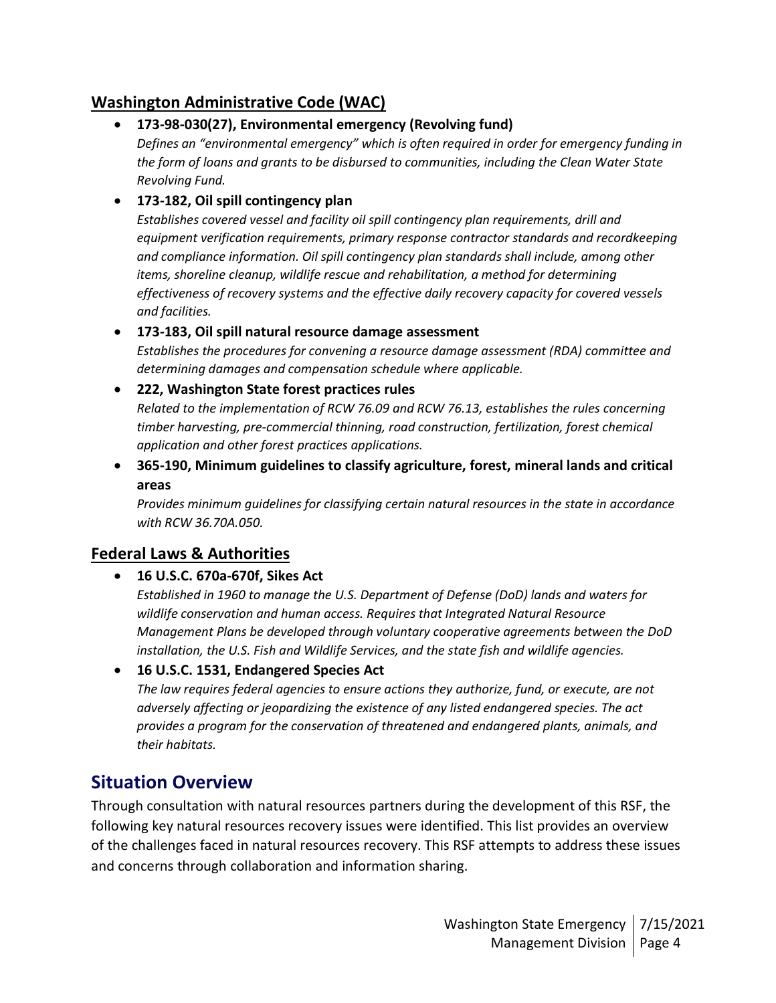## **Washington Administrative Code (WAC)**

• **173-98-030(27), Environmental emergency (Revolving fund)**

*Defines an "environmental emergency" which is often required in order for emergency funding in the form of loans and grants to be disbursed to communities, including the Clean Water State Revolving Fund.*

### • **173-182, Oil spill contingency plan**

*Establishes covered vessel and facility oil spill contingency plan requirements, drill and equipment verification requirements, primary response contractor standards and recordkeeping and compliance information. Oil spill contingency plan standards shall include, among other items, shoreline cleanup, wildlife rescue and rehabilitation, a method for determining effectiveness of recovery systems and the effective daily recovery capacity for covered vessels and facilities.*

### • **173-183, Oil spill natural resource damage assessment**

*Establishes the procedures for convening a resource damage assessment (RDA) committee and determining damages and compensation schedule where applicable.*

#### • **222, Washington State forest practices rules**

*Related to the implementation of RCW 76.09 and RCW 76.13, establishes the rules concerning timber harvesting, pre-commercial thinning, road construction, fertilization, forest chemical application and other forest practices applications.*

### • **365-190, Minimum guidelines to classify agriculture, forest, mineral lands and critical areas**

*Provides minimum guidelines for classifying certain natural resources in the state in accordance with RCW 36.70A.050.*

### **Federal Laws & Authorities**

• **16 U.S.C. 670a-670f, Sikes Act**

*Established in 1960 to manage the U.S. Department of Defense (DoD) lands and waters for wildlife conservation and human access. Requires that Integrated Natural Resource Management Plans be developed through voluntary cooperative agreements between the DoD installation, the U.S. Fish and Wildlife Services, and the state fish and wildlife agencies.*

• **16 U.S.C. 1531, Endangered Species Act**

*The law requires federal agencies to ensure actions they authorize, fund, or execute, are not adversely affecting or jeopardizing the existence of any listed endangered species. The act provides a program for the conservation of threatened and endangered plants, animals, and their habitats.*

## **Situation Overview**

Through consultation with natural resources partners during the development of this RSF, the following key natural resources recovery issues were identified. This list provides an overview of the challenges faced in natural resources recovery. This RSF attempts to address these issues and concerns through collaboration and information sharing.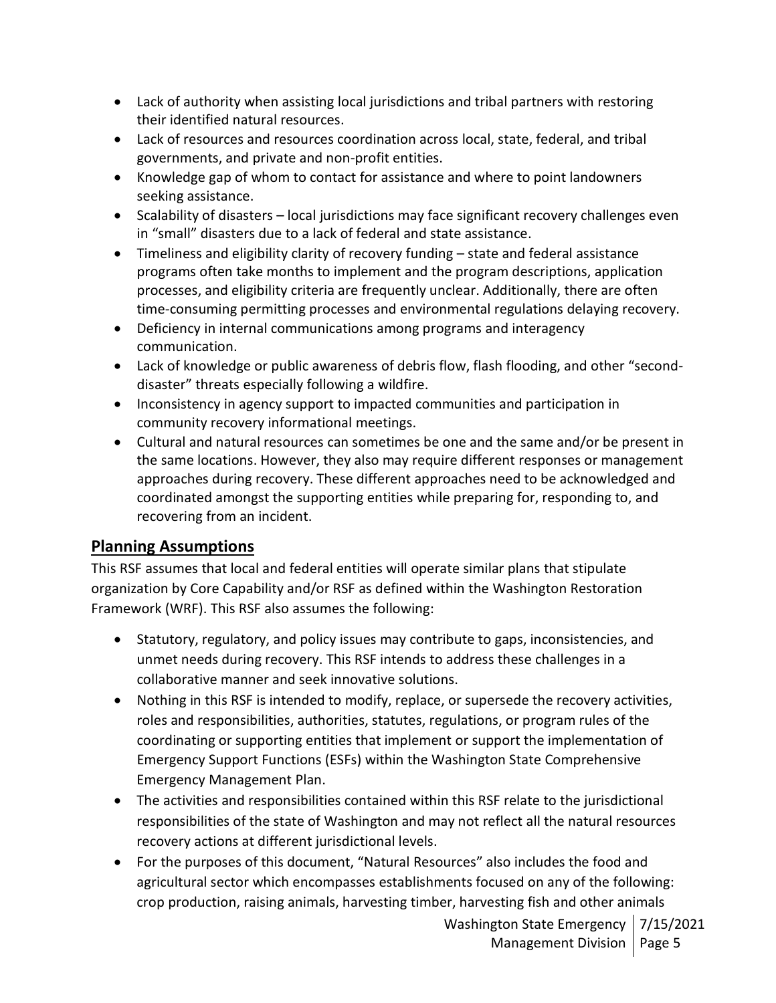- Lack of authority when assisting local jurisdictions and tribal partners with restoring their identified natural resources.
- Lack of resources and resources coordination across local, state, federal, and tribal governments, and private and non-profit entities.
- Knowledge gap of whom to contact for assistance and where to point landowners seeking assistance.
- Scalability of disasters local jurisdictions may face significant recovery challenges even in "small" disasters due to a lack of federal and state assistance.
- Timeliness and eligibility clarity of recovery funding state and federal assistance programs often take months to implement and the program descriptions, application processes, and eligibility criteria are frequently unclear. Additionally, there are often time-consuming permitting processes and environmental regulations delaying recovery.
- Deficiency in internal communications among programs and interagency communication.
- Lack of knowledge or public awareness of debris flow, flash flooding, and other "seconddisaster" threats especially following a wildfire.
- Inconsistency in agency support to impacted communities and participation in community recovery informational meetings.
- Cultural and natural resources can sometimes be one and the same and/or be present in the same locations. However, they also may require different responses or management approaches during recovery. These different approaches need to be acknowledged and coordinated amongst the supporting entities while preparing for, responding to, and recovering from an incident.

## **Planning Assumptions**

This RSF assumes that local and federal entities will operate similar plans that stipulate organization by Core Capability and/or RSF as defined within the Washington Restoration Framework (WRF). This RSF also assumes the following:

- Statutory, regulatory, and policy issues may contribute to gaps, inconsistencies, and unmet needs during recovery. This RSF intends to address these challenges in a collaborative manner and seek innovative solutions.
- Nothing in this RSF is intended to modify, replace, or supersede the recovery activities, roles and responsibilities, authorities, statutes, regulations, or program rules of the coordinating or supporting entities that implement or support the implementation of Emergency Support Functions (ESFs) within the Washington State Comprehensive Emergency Management Plan.
- The activities and responsibilities contained within this RSF relate to the jurisdictional responsibilities of the state of Washington and may not reflect all the natural resources recovery actions at different jurisdictional levels.
- For the purposes of this document, "Natural Resources" also includes the food and agricultural sector which encompasses establishments focused on any of the following: crop production, raising animals, harvesting timber, harvesting fish and other animals

Washington State Emergency | 7/15/2021 Management Division | Page 5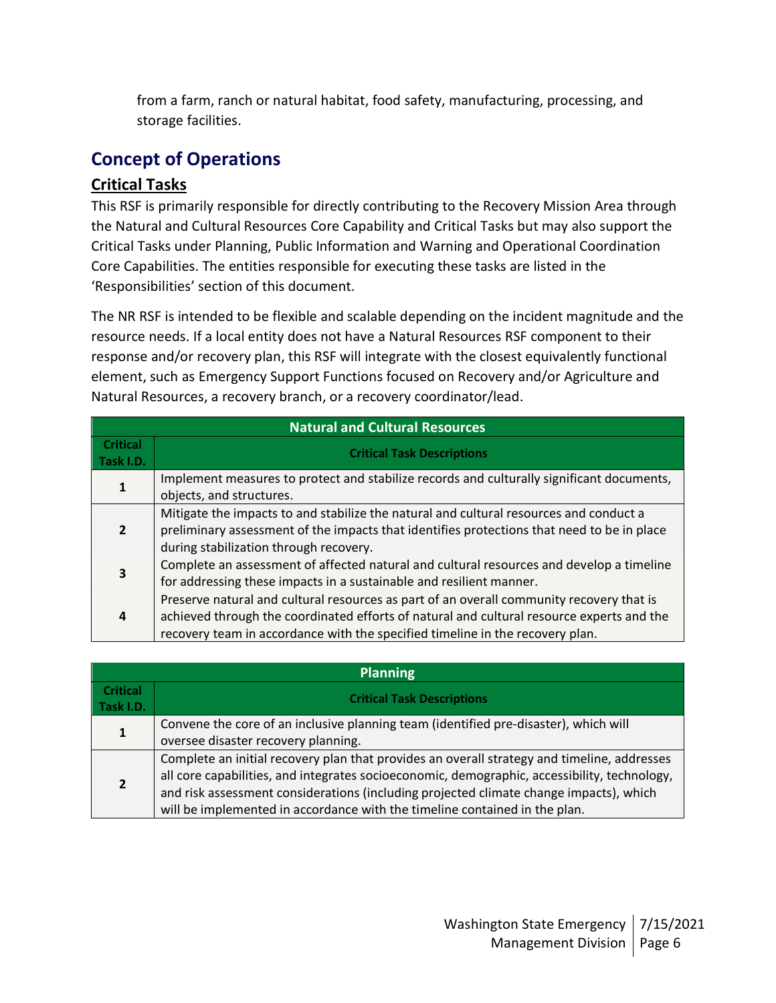from a farm, ranch or natural habitat, food safety, manufacturing, processing, and storage facilities.

# **Concept of Operations**

## **Critical Tasks**

This RSF is primarily responsible for directly contributing to the Recovery Mission Area through the Natural and Cultural Resources Core Capability and Critical Tasks but may also support the Critical Tasks under Planning, Public Information and Warning and Operational Coordination Core Capabilities. The entities responsible for executing these tasks are listed in the 'Responsibilities' section of this document.

The NR RSF is intended to be flexible and scalable depending on the incident magnitude and the resource needs. If a local entity does not have a Natural Resources RSF component to their response and/or recovery plan, this RSF will integrate with the closest equivalently functional element, such as Emergency Support Functions focused on Recovery and/or Agriculture and Natural Resources, a recovery branch, or a recovery coordinator/lead.

| <b>Natural and Cultural Resources</b> |                                                                                                                                                                                                                                                                        |  |
|---------------------------------------|------------------------------------------------------------------------------------------------------------------------------------------------------------------------------------------------------------------------------------------------------------------------|--|
| <b>Critical</b><br>Task I.D.          | <b>Critical Task Descriptions</b>                                                                                                                                                                                                                                      |  |
|                                       | Implement measures to protect and stabilize records and culturally significant documents,<br>objects, and structures.                                                                                                                                                  |  |
| $\overline{2}$                        | Mitigate the impacts to and stabilize the natural and cultural resources and conduct a<br>preliminary assessment of the impacts that identifies protections that need to be in place<br>during stabilization through recovery.                                         |  |
| 3                                     | Complete an assessment of affected natural and cultural resources and develop a timeline<br>for addressing these impacts in a sustainable and resilient manner.                                                                                                        |  |
| 4                                     | Preserve natural and cultural resources as part of an overall community recovery that is<br>achieved through the coordinated efforts of natural and cultural resource experts and the<br>recovery team in accordance with the specified timeline in the recovery plan. |  |

| <b>Planning</b>              |                                                                                                                                                                                                                                                                                                                                                                     |  |  |
|------------------------------|---------------------------------------------------------------------------------------------------------------------------------------------------------------------------------------------------------------------------------------------------------------------------------------------------------------------------------------------------------------------|--|--|
| <b>Critical</b><br>Task I.D. | <b>Critical Task Descriptions</b>                                                                                                                                                                                                                                                                                                                                   |  |  |
| 1                            | Convene the core of an inclusive planning team (identified pre-disaster), which will<br>oversee disaster recovery planning.                                                                                                                                                                                                                                         |  |  |
|                              | Complete an initial recovery plan that provides an overall strategy and timeline, addresses<br>all core capabilities, and integrates socioeconomic, demographic, accessibility, technology,<br>and risk assessment considerations (including projected climate change impacts), which<br>will be implemented in accordance with the timeline contained in the plan. |  |  |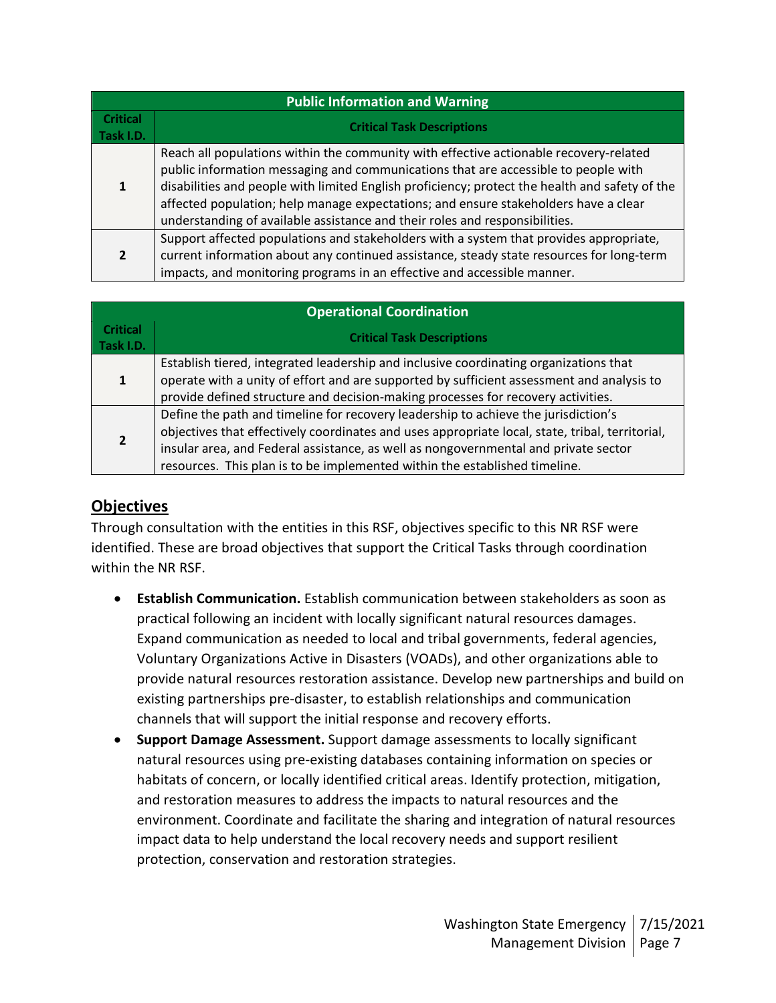| <b>Public Information and Warning</b> |                                                                                                                                                                                                                                                                                                                                                                                                                                                     |  |
|---------------------------------------|-----------------------------------------------------------------------------------------------------------------------------------------------------------------------------------------------------------------------------------------------------------------------------------------------------------------------------------------------------------------------------------------------------------------------------------------------------|--|
| Critical<br>Task I.D.                 | <b>Critical Task Descriptions</b>                                                                                                                                                                                                                                                                                                                                                                                                                   |  |
|                                       | Reach all populations within the community with effective actionable recovery-related<br>public information messaging and communications that are accessible to people with<br>disabilities and people with limited English proficiency; protect the health and safety of the<br>affected population; help manage expectations; and ensure stakeholders have a clear<br>understanding of available assistance and their roles and responsibilities. |  |
| $\overline{2}$                        | Support affected populations and stakeholders with a system that provides appropriate,<br>current information about any continued assistance, steady state resources for long-term<br>impacts, and monitoring programs in an effective and accessible manner.                                                                                                                                                                                       |  |

| <b>Operational Coordination</b> |                                                                                                                                                                                                                                                                                                                                                            |  |
|---------------------------------|------------------------------------------------------------------------------------------------------------------------------------------------------------------------------------------------------------------------------------------------------------------------------------------------------------------------------------------------------------|--|
| <b>Critical</b><br>Task I.D.    | <b>Critical Task Descriptions</b>                                                                                                                                                                                                                                                                                                                          |  |
|                                 | Establish tiered, integrated leadership and inclusive coordinating organizations that<br>operate with a unity of effort and are supported by sufficient assessment and analysis to<br>provide defined structure and decision-making processes for recovery activities.                                                                                     |  |
|                                 | Define the path and timeline for recovery leadership to achieve the jurisdiction's<br>objectives that effectively coordinates and uses appropriate local, state, tribal, territorial,<br>insular area, and Federal assistance, as well as nongovernmental and private sector<br>resources. This plan is to be implemented within the established timeline. |  |

## **Objectives**

Through consultation with the entities in this RSF, objectives specific to this NR RSF were identified. These are broad objectives that support the Critical Tasks through coordination within the NR RSF.

- **Establish Communication.** Establish communication between stakeholders as soon as practical following an incident with locally significant natural resources damages. Expand communication as needed to local and tribal governments, federal agencies, Voluntary Organizations Active in Disasters (VOADs), and other organizations able to provide natural resources restoration assistance. Develop new partnerships and build on existing partnerships pre-disaster, to establish relationships and communication channels that will support the initial response and recovery efforts.
- **Support Damage Assessment.** Support damage assessments to locally significant natural resources using pre-existing databases containing information on species or habitats of concern, or locally identified critical areas. Identify protection, mitigation, and restoration measures to address the impacts to natural resources and the environment. Coordinate and facilitate the sharing and integration of natural resources impact data to help understand the local recovery needs and support resilient protection, conservation and restoration strategies.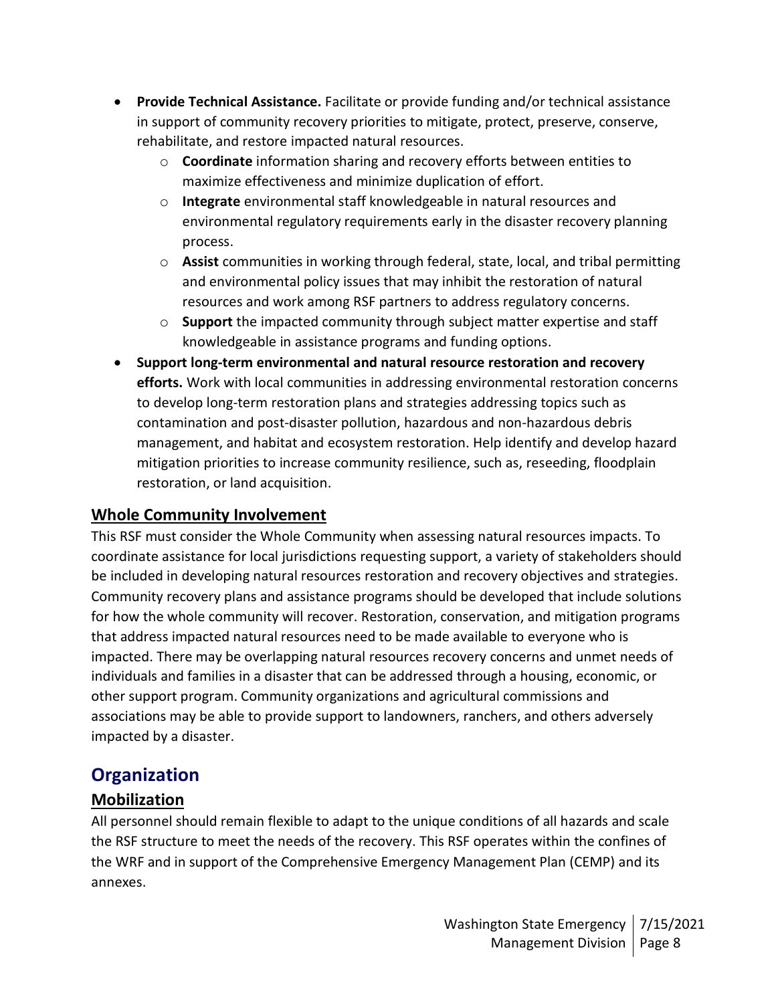- **Provide Technical Assistance.** Facilitate or provide funding and/or technical assistance in support of community recovery priorities to mitigate, protect, preserve, conserve, rehabilitate, and restore impacted natural resources.
	- o **Coordinate** information sharing and recovery efforts between entities to maximize effectiveness and minimize duplication of effort.
	- o **Integrate** environmental staff knowledgeable in natural resources and environmental regulatory requirements early in the disaster recovery planning process.
	- o **Assist** communities in working through federal, state, local, and tribal permitting and environmental policy issues that may inhibit the restoration of natural resources and work among RSF partners to address regulatory concerns.
	- o **Support** the impacted community through subject matter expertise and staff knowledgeable in assistance programs and funding options.
- **Support long-term environmental and natural resource restoration and recovery efforts.** Work with local communities in addressing environmental restoration concerns to develop long-term restoration plans and strategies addressing topics such as contamination and post-disaster pollution, hazardous and non-hazardous debris management, and habitat and ecosystem restoration. Help identify and develop hazard mitigation priorities to increase community resilience, such as, reseeding, floodplain restoration, or land acquisition.

## **Whole Community Involvement**

This RSF must consider the Whole Community when assessing natural resources impacts. To coordinate assistance for local jurisdictions requesting support, a variety of stakeholders should be included in developing natural resources restoration and recovery objectives and strategies. Community recovery plans and assistance programs should be developed that include solutions for how the whole community will recover. Restoration, conservation, and mitigation programs that address impacted natural resources need to be made available to everyone who is impacted. There may be overlapping natural resources recovery concerns and unmet needs of individuals and families in a disaster that can be addressed through a housing, economic, or other support program. Community organizations and agricultural commissions and associations may be able to provide support to landowners, ranchers, and others adversely impacted by a disaster.

# **Organization**

## **Mobilization**

All personnel should remain flexible to adapt to the unique conditions of all hazards and scale the RSF structure to meet the needs of the recovery. This RSF operates within the confines of the WRF and in support of the Comprehensive Emergency Management Plan (CEMP) and its annexes.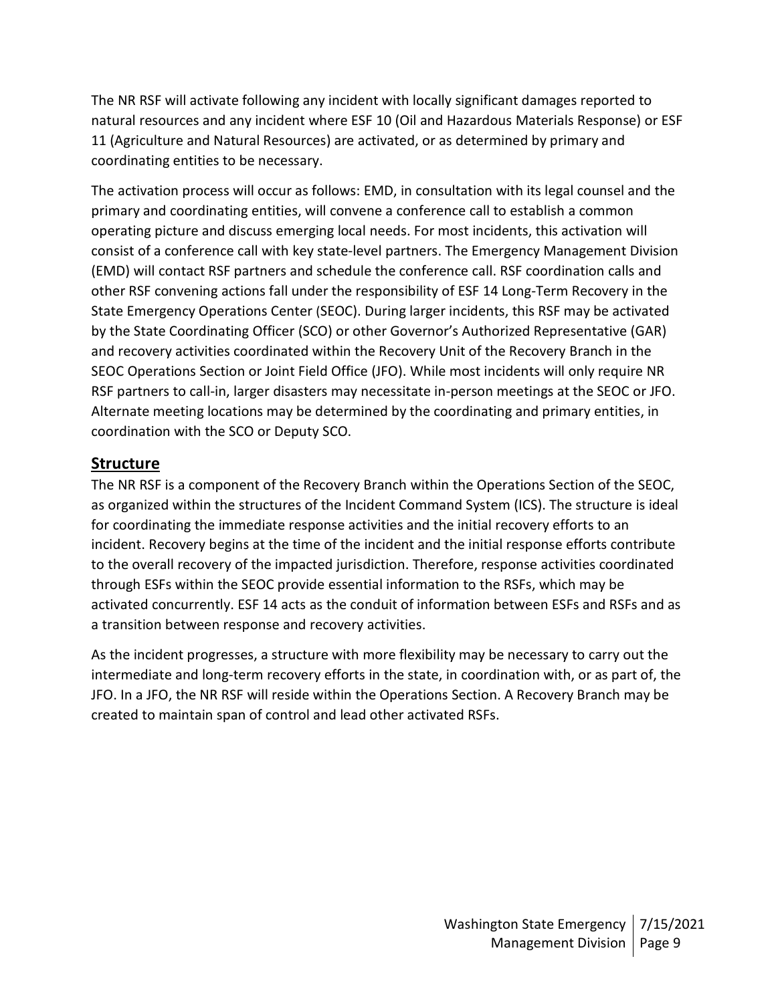The NR RSF will activate following any incident with locally significant damages reported to natural resources and any incident where ESF 10 (Oil and Hazardous Materials Response) or ESF 11 (Agriculture and Natural Resources) are activated, or as determined by primary and coordinating entities to be necessary.

The activation process will occur as follows: EMD, in consultation with its legal counsel and the primary and coordinating entities, will convene a conference call to establish a common operating picture and discuss emerging local needs. For most incidents, this activation will consist of a conference call with key state-level partners. The Emergency Management Division (EMD) will contact RSF partners and schedule the conference call. RSF coordination calls and other RSF convening actions fall under the responsibility of ESF 14 Long-Term Recovery in the State Emergency Operations Center (SEOC). During larger incidents, this RSF may be activated by the State Coordinating Officer (SCO) or other Governor's Authorized Representative (GAR) and recovery activities coordinated within the Recovery Unit of the Recovery Branch in the SEOC Operations Section or Joint Field Office (JFO). While most incidents will only require NR RSF partners to call-in, larger disasters may necessitate in-person meetings at the SEOC or JFO. Alternate meeting locations may be determined by the coordinating and primary entities, in coordination with the SCO or Deputy SCO.

## **Structure**

The NR RSF is a component of the Recovery Branch within the Operations Section of the SEOC, as organized within the structures of the Incident Command System (ICS). The structure is ideal for coordinating the immediate response activities and the initial recovery efforts to an incident. Recovery begins at the time of the incident and the initial response efforts contribute to the overall recovery of the impacted jurisdiction. Therefore, response activities coordinated through ESFs within the SEOC provide essential information to the RSFs, which may be activated concurrently. ESF 14 acts as the conduit of information between ESFs and RSFs and as a transition between response and recovery activities.

As the incident progresses, a structure with more flexibility may be necessary to carry out the intermediate and long-term recovery efforts in the state, in coordination with, or as part of, the JFO. In a JFO, the NR RSF will reside within the Operations Section. A Recovery Branch may be created to maintain span of control and lead other activated RSFs.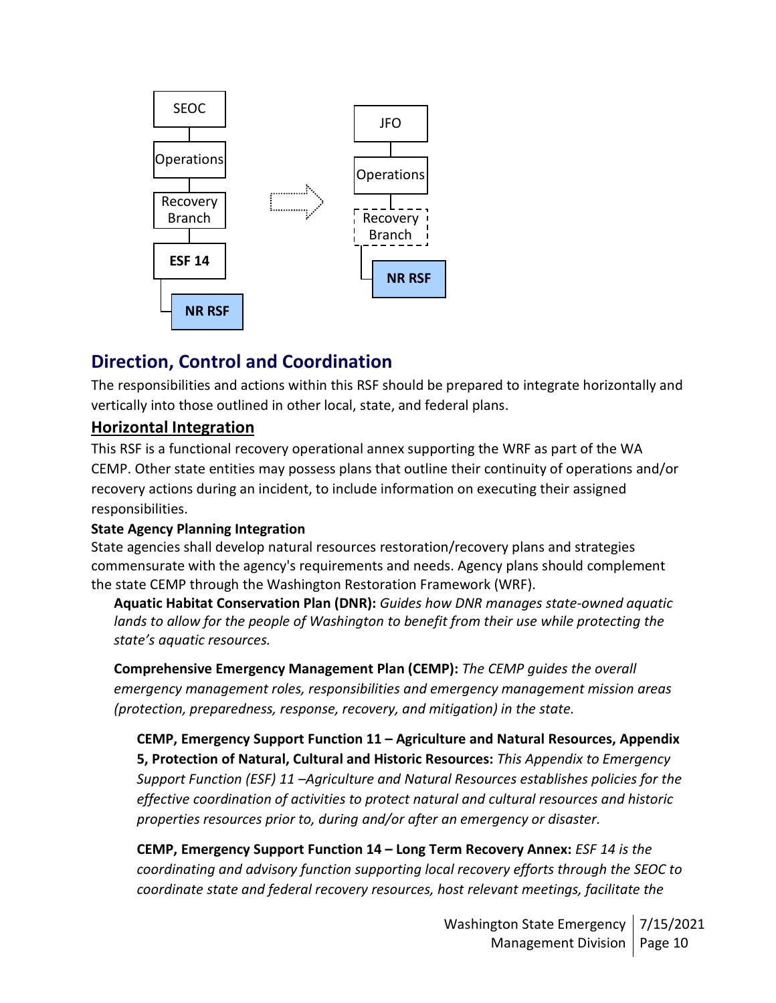

# **Direction, Control and Coordination**

The responsibilities and actions within this RSF should be prepared to integrate horizontally and vertically into those outlined in other local, state, and federal plans.

## **Horizontal Integration**

This RSF is a functional recovery operational annex supporting the WRF as part of the WA CEMP. Other state entities may possess plans that outline their continuity of operations and/or recovery actions during an incident, to include information on executing their assigned responsibilities.

### **State Agency Planning Integration**

State agencies shall develop natural resources restoration/recovery plans and strategies commensurate with the agency's requirements and needs. Agency plans should complement the state CEMP through the Washington Restoration Framework (WRF).

**Aquatic Habitat Conservation Plan (DNR):** *Guides how DNR manages state-owned aquatic*  lands to allow for the people of Washington to benefit from their use while protecting the *state's aquatic resources.*

**Comprehensive Emergency Management Plan (CEMP):** *The CEMP guides the overall emergency management roles, responsibilities and emergency management mission areas (protection, preparedness, response, recovery, and mitigation) in the state.*

**CEMP, Emergency Support Function 11 – Agriculture and Natural Resources, Appendix 5, Protection of Natural, Cultural and Historic Resources:** *This Appendix to Emergency Support Function (ESF) 11 –Agriculture and Natural Resources establishes policies for the effective coordination of activities to protect natural and cultural resources and historic properties resources prior to, during and/or after an emergency or disaster.*

**CEMP, Emergency Support Function 14 – Long Term Recovery Annex:** *ESF 14 is the coordinating and advisory function supporting local recovery efforts through the SEOC to coordinate state and federal recovery resources, host relevant meetings, facilitate the*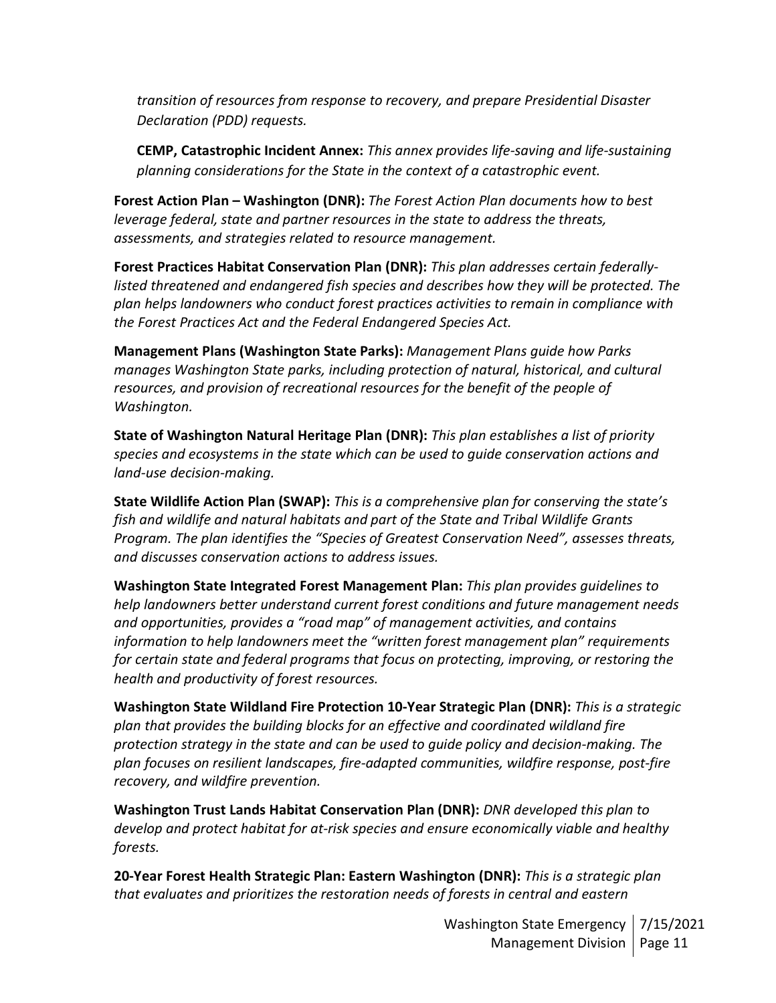*transition of resources from response to recovery, and prepare Presidential Disaster Declaration (PDD) requests.*

**CEMP, Catastrophic Incident Annex:** *This annex provides life-saving and life-sustaining planning considerations for the State in the context of a catastrophic event.*

**Forest Action Plan – Washington (DNR):** *The Forest Action Plan documents how to best leverage federal, state and partner resources in the state to address the threats, assessments, and strategies related to resource management.*

**Forest Practices Habitat Conservation Plan (DNR):** *This plan addresses certain federally*listed threatened and endangered fish species and describes how they will be protected. The *plan helps landowners who conduct forest practices activities to remain in compliance with the Forest Practices Act and the Federal Endangered Species Act.*

**Management Plans (Washington State Parks):** *Management Plans guide how Parks manages Washington State parks, including protection of natural, historical, and cultural resources, and provision of recreational resources for the benefit of the people of Washington.*

**State of Washington Natural Heritage Plan (DNR):** *This plan establishes a list of priority species and ecosystems in the state which can be used to guide conservation actions and land-use decision-making.*

**State Wildlife Action Plan (SWAP):** *This is a comprehensive plan for conserving the state's fish and wildlife and natural habitats and part of the State and Tribal Wildlife Grants Program. The plan identifies the "Species of Greatest Conservation Need", assesses threats, and discusses conservation actions to address issues.*

**Washington State Integrated Forest Management Plan:** *This plan provides guidelines to help landowners better understand current forest conditions and future management needs and opportunities, provides a "road map" of management activities, and contains information to help landowners meet the "written forest management plan" requirements for certain state and federal programs that focus on protecting, improving, or restoring the health and productivity of forest resources.*

**Washington State Wildland Fire Protection 10-Year Strategic Plan (DNR):** *This is a strategic plan that provides the building blocks for an effective and coordinated wildland fire protection strategy in the state and can be used to guide policy and decision-making. The plan focuses on resilient landscapes, fire-adapted communities, wildfire response, post-fire recovery, and wildfire prevention.*

**Washington Trust Lands Habitat Conservation Plan (DNR):** *DNR developed this plan to develop and protect habitat for at-risk species and ensure economically viable and healthy forests.*

**20-Year Forest Health Strategic Plan: Eastern Washington (DNR):** *This is a strategic plan that evaluates and prioritizes the restoration needs of forests in central and eastern* 

> Washington State Emergency | 7/15/2021 Management Division | Page 11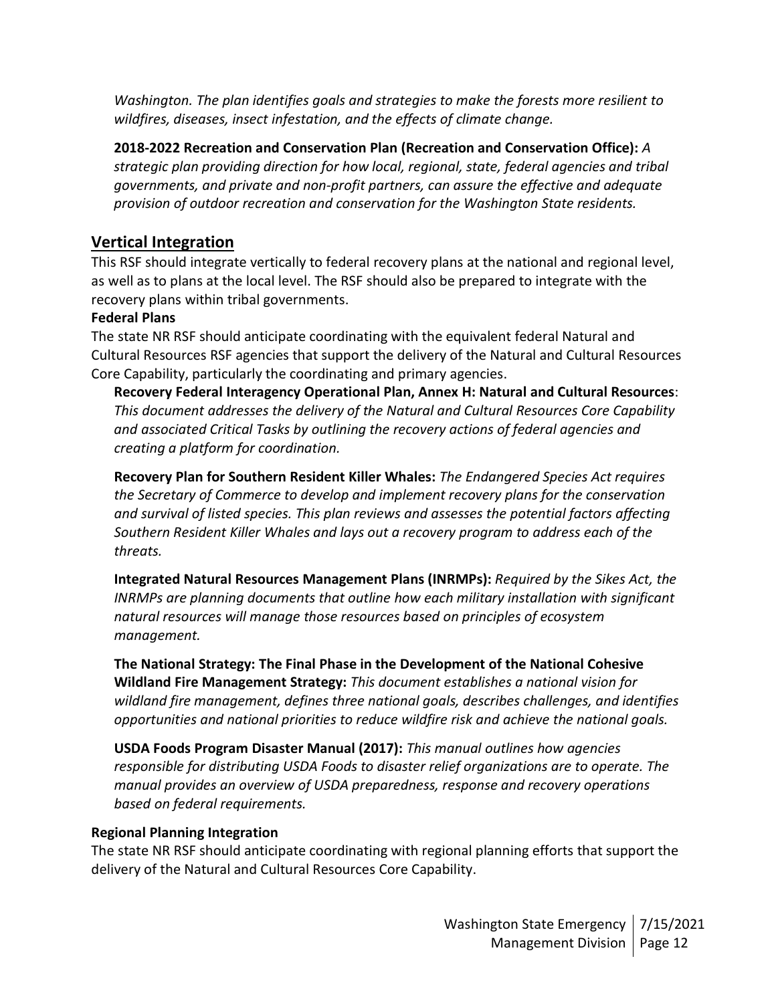*Washington. The plan identifies goals and strategies to make the forests more resilient to wildfires, diseases, insect infestation, and the effects of climate change.*

**2018-2022 Recreation and Conservation Plan (Recreation and Conservation Office):** *A strategic plan providing direction for how local, regional, state, federal agencies and tribal governments, and private and non-profit partners, can assure the effective and adequate provision of outdoor recreation and conservation for the Washington State residents.*

## **Vertical Integration**

This RSF should integrate vertically to federal recovery plans at the national and regional level, as well as to plans at the local level. The RSF should also be prepared to integrate with the recovery plans within tribal governments.

### **Federal Plans**

The state NR RSF should anticipate coordinating with the equivalent federal Natural and Cultural Resources RSF agencies that support the delivery of the Natural and Cultural Resources Core Capability, particularly the coordinating and primary agencies.

**Recovery Federal Interagency Operational Plan, Annex H: Natural and Cultural Resources**: *This document addresses the delivery of the Natural and Cultural Resources Core Capability and associated Critical Tasks by outlining the recovery actions of federal agencies and creating a platform for coordination.*

**Recovery Plan for Southern Resident Killer Whales:** *The Endangered Species Act requires the Secretary of Commerce to develop and implement recovery plans for the conservation and survival of listed species. This plan reviews and assesses the potential factors affecting Southern Resident Killer Whales and lays out a recovery program to address each of the threats.*

**Integrated Natural Resources Management Plans (INRMPs):** *Required by the Sikes Act, the INRMPs are planning documents that outline how each military installation with significant natural resources will manage those resources based on principles of ecosystem management.*

**The National Strategy: The Final Phase in the Development of the National Cohesive Wildland Fire Management Strategy:** *This document establishes a national vision for wildland fire management, defines three national goals, describes challenges, and identifies opportunities and national priorities to reduce wildfire risk and achieve the national goals.*

**USDA Foods Program Disaster Manual (2017):** *This manual outlines how agencies responsible for distributing USDA Foods to disaster relief organizations are to operate. The manual provides an overview of USDA preparedness, response and recovery operations based on federal requirements.*

### **Regional Planning Integration**

The state NR RSF should anticipate coordinating with regional planning efforts that support the delivery of the Natural and Cultural Resources Core Capability.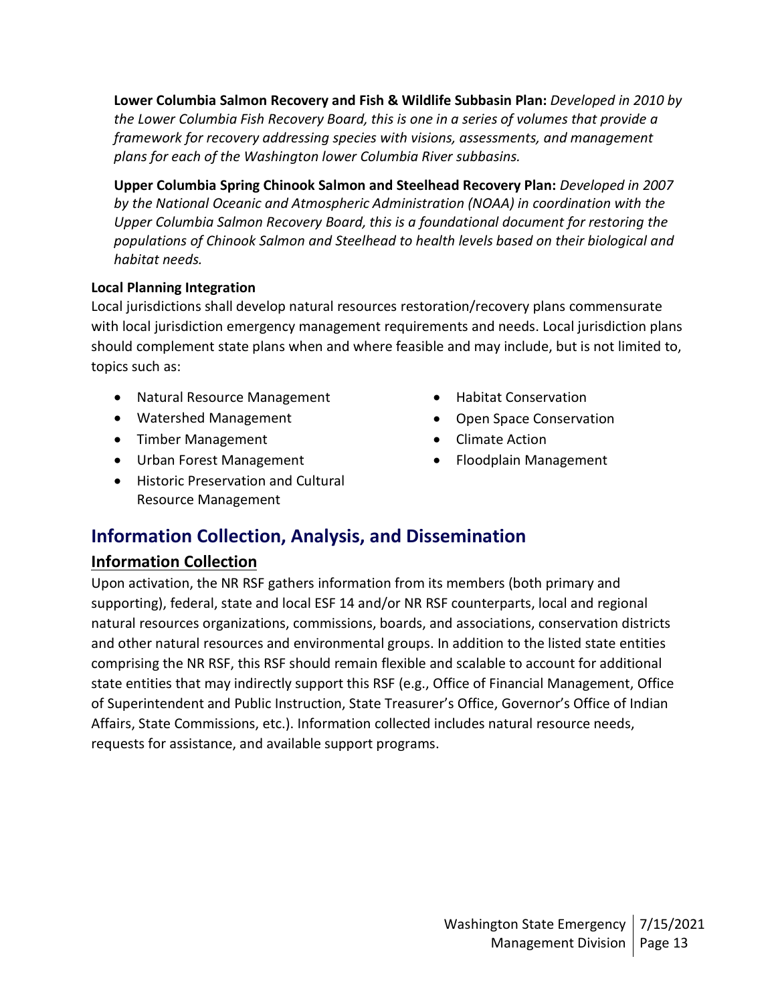**Lower Columbia Salmon Recovery and Fish & Wildlife Subbasin Plan:** *Developed in 2010 by the Lower Columbia Fish Recovery Board, this is one in a series of volumes that provide a framework for recovery addressing species with visions, assessments, and management plans for each of the Washington lower Columbia River subbasins.*

**Upper Columbia Spring Chinook Salmon and Steelhead Recovery Plan:** *Developed in 2007 by the National Oceanic and Atmospheric Administration (NOAA) in coordination with the Upper Columbia Salmon Recovery Board, this is a foundational document for restoring the populations of Chinook Salmon and Steelhead to health levels based on their biological and habitat needs.*

### **Local Planning Integration**

Local jurisdictions shall develop natural resources restoration/recovery plans commensurate with local jurisdiction emergency management requirements and needs. Local jurisdiction plans should complement state plans when and where feasible and may include, but is not limited to, topics such as:

- Natural Resource Management
- Watershed Management
- Timber Management
- Urban Forest Management
- Historic Preservation and Cultural Resource Management
- Habitat Conservation
- Open Space Conservation
- Climate Action
- Floodplain Management

## **Information Collection, Analysis, and Dissemination**

### **Information Collection**

Upon activation, the NR RSF gathers information from its members (both primary and supporting), federal, state and local ESF 14 and/or NR RSF counterparts, local and regional natural resources organizations, commissions, boards, and associations, conservation districts and other natural resources and environmental groups. In addition to the listed state entities comprising the NR RSF, this RSF should remain flexible and scalable to account for additional state entities that may indirectly support this RSF (e.g., Office of Financial Management, Office of Superintendent and Public Instruction, State Treasurer's Office, Governor's Office of Indian Affairs, State Commissions, etc.). Information collected includes natural resource needs, requests for assistance, and available support programs.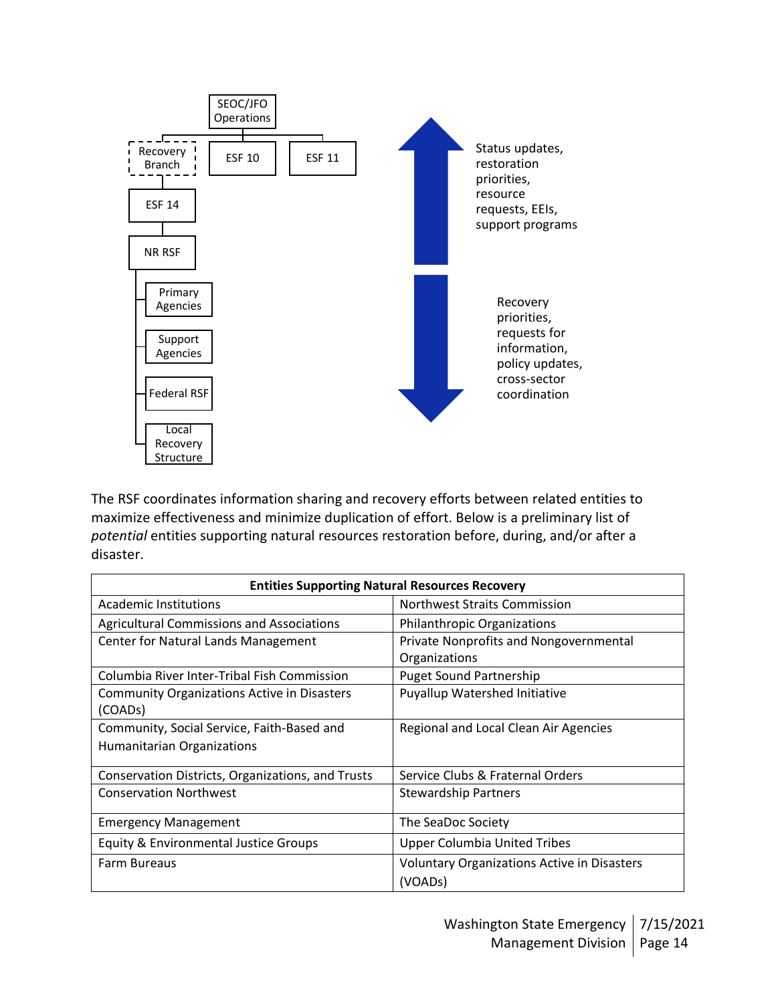

The RSF coordinates information sharing and recovery efforts between related entities to maximize effectiveness and minimize duplication of effort. Below is a preliminary list of *potential* entities supporting natural resources restoration before, during, and/or after a disaster.

| <b>Entities Supporting Natural Resources Recovery</b> |                                             |  |  |  |
|-------------------------------------------------------|---------------------------------------------|--|--|--|
| Academic Institutions                                 | <b>Northwest Straits Commission</b>         |  |  |  |
| <b>Agricultural Commissions and Associations</b>      | <b>Philanthropic Organizations</b>          |  |  |  |
| Center for Natural Lands Management                   | Private Nonprofits and Nongovernmental      |  |  |  |
|                                                       | Organizations                               |  |  |  |
| Columbia River Inter-Tribal Fish Commission           | <b>Puget Sound Partnership</b>              |  |  |  |
| <b>Community Organizations Active in Disasters</b>    | Puyallup Watershed Initiative               |  |  |  |
| (COAD <sub>s</sub> )                                  |                                             |  |  |  |
| Community, Social Service, Faith-Based and            | Regional and Local Clean Air Agencies       |  |  |  |
| <b>Humanitarian Organizations</b>                     |                                             |  |  |  |
| Conservation Districts, Organizations, and Trusts     | Service Clubs & Fraternal Orders            |  |  |  |
| <b>Conservation Northwest</b>                         | <b>Stewardship Partners</b>                 |  |  |  |
| <b>Emergency Management</b>                           | The SeaDoc Society                          |  |  |  |
| Equity & Environmental Justice Groups                 | <b>Upper Columbia United Tribes</b>         |  |  |  |
| <b>Farm Bureaus</b>                                   | Voluntary Organizations Active in Disasters |  |  |  |
|                                                       | (VOADs)                                     |  |  |  |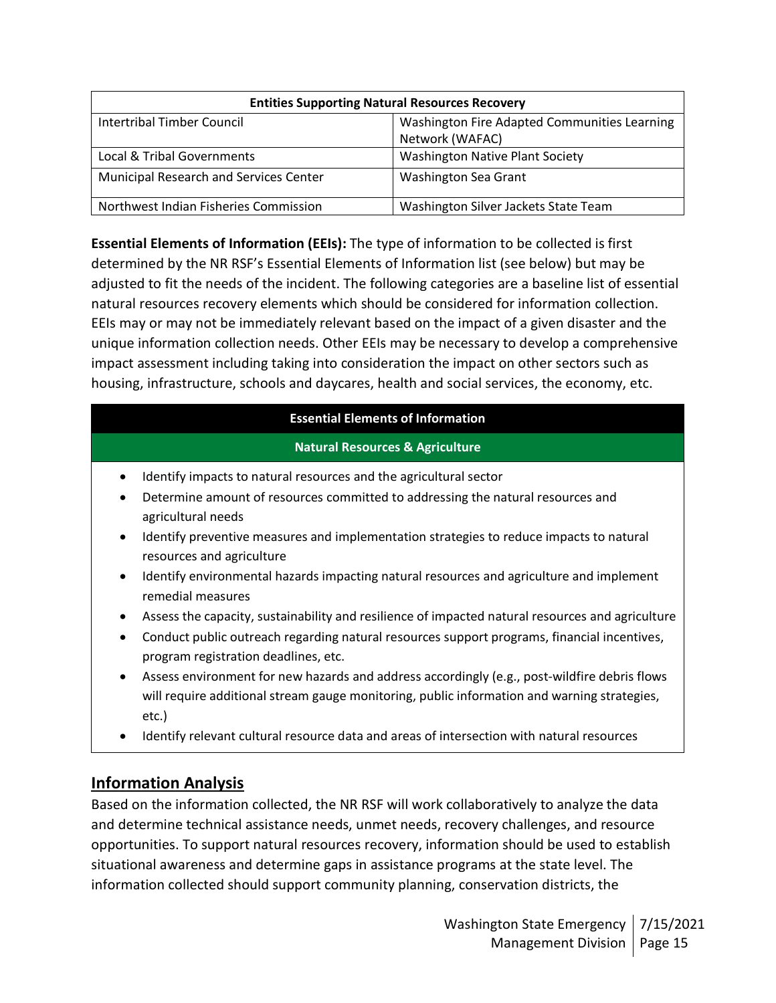| <b>Entities Supporting Natural Resources Recovery</b> |                                              |  |  |
|-------------------------------------------------------|----------------------------------------------|--|--|
| Intertribal Timber Council                            | Washington Fire Adapted Communities Learning |  |  |
|                                                       | Network (WAFAC)                              |  |  |
| Local & Tribal Governments                            | <b>Washington Native Plant Society</b>       |  |  |
| Municipal Research and Services Center                | Washington Sea Grant                         |  |  |
| Northwest Indian Fisheries Commission                 | Washington Silver Jackets State Team         |  |  |

**Essential Elements of Information (EEIs):** The type of information to be collected is first determined by the NR RSF's Essential Elements of Information list (see below) but may be adjusted to fit the needs of the incident. The following categories are a baseline list of essential natural resources recovery elements which should be considered for information collection. EEIs may or may not be immediately relevant based on the impact of a given disaster and the unique information collection needs. Other EEIs may be necessary to develop a comprehensive impact assessment including taking into consideration the impact on other sectors such as housing, infrastructure, schools and daycares, health and social services, the economy, etc.

### **Essential Elements of Information**

### **Natural Resources & Agriculture**

- Identify impacts to natural resources and the agricultural sector
- Determine amount of resources committed to addressing the natural resources and agricultural needs
- Identify preventive measures and implementation strategies to reduce impacts to natural resources and agriculture
- Identify environmental hazards impacting natural resources and agriculture and implement remedial measures
- Assess the capacity, sustainability and resilience of impacted natural resources and agriculture
- Conduct public outreach regarding natural resources support programs, financial incentives, program registration deadlines, etc.
- Assess environment for new hazards and address accordingly (e.g., post-wildfire debris flows will require additional stream gauge monitoring, public information and warning strategies, etc.)
- Identify relevant cultural resource data and areas of intersection with natural resources

## **Information Analysis**

Based on the information collected, the NR RSF will work collaboratively to analyze the data and determine technical assistance needs, unmet needs, recovery challenges, and resource opportunities. To support natural resources recovery, information should be used to establish situational awareness and determine gaps in assistance programs at the state level. The information collected should support community planning, conservation districts, the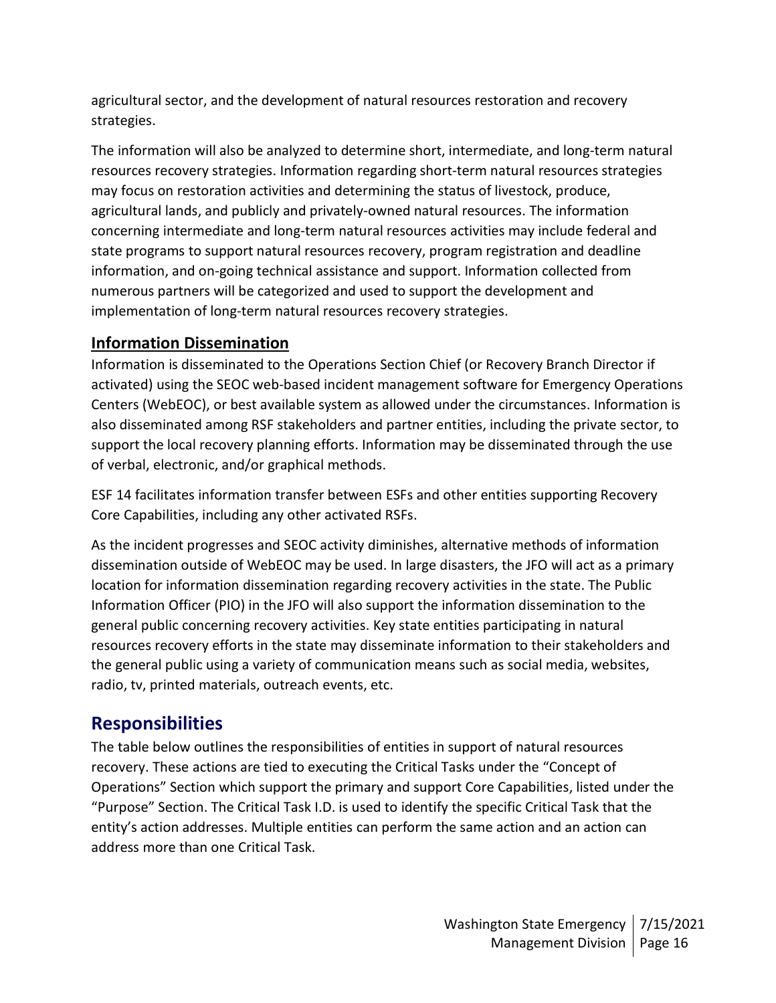agricultural sector, and the development of natural resources restoration and recovery strategies.

The information will also be analyzed to determine short, intermediate, and long-term natural resources recovery strategies. Information regarding short-term natural resources strategies may focus on restoration activities and determining the status of livestock, produce, agricultural lands, and publicly and privately-owned natural resources. The information concerning intermediate and long-term natural resources activities may include federal and state programs to support natural resources recovery, program registration and deadline information, and on-going technical assistance and support. Information collected from numerous partners will be categorized and used to support the development and implementation of long-term natural resources recovery strategies.

## **Information Dissemination**

Information is disseminated to the Operations Section Chief (or Recovery Branch Director if activated) using the SEOC web-based incident management software for Emergency Operations Centers (WebEOC), or best available system as allowed under the circumstances. Information is also disseminated among RSF stakeholders and partner entities, including the private sector, to support the local recovery planning efforts. Information may be disseminated through the use of verbal, electronic, and/or graphical methods.

ESF 14 facilitates information transfer between ESFs and other entities supporting Recovery Core Capabilities, including any other activated RSFs.

As the incident progresses and SEOC activity diminishes, alternative methods of information dissemination outside of WebEOC may be used. In large disasters, the JFO will act as a primary location for information dissemination regarding recovery activities in the state. The Public Information Officer (PIO) in the JFO will also support the information dissemination to the general public concerning recovery activities. Key state entities participating in natural resources recovery efforts in the state may disseminate information to their stakeholders and the general public using a variety of communication means such as social media, websites, radio, tv, printed materials, outreach events, etc.

## **Responsibilities**

The table below outlines the responsibilities of entities in support of natural resources recovery. These actions are tied to executing the Critical Tasks under the "Concept of Operations" Section which support the primary and support Core Capabilities, listed under the "Purpose" Section. The Critical Task I.D. is used to identify the specific Critical Task that the entity's action addresses. Multiple entities can perform the same action and an action can address more than one Critical Task.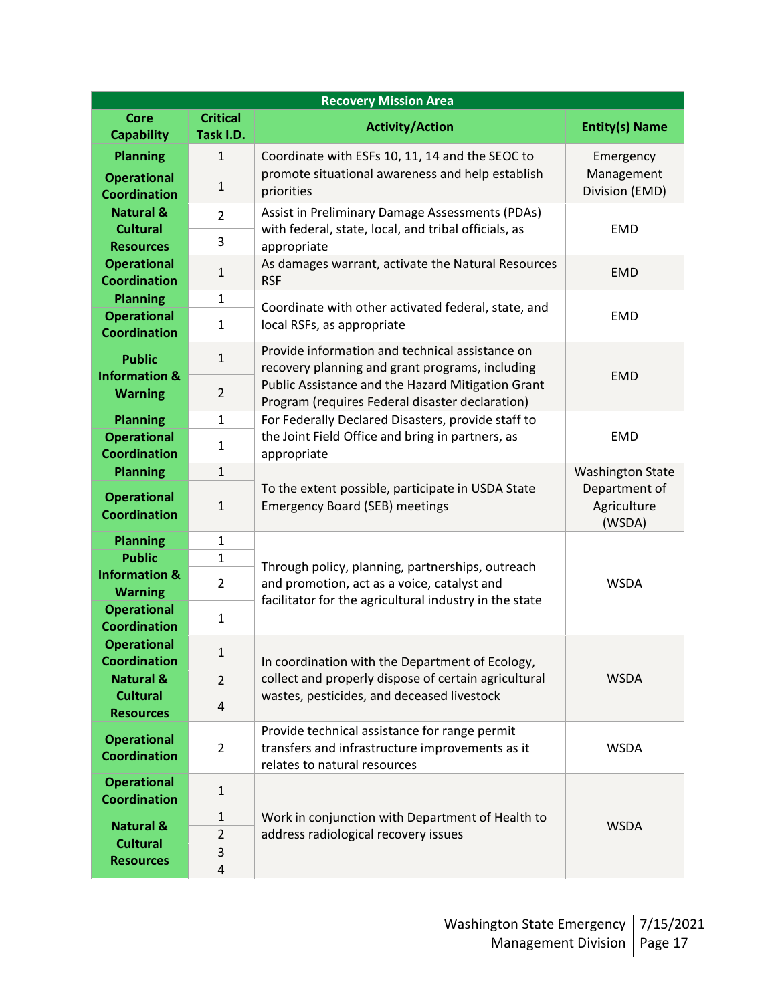| <b>Recovery Mission Area</b>               |                              |                                                                                                                                  |                                        |  |
|--------------------------------------------|------------------------------|----------------------------------------------------------------------------------------------------------------------------------|----------------------------------------|--|
| <b>Core</b><br><b>Capability</b>           | <b>Critical</b><br>Task I.D. | <b>Activity/Action</b>                                                                                                           | <b>Entity(s) Name</b>                  |  |
| <b>Planning</b>                            | $\mathbf{1}$                 | Coordinate with ESFs 10, 11, 14 and the SEOC to                                                                                  | Emergency                              |  |
| <b>Operational</b><br><b>Coordination</b>  | $\mathbf{1}$                 | promote situational awareness and help establish<br>priorities                                                                   | Management<br>Division (EMD)           |  |
| <b>Natural &amp;</b><br><b>Cultural</b>    | $\overline{2}$               | Assist in Preliminary Damage Assessments (PDAs)<br>with federal, state, local, and tribal officials, as                          | <b>EMD</b>                             |  |
| <b>Resources</b>                           | 3                            | appropriate                                                                                                                      |                                        |  |
| <b>Operational</b><br><b>Coordination</b>  | $\mathbf{1}$                 | As damages warrant, activate the Natural Resources<br><b>RSF</b>                                                                 | <b>EMD</b>                             |  |
| <b>Planning</b>                            | $\mathbf{1}$                 |                                                                                                                                  |                                        |  |
| <b>Operational</b><br><b>Coordination</b>  | $\mathbf{1}$                 | Coordinate with other activated federal, state, and<br>local RSFs, as appropriate                                                | <b>EMD</b>                             |  |
| <b>Public</b><br><b>Information &amp;</b>  | $\mathbf{1}$                 | Provide information and technical assistance on<br>recovery planning and grant programs, including                               | <b>EMD</b>                             |  |
| <b>Warning</b>                             | $\overline{2}$               | Public Assistance and the Hazard Mitigation Grant<br>Program (requires Federal disaster declaration)                             |                                        |  |
| <b>Planning</b>                            | $\mathbf{1}$                 | For Federally Declared Disasters, provide staff to                                                                               |                                        |  |
| <b>Operational</b><br><b>Coordination</b>  | $\mathbf{1}$                 | the Joint Field Office and bring in partners, as<br>appropriate                                                                  | <b>EMD</b>                             |  |
| <b>Planning</b>                            | $\mathbf{1}$                 |                                                                                                                                  | <b>Washington State</b>                |  |
| <b>Operational</b><br><b>Coordination</b>  | $\mathbf{1}$                 | To the extent possible, participate in USDA State<br><b>Emergency Board (SEB) meetings</b>                                       | Department of<br>Agriculture<br>(WSDA) |  |
| <b>Planning</b>                            | $\mathbf{1}$                 |                                                                                                                                  |                                        |  |
| <b>Public</b>                              | $\mathbf{1}$                 | Through policy, planning, partnerships, outreach                                                                                 |                                        |  |
| <b>Information &amp;</b><br><b>Warning</b> | $\overline{2}$               | and promotion, act as a voice, catalyst and<br>facilitator for the agricultural industry in the state                            | <b>WSDA</b>                            |  |
| <b>Operational</b><br><b>Coordination</b>  | $\mathbf{1}$                 |                                                                                                                                  |                                        |  |
| <b>Operational</b><br><b>Coordination</b>  | $\mathbf{1}$                 | In coordination with the Department of Ecology,                                                                                  | <b>WSDA</b>                            |  |
| <b>Natural &amp;</b>                       | $\overline{2}$               | collect and properly dispose of certain agricultural                                                                             |                                        |  |
| <b>Cultural</b><br><b>Resources</b>        | 4                            | wastes, pesticides, and deceased livestock                                                                                       |                                        |  |
| <b>Operational</b><br><b>Coordination</b>  | $\overline{2}$               | Provide technical assistance for range permit<br>transfers and infrastructure improvements as it<br>relates to natural resources | <b>WSDA</b>                            |  |
| <b>Operational</b><br><b>Coordination</b>  | $\mathbf{1}$                 |                                                                                                                                  |                                        |  |
| <b>Natural &amp;</b>                       | $\mathbf{1}$                 | Work in conjunction with Department of Health to                                                                                 | <b>WSDA</b>                            |  |
| <b>Cultural</b>                            | $\overline{2}$               | address radiological recovery issues                                                                                             |                                        |  |
| <b>Resources</b>                           | 3                            |                                                                                                                                  |                                        |  |
|                                            | 4                            |                                                                                                                                  |                                        |  |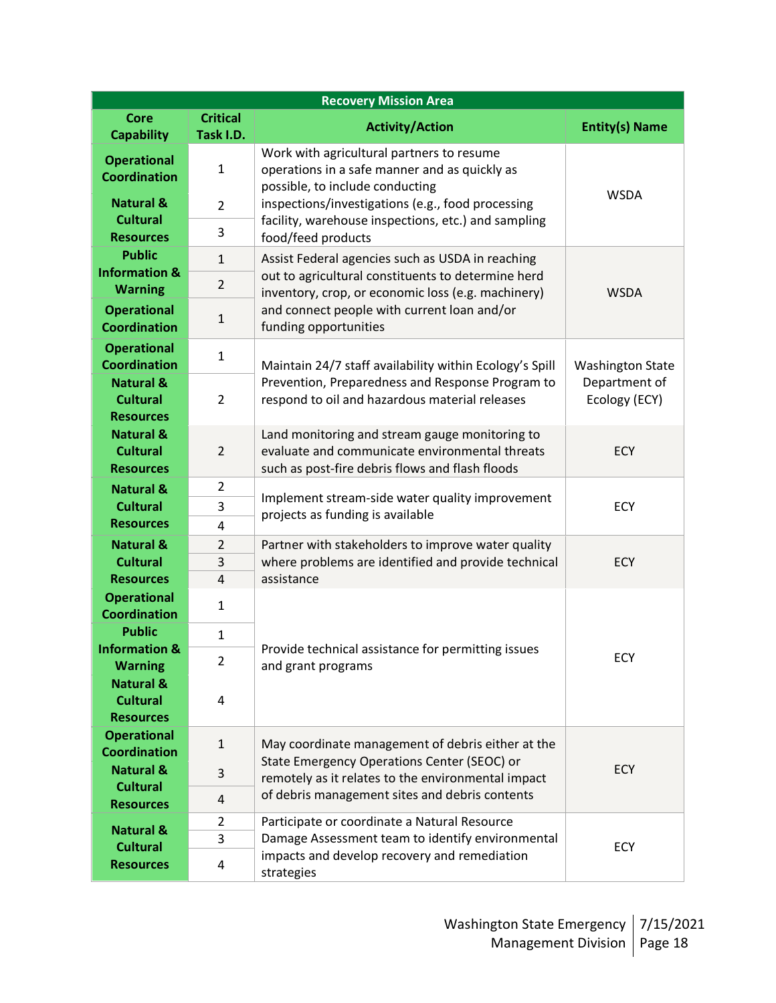| <b>Recovery Mission Area</b>                                |                              |                                                                                                                                                     |                                |  |
|-------------------------------------------------------------|------------------------------|-----------------------------------------------------------------------------------------------------------------------------------------------------|--------------------------------|--|
| Core<br><b>Capability</b>                                   | <b>Critical</b><br>Task I.D. | <b>Activity/Action</b>                                                                                                                              | <b>Entity(s) Name</b>          |  |
| <b>Operational</b><br><b>Coordination</b>                   | $\mathbf 1$                  | Work with agricultural partners to resume<br>operations in a safe manner and as quickly as<br>possible, to include conducting                       | <b>WSDA</b>                    |  |
| <b>Natural &amp;</b>                                        | $\overline{2}$               | inspections/investigations (e.g., food processing                                                                                                   |                                |  |
| <b>Cultural</b><br><b>Resources</b>                         | 3                            | facility, warehouse inspections, etc.) and sampling<br>food/feed products                                                                           |                                |  |
| <b>Public</b>                                               | $\mathbf{1}$                 | Assist Federal agencies such as USDA in reaching                                                                                                    |                                |  |
| <b>Information &amp;</b><br><b>Warning</b>                  | $\overline{2}$               | out to agricultural constituents to determine herd<br>inventory, crop, or economic loss (e.g. machinery)                                            | <b>WSDA</b>                    |  |
| <b>Operational</b><br><b>Coordination</b>                   | $\mathbf{1}$                 | and connect people with current loan and/or<br>funding opportunities                                                                                |                                |  |
| <b>Operational</b><br><b>Coordination</b>                   | $\mathbf{1}$                 | Maintain 24/7 staff availability within Ecology's Spill                                                                                             | <b>Washington State</b>        |  |
| <b>Natural &amp;</b><br><b>Cultural</b><br><b>Resources</b> | $\overline{2}$               | Prevention, Preparedness and Response Program to<br>respond to oil and hazardous material releases                                                  | Department of<br>Ecology (ECY) |  |
| <b>Natural &amp;</b><br><b>Cultural</b><br><b>Resources</b> | $\overline{2}$               | Land monitoring and stream gauge monitoring to<br>evaluate and communicate environmental threats<br>such as post-fire debris flows and flash floods | <b>ECY</b>                     |  |
| <b>Natural &amp;</b>                                        | $\overline{2}$               |                                                                                                                                                     | ECY                            |  |
| <b>Cultural</b>                                             | 3                            | Implement stream-side water quality improvement<br>projects as funding is available                                                                 |                                |  |
| <b>Resources</b>                                            | 4                            |                                                                                                                                                     |                                |  |
| <b>Natural &amp;</b>                                        | $\overline{2}$               | Partner with stakeholders to improve water quality                                                                                                  |                                |  |
| <b>Cultural</b>                                             | 3                            | where problems are identified and provide technical                                                                                                 | <b>ECY</b>                     |  |
| <b>Resources</b>                                            | $\pmb{4}$                    | assistance                                                                                                                                          |                                |  |
| <b>Operational</b><br><b>Coordination</b>                   | 1                            |                                                                                                                                                     |                                |  |
| <b>Public</b><br><b>Information &amp;</b>                   | $\mathbf{1}$                 | Provide technical assistance for permitting issues                                                                                                  | <b>ECY</b>                     |  |
| <b>Warning</b>                                              | $\overline{2}$               | and grant programs                                                                                                                                  |                                |  |
| <b>Natural &amp;</b><br><b>Cultural</b><br><b>Resources</b> | $\overline{4}$               |                                                                                                                                                     |                                |  |
| <b>Operational</b><br><b>Coordination</b>                   | $\mathbf{1}$                 | May coordinate management of debris either at the                                                                                                   | <b>ECY</b>                     |  |
| <b>Natural &amp;</b>                                        | 3                            | State Emergency Operations Center (SEOC) or<br>remotely as it relates to the environmental impact                                                   |                                |  |
| <b>Cultural</b>                                             | 4                            | of debris management sites and debris contents                                                                                                      |                                |  |
| <b>Resources</b>                                            | $\overline{2}$               | Participate or coordinate a Natural Resource                                                                                                        |                                |  |
| <b>Natural &amp;</b>                                        | 3                            | Damage Assessment team to identify environmental                                                                                                    |                                |  |
| <b>Cultural</b>                                             |                              | impacts and develop recovery and remediation                                                                                                        | <b>ECY</b>                     |  |
| <b>Resources</b>                                            | 4                            | strategies                                                                                                                                          |                                |  |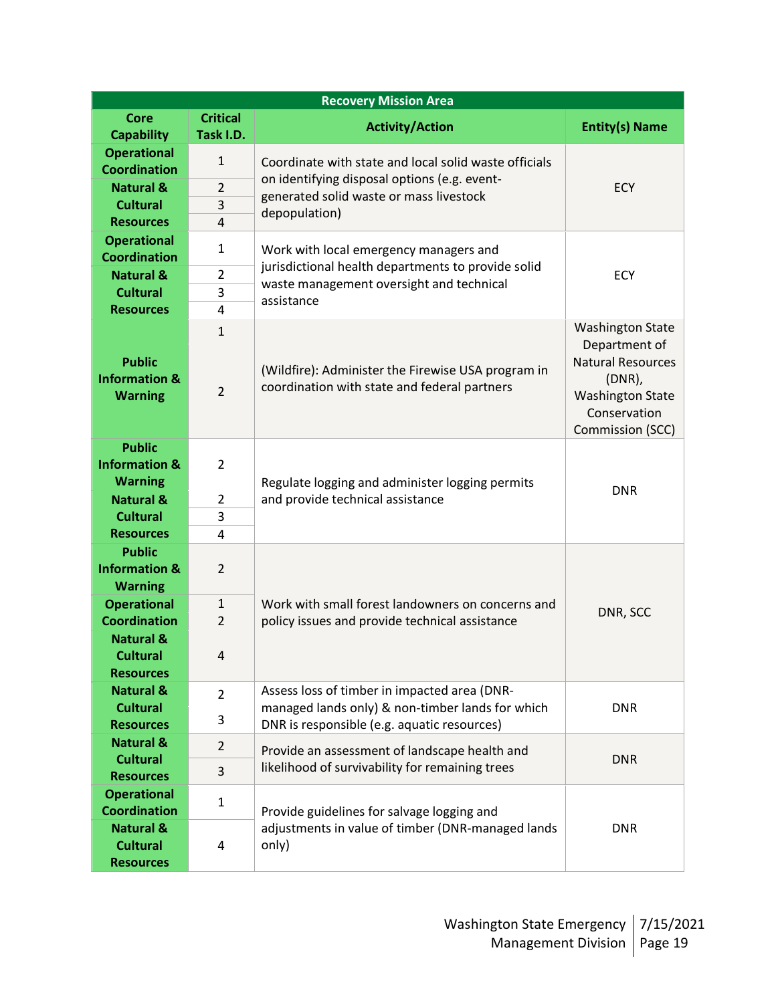| <b>Recovery Mission Area</b>                                      |                 |                                                                                                    |                                                                                                      |  |
|-------------------------------------------------------------------|-----------------|----------------------------------------------------------------------------------------------------|------------------------------------------------------------------------------------------------------|--|
| Core                                                              | <b>Critical</b> | <b>Activity/Action</b>                                                                             | <b>Entity(s) Name</b>                                                                                |  |
| <b>Capability</b>                                                 | Task I.D.       |                                                                                                    |                                                                                                      |  |
| <b>Operational</b><br><b>Coordination</b>                         | $\mathbf{1}$    | Coordinate with state and local solid waste officials                                              |                                                                                                      |  |
| <b>Natural &amp;</b>                                              | $\overline{2}$  | on identifying disposal options (e.g. event-<br>generated solid waste or mass livestock            | ECY                                                                                                  |  |
| <b>Cultural</b>                                                   | 3               |                                                                                                    |                                                                                                      |  |
| <b>Resources</b>                                                  | $\overline{4}$  | depopulation)                                                                                      |                                                                                                      |  |
| <b>Operational</b><br><b>Coordination</b>                         | $\mathbf{1}$    | Work with local emergency managers and                                                             |                                                                                                      |  |
| <b>Natural &amp;</b>                                              | $\overline{2}$  | jurisdictional health departments to provide solid<br>waste management oversight and technical     | <b>ECY</b>                                                                                           |  |
| <b>Cultural</b>                                                   | 3               | assistance                                                                                         |                                                                                                      |  |
| <b>Resources</b>                                                  | 4               |                                                                                                    |                                                                                                      |  |
|                                                                   | $\mathbf{1}$    |                                                                                                    | <b>Washington State</b><br>Department of                                                             |  |
| <b>Public</b><br><b>Information &amp;</b><br><b>Warning</b>       | $\overline{2}$  | (Wildfire): Administer the Firewise USA program in<br>coordination with state and federal partners | <b>Natural Resources</b><br>$(DNR)$ ,<br><b>Washington State</b><br>Conservation<br>Commission (SCC) |  |
| <b>Public</b><br><b>Information &amp;</b><br><b>Warning</b>       | $\overline{2}$  | Regulate logging and administer logging permits                                                    | <b>DNR</b>                                                                                           |  |
| <b>Natural &amp;</b>                                              | 2               | and provide technical assistance                                                                   |                                                                                                      |  |
| <b>Cultural</b>                                                   | 3               |                                                                                                    |                                                                                                      |  |
| <b>Resources</b>                                                  | 4               |                                                                                                    |                                                                                                      |  |
| <b>Public</b><br><b>Information &amp;</b><br><b>Warning</b>       | $\overline{2}$  |                                                                                                    |                                                                                                      |  |
| <b>Operational</b>                                                | $\mathbf{1}$    | Work with small forest landowners on concerns and                                                  | DNR, SCC                                                                                             |  |
| <b>Coordination</b>                                               | $\overline{2}$  | policy issues and provide technical assistance                                                     |                                                                                                      |  |
| <b>Natural &amp;</b><br><b>Cultural</b><br><b>Resources</b>       | 4               |                                                                                                    |                                                                                                      |  |
| <b>Natural &amp;</b>                                              | $\overline{2}$  | Assess loss of timber in impacted area (DNR-                                                       |                                                                                                      |  |
| <b>Cultural</b>                                                   |                 | managed lands only) & non-timber lands for which                                                   | <b>DNR</b>                                                                                           |  |
| <b>Resources</b>                                                  | 3               | DNR is responsible (e.g. aquatic resources)                                                        |                                                                                                      |  |
| <b>Natural &amp;</b>                                              | $\overline{2}$  | Provide an assessment of landscape health and                                                      |                                                                                                      |  |
| <b>Cultural</b><br><b>Resources</b>                               | 3               | likelihood of survivability for remaining trees                                                    | <b>DNR</b>                                                                                           |  |
| <b>Operational</b><br><b>Coordination</b><br><b>Natural &amp;</b> | 1               | Provide guidelines for salvage logging and<br>adjustments in value of timber (DNR-managed lands    | <b>DNR</b>                                                                                           |  |
| <b>Cultural</b><br><b>Resources</b>                               | 4               | only)                                                                                              |                                                                                                      |  |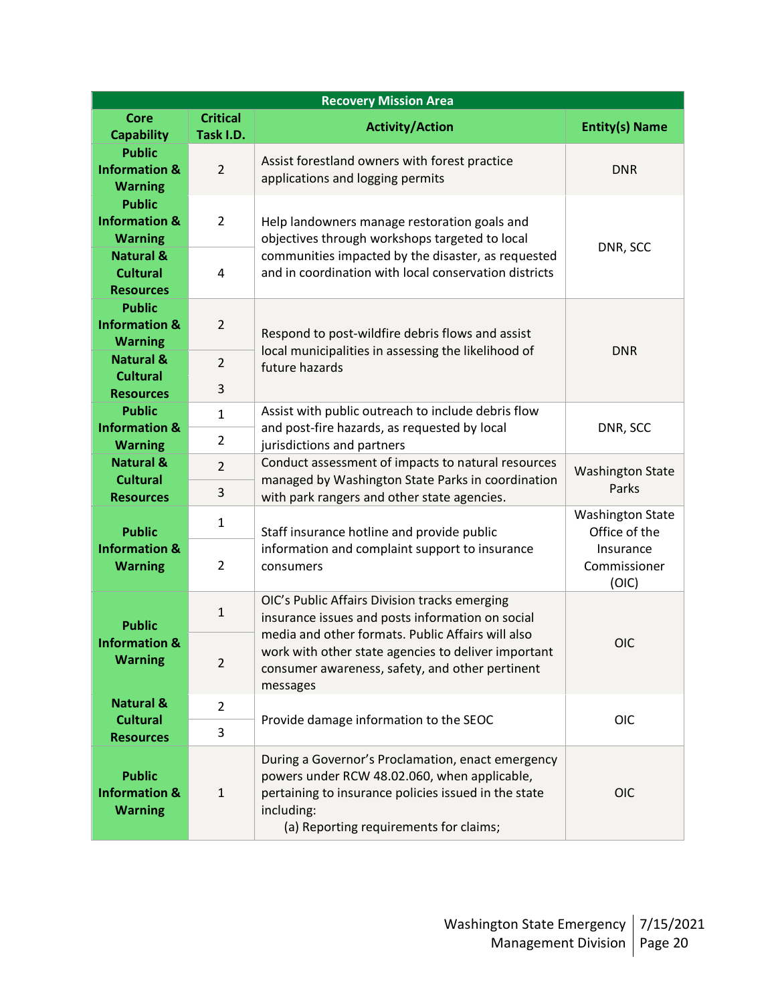| <b>Recovery Mission Area</b>                                |                                |                                                                                                                                                                                                                   |                                          |  |
|-------------------------------------------------------------|--------------------------------|-------------------------------------------------------------------------------------------------------------------------------------------------------------------------------------------------------------------|------------------------------------------|--|
| <b>Core</b><br><b>Capability</b>                            | <b>Critical</b><br>Task I.D.   | <b>Activity/Action</b>                                                                                                                                                                                            | <b>Entity(s) Name</b>                    |  |
| <b>Public</b><br><b>Information &amp;</b><br><b>Warning</b> | $\overline{2}$                 | Assist forestland owners with forest practice<br>applications and logging permits                                                                                                                                 | <b>DNR</b>                               |  |
| <b>Public</b><br><b>Information &amp;</b><br><b>Warning</b> | $\overline{2}$                 | Help landowners manage restoration goals and<br>objectives through workshops targeted to local                                                                                                                    | DNR, SCC                                 |  |
| <b>Natural &amp;</b><br><b>Cultural</b><br><b>Resources</b> | 4                              | communities impacted by the disaster, as requested<br>and in coordination with local conservation districts                                                                                                       |                                          |  |
| <b>Public</b><br><b>Information &amp;</b><br><b>Warning</b> | $\overline{2}$                 | Respond to post-wildfire debris flows and assist                                                                                                                                                                  | <b>DNR</b>                               |  |
| <b>Natural &amp;</b><br><b>Cultural</b>                     | $\overline{2}$<br>3            | local municipalities in assessing the likelihood of<br>future hazards                                                                                                                                             |                                          |  |
| <b>Resources</b><br><b>Public</b>                           |                                | Assist with public outreach to include debris flow                                                                                                                                                                |                                          |  |
| <b>Information &amp;</b><br><b>Warning</b>                  | $\mathbf{1}$<br>$\overline{2}$ | and post-fire hazards, as requested by local<br>jurisdictions and partners                                                                                                                                        | DNR, SCC                                 |  |
| <b>Natural &amp;</b>                                        | $\overline{2}$                 | Conduct assessment of impacts to natural resources                                                                                                                                                                | <b>Washington State</b>                  |  |
| <b>Cultural</b><br><b>Resources</b>                         | 3                              | managed by Washington State Parks in coordination<br>with park rangers and other state agencies.                                                                                                                  | Parks                                    |  |
| <b>Public</b>                                               | $\mathbf{1}$                   | Staff insurance hotline and provide public                                                                                                                                                                        | <b>Washington State</b><br>Office of the |  |
| <b>Information &amp;</b><br><b>Warning</b>                  | $\overline{2}$                 | information and complaint support to insurance<br>consumers                                                                                                                                                       | Insurance<br>Commissioner<br>(OIC)       |  |
| <b>Public</b><br><b>Information &amp;</b><br><b>Warning</b> | $\mathbf{1}$                   | OIC's Public Affairs Division tracks emerging<br>insurance issues and posts information on social<br>media and other formats. Public Affairs will also                                                            |                                          |  |
|                                                             | 2                              | work with other state agencies to deliver important<br>consumer awareness, safety, and other pertinent<br>messages                                                                                                | OIC                                      |  |
| <b>Natural &amp;</b>                                        | $\overline{2}$                 |                                                                                                                                                                                                                   | <b>OIC</b>                               |  |
| <b>Cultural</b><br><b>Resources</b>                         | 3                              | Provide damage information to the SEOC                                                                                                                                                                            |                                          |  |
| <b>Public</b><br><b>Information &amp;</b><br><b>Warning</b> | $\mathbf{1}$                   | During a Governor's Proclamation, enact emergency<br>powers under RCW 48.02.060, when applicable,<br>pertaining to insurance policies issued in the state<br>including:<br>(a) Reporting requirements for claims; | <b>OIC</b>                               |  |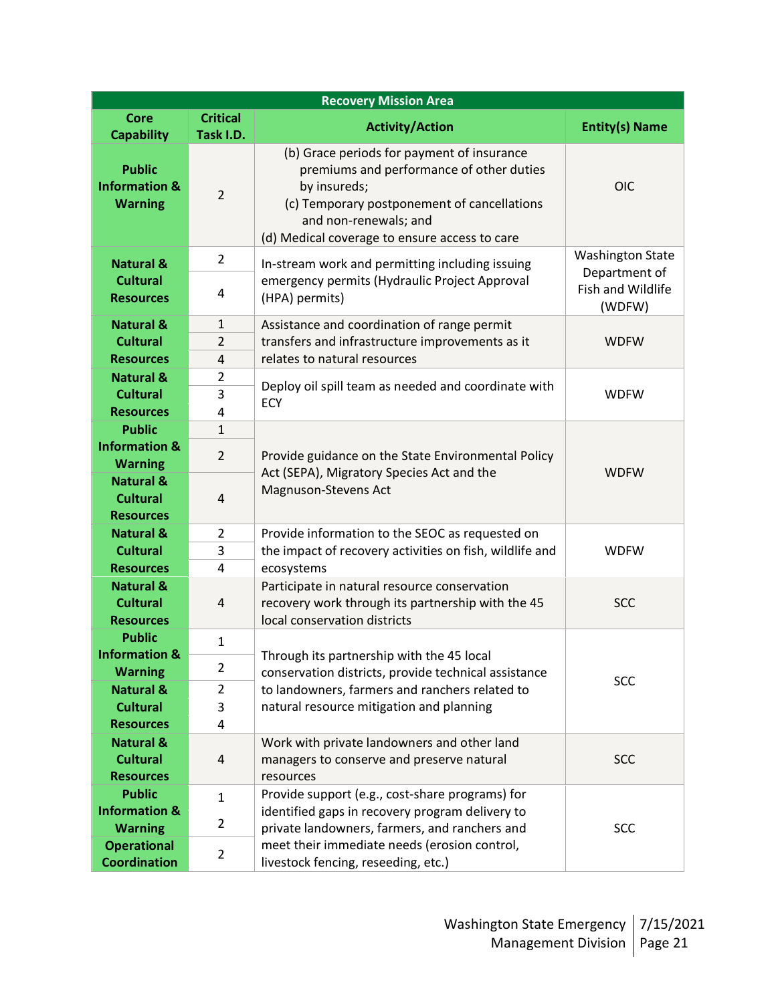| <b>Recovery Mission Area</b>                                |                              |                                                                                                                                                                                                                                 |                                              |
|-------------------------------------------------------------|------------------------------|---------------------------------------------------------------------------------------------------------------------------------------------------------------------------------------------------------------------------------|----------------------------------------------|
| <b>Core</b><br><b>Capability</b>                            | <b>Critical</b><br>Task I.D. | <b>Activity/Action</b>                                                                                                                                                                                                          | <b>Entity(s) Name</b>                        |
| <b>Public</b><br><b>Information &amp;</b><br><b>Warning</b> | $\overline{2}$               | (b) Grace periods for payment of insurance<br>premiums and performance of other duties<br>by insureds;<br>(c) Temporary postponement of cancellations<br>and non-renewals; and<br>(d) Medical coverage to ensure access to care | <b>OIC</b>                                   |
| <b>Natural &amp;</b>                                        | $\overline{2}$               | In-stream work and permitting including issuing                                                                                                                                                                                 | <b>Washington State</b>                      |
| <b>Cultural</b><br><b>Resources</b>                         | 4                            | emergency permits (Hydraulic Project Approval<br>(HPA) permits)                                                                                                                                                                 | Department of<br>Fish and Wildlife<br>(WDFW) |
| <b>Natural &amp;</b>                                        | $\mathbf{1}$                 | Assistance and coordination of range permit                                                                                                                                                                                     |                                              |
| <b>Cultural</b>                                             | $\overline{2}$               | transfers and infrastructure improvements as it                                                                                                                                                                                 | <b>WDFW</b>                                  |
| <b>Resources</b>                                            | 4                            | relates to natural resources                                                                                                                                                                                                    |                                              |
| <b>Natural &amp;</b><br><b>Cultural</b>                     | 2                            | Deploy oil spill team as needed and coordinate with                                                                                                                                                                             |                                              |
| <b>Resources</b>                                            | 3<br>4                       | <b>ECY</b>                                                                                                                                                                                                                      | <b>WDFW</b>                                  |
| <b>Public</b>                                               | $\mathbf{1}$                 |                                                                                                                                                                                                                                 |                                              |
| <b>Information &amp;</b><br><b>Warning</b>                  | $\overline{2}$               | Provide guidance on the State Environmental Policy                                                                                                                                                                              | <b>WDFW</b>                                  |
| <b>Natural &amp;</b><br><b>Cultural</b><br><b>Resources</b> | $\overline{4}$               | Act (SEPA), Migratory Species Act and the<br>Magnuson-Stevens Act                                                                                                                                                               |                                              |
| <b>Natural &amp;</b>                                        | $\overline{2}$               | Provide information to the SEOC as requested on                                                                                                                                                                                 |                                              |
| <b>Cultural</b>                                             | 3                            | the impact of recovery activities on fish, wildlife and                                                                                                                                                                         | <b>WDFW</b>                                  |
| <b>Resources</b>                                            | 4                            | ecosystems                                                                                                                                                                                                                      |                                              |
| <b>Natural &amp;</b><br><b>Cultural</b><br><b>Resources</b> | 4                            | Participate in natural resource conservation<br>recovery work through its partnership with the 45<br>local conservation districts                                                                                               | <b>SCC</b>                                   |
| <b>Public</b>                                               | $\mathbf{1}$                 |                                                                                                                                                                                                                                 |                                              |
| <b>Information &amp;</b>                                    | $\overline{2}$               | Through its partnership with the 45 local                                                                                                                                                                                       |                                              |
| <b>Warning</b><br><b>Natural &amp;</b>                      | 2                            | conservation districts, provide technical assistance<br>to landowners, farmers and ranchers related to                                                                                                                          | <b>SCC</b>                                   |
| <b>Cultural</b>                                             | 3                            | natural resource mitigation and planning                                                                                                                                                                                        |                                              |
| <b>Resources</b>                                            | 4                            |                                                                                                                                                                                                                                 |                                              |
| <b>Natural &amp;</b>                                        |                              | Work with private landowners and other land                                                                                                                                                                                     |                                              |
| <b>Cultural</b>                                             | 4                            | managers to conserve and preserve natural                                                                                                                                                                                       | <b>SCC</b>                                   |
| <b>Resources</b>                                            |                              | resources                                                                                                                                                                                                                       |                                              |
| <b>Public</b><br><b>Information &amp;</b>                   | $\mathbf{1}$                 | Provide support (e.g., cost-share programs) for<br>identified gaps in recovery program delivery to                                                                                                                              |                                              |
| <b>Warning</b>                                              | 2                            | private landowners, farmers, and ranchers and                                                                                                                                                                                   | <b>SCC</b>                                   |
| <b>Operational</b><br><b>Coordination</b>                   | $\overline{2}$               | meet their immediate needs (erosion control,<br>livestock fencing, reseeding, etc.)                                                                                                                                             |                                              |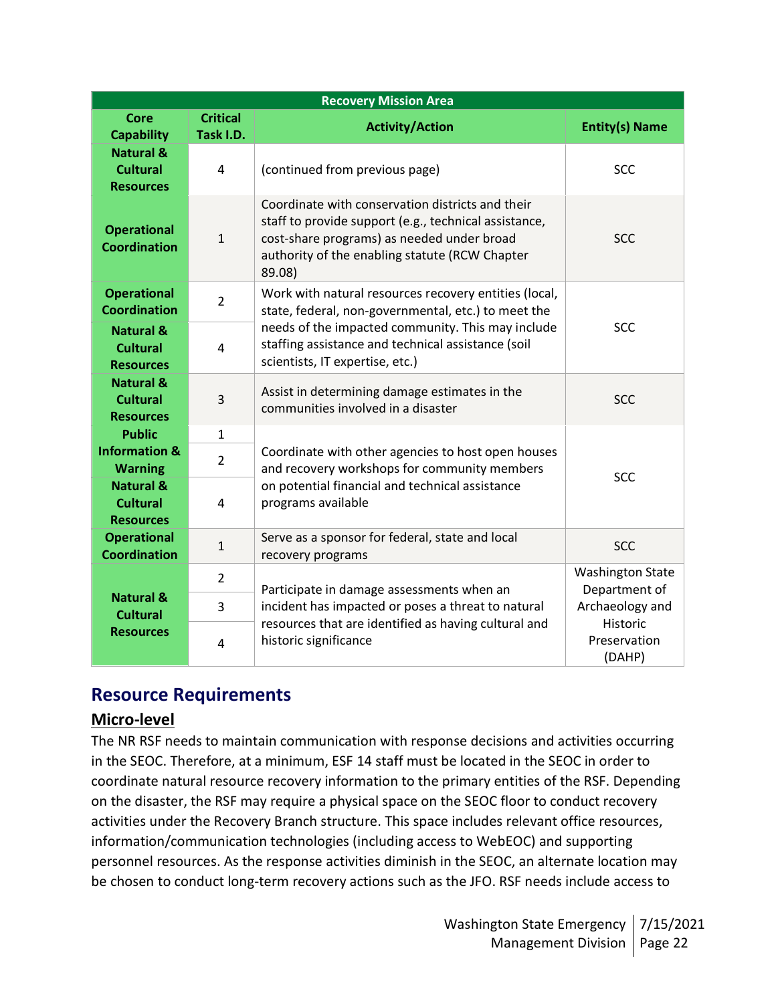| <b>Recovery Mission Area</b>                                |                                                             |                                                                                                                                                                                                                     |                                          |  |
|-------------------------------------------------------------|-------------------------------------------------------------|---------------------------------------------------------------------------------------------------------------------------------------------------------------------------------------------------------------------|------------------------------------------|--|
| <b>Core</b><br><b>Capability</b>                            | <b>Critical</b><br>Task I.D.                                | <b>Activity/Action</b>                                                                                                                                                                                              | <b>Entity(s) Name</b>                    |  |
| <b>Natural &amp;</b><br><b>Cultural</b><br><b>Resources</b> | 4                                                           | (continued from previous page)                                                                                                                                                                                      | <b>SCC</b>                               |  |
| <b>Operational</b><br><b>Coordination</b>                   | $\mathbf{1}$                                                | Coordinate with conservation districts and their<br>staff to provide support (e.g., technical assistance,<br>cost-share programs) as needed under broad<br>authority of the enabling statute (RCW Chapter<br>89.08) | <b>SCC</b>                               |  |
| <b>Operational</b><br><b>Coordination</b>                   | $\overline{2}$                                              | Work with natural resources recovery entities (local,<br>state, federal, non-governmental, etc.) to meet the                                                                                                        |                                          |  |
| <b>Natural &amp;</b><br><b>Cultural</b><br><b>Resources</b> | 4                                                           | needs of the impacted community. This may include<br>staffing assistance and technical assistance (soil<br>scientists, IT expertise, etc.)                                                                          | <b>SCC</b>                               |  |
| <b>Natural &amp;</b><br><b>Cultural</b><br><b>Resources</b> | 3                                                           | Assist in determining damage estimates in the<br>communities involved in a disaster                                                                                                                                 | <b>SCC</b>                               |  |
| <b>Public</b>                                               | $\mathbf{1}$                                                |                                                                                                                                                                                                                     |                                          |  |
| <b>Information &amp;</b><br><b>Warning</b>                  | $\overline{2}$                                              | Coordinate with other agencies to host open houses<br>and recovery workshops for community members                                                                                                                  | <b>SCC</b>                               |  |
| <b>Natural &amp;</b><br><b>Cultural</b><br><b>Resources</b> | 4                                                           | on potential financial and technical assistance<br>programs available                                                                                                                                               |                                          |  |
| <b>Operational</b><br><b>Coordination</b>                   | $\mathbf{1}$                                                | Serve as a sponsor for federal, state and local<br>recovery programs                                                                                                                                                | <b>SCC</b>                               |  |
|                                                             | $\overline{2}$<br>Participate in damage assessments when an |                                                                                                                                                                                                                     | <b>Washington State</b><br>Department of |  |
| <b>Natural &amp;</b><br><b>Cultural</b>                     | 3                                                           | incident has impacted or poses a threat to natural                                                                                                                                                                  | Archaeology and<br>Historic              |  |
| <b>Resources</b>                                            | 4                                                           | resources that are identified as having cultural and<br>historic significance                                                                                                                                       | Preservation<br>(DAHP)                   |  |

## **Resource Requirements**

## **Micro-level**

The NR RSF needs to maintain communication with response decisions and activities occurring in the SEOC. Therefore, at a minimum, ESF 14 staff must be located in the SEOC in order to coordinate natural resource recovery information to the primary entities of the RSF. Depending on the disaster, the RSF may require a physical space on the SEOC floor to conduct recovery activities under the Recovery Branch structure. This space includes relevant office resources, information/communication technologies (including access to WebEOC) and supporting personnel resources. As the response activities diminish in the SEOC, an alternate location may be chosen to conduct long-term recovery actions such as the JFO. RSF needs include access to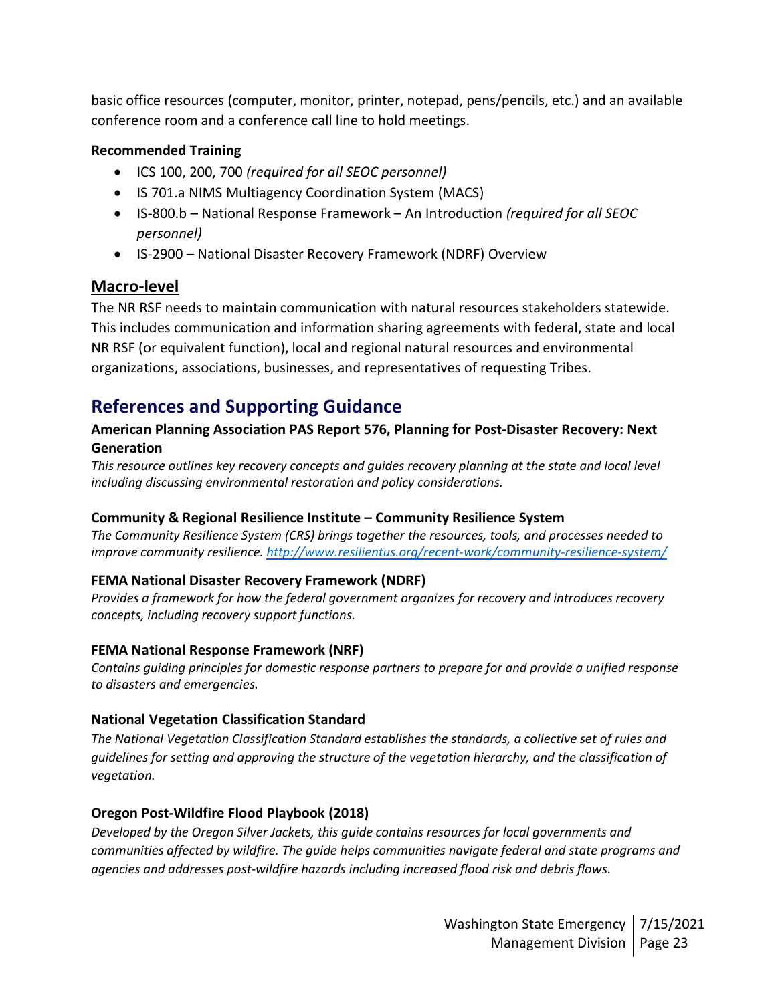basic office resources (computer, monitor, printer, notepad, pens/pencils, etc.) and an available conference room and a conference call line to hold meetings.

### **Recommended Training**

- ICS 100, 200, 700 *(required for all SEOC personnel)*
- IS 701.a NIMS Multiagency Coordination System (MACS)
- IS-800.b National Response Framework An Introduction *(required for all SEOC personnel)*
- IS-2900 National Disaster Recovery Framework (NDRF) Overview

## **Macro-level**

The NR RSF needs to maintain communication with natural resources stakeholders statewide. This includes communication and information sharing agreements with federal, state and local NR RSF (or equivalent function), local and regional natural resources and environmental organizations, associations, businesses, and representatives of requesting Tribes.

# **References and Supporting Guidance**

### **American Planning Association PAS Report 576, Planning for Post-Disaster Recovery: Next Generation**

*This resource outlines key recovery concepts and guides recovery planning at the state and local level including discussing environmental restoration and policy considerations.*

### **Community & Regional Resilience Institute – Community Resilience System**

*The Community Resilience System (CRS) brings together the resources, tools, and processes needed to improve community resilience.<http://www.resilientus.org/recent-work/community-resilience-system/>*

### **FEMA National Disaster Recovery Framework (NDRF)**

*Provides a framework for how the federal government organizes for recovery and introduces recovery concepts, including recovery support functions.*

### **FEMA National Response Framework (NRF)**

*Contains guiding principles for domestic response partners to prepare for and provide a unified response to disasters and emergencies.*

### **National Vegetation Classification Standard**

*The National Vegetation Classification Standard establishes the standards, a collective set of rules and guidelines for setting and approving the structure of the vegetation hierarchy, and the classification of vegetation.*

### **Oregon Post-Wildfire Flood Playbook (2018)**

*Developed by the Oregon Silver Jackets, this guide contains resources for local governments and communities affected by wildfire. The guide helps communities navigate federal and state programs and agencies and addresses post-wildfire hazards including increased flood risk and debris flows.*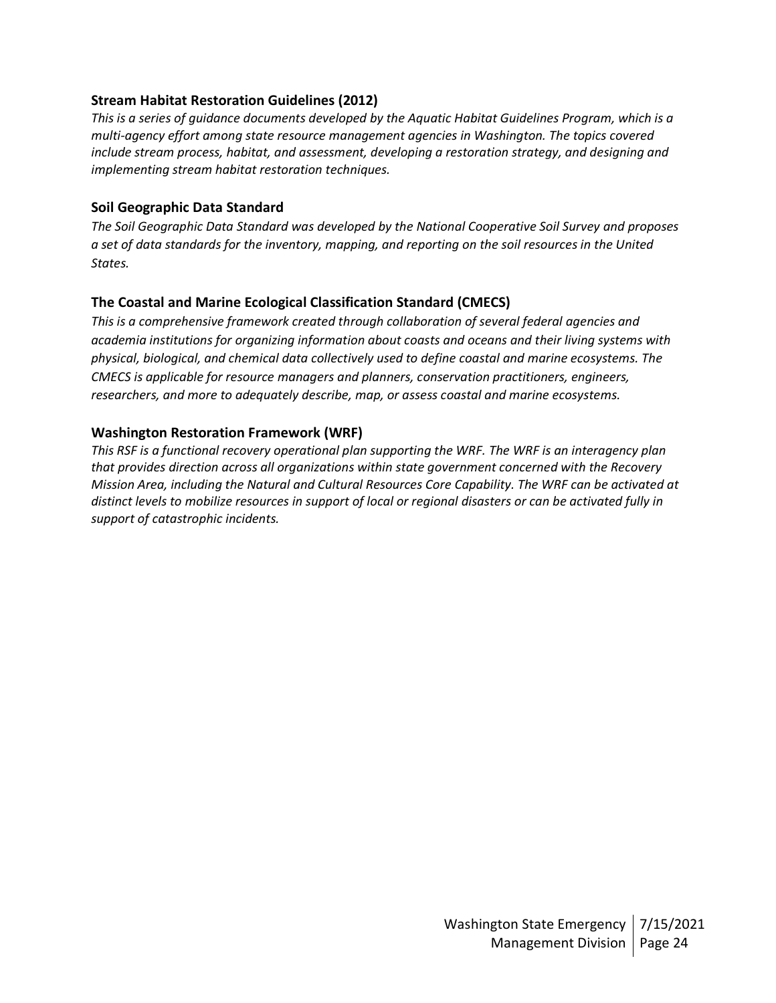#### **Stream Habitat Restoration Guidelines (2012)**

*This is a series of guidance documents developed by the Aquatic Habitat Guidelines Program, which is a multi-agency effort among state resource management agencies in Washington. The topics covered include stream process, habitat, and assessment, developing a restoration strategy, and designing and implementing stream habitat restoration techniques.*

#### **Soil Geographic Data Standard**

*The Soil Geographic Data Standard was developed by the National Cooperative Soil Survey and proposes a set of data standards for the inventory, mapping, and reporting on the soil resources in the United States.*

### **The Coastal and Marine Ecological Classification Standard (CMECS)**

*This is a comprehensive framework created through collaboration of several federal agencies and academia institutions for organizing information about coasts and oceans and their living systems with physical, biological, and chemical data collectively used to define coastal and marine ecosystems. The CMECS is applicable for resource managers and planners, conservation practitioners, engineers, researchers, and more to adequately describe, map, or assess coastal and marine ecosystems.*

#### **Washington Restoration Framework (WRF)**

*This RSF is a functional recovery operational plan supporting the WRF. The WRF is an interagency plan that provides direction across all organizations within state government concerned with the Recovery Mission Area, including the Natural and Cultural Resources Core Capability. The WRF can be activated at distinct levels to mobilize resources in support of local or regional disasters or can be activated fully in support of catastrophic incidents.*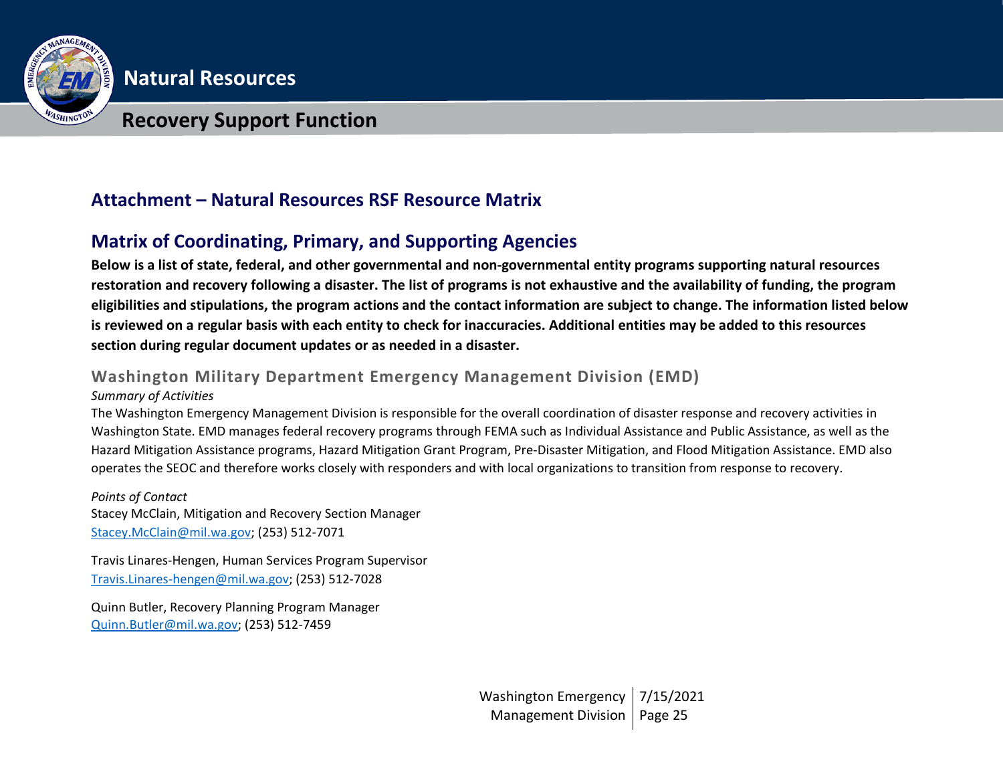

**Natural Resources**

## **Recovery Support Function**

# **Attachment – Natural Resources RSF Resource Matrix**

# **Matrix of Coordinating, Primary, and Supporting Agencies**

**Below is a list of state, federal, and other governmental and non-governmental entity programs supporting natural resources restoration and recovery following a disaster. The list of programs is not exhaustive and the availability of funding, the program eligibilities and stipulations, the program actions and the contact information are subject to change. The information listed below is reviewed on a regular basis with each entity to check for inaccuracies. Additional entities may be added to this resources section during regular document updates or as needed in a disaster.**

## **Washington Military Department Emergency Management Division (EMD)**

#### *Summary of Activities*

The Washington Emergency Management Division is responsible for the overall coordination of disaster response and recovery activities in Washington State. EMD manages federal recovery programs through FEMA such as Individual Assistance and Public Assistance, as well as the Hazard Mitigation Assistance programs, Hazard Mitigation Grant Program, Pre-Disaster Mitigation, and Flood Mitigation Assistance. EMD also operates the SEOC and therefore works closely with responders and with local organizations to transition from response to recovery.

*Points of Contact* Stacey McClain, Mitigation and Recovery Section Manager [Stacey.McClain@mil.wa.gov;](mailto:Stacey.McClain@mil.wa.gov) (253) 512-7071

Travis Linares-Hengen, Human Services Program Supervisor [Travis.Linares-hengen@mil.wa.gov;](mailto:Travis.Linares-hengen@mil.wa.gov) (253) 512-7028

Quinn Butler, Recovery Planning Program Manager [Quinn.Butler@mil.wa.gov;](mailto:Quinn.Butler@mil.wa.gov) (253) 512-7459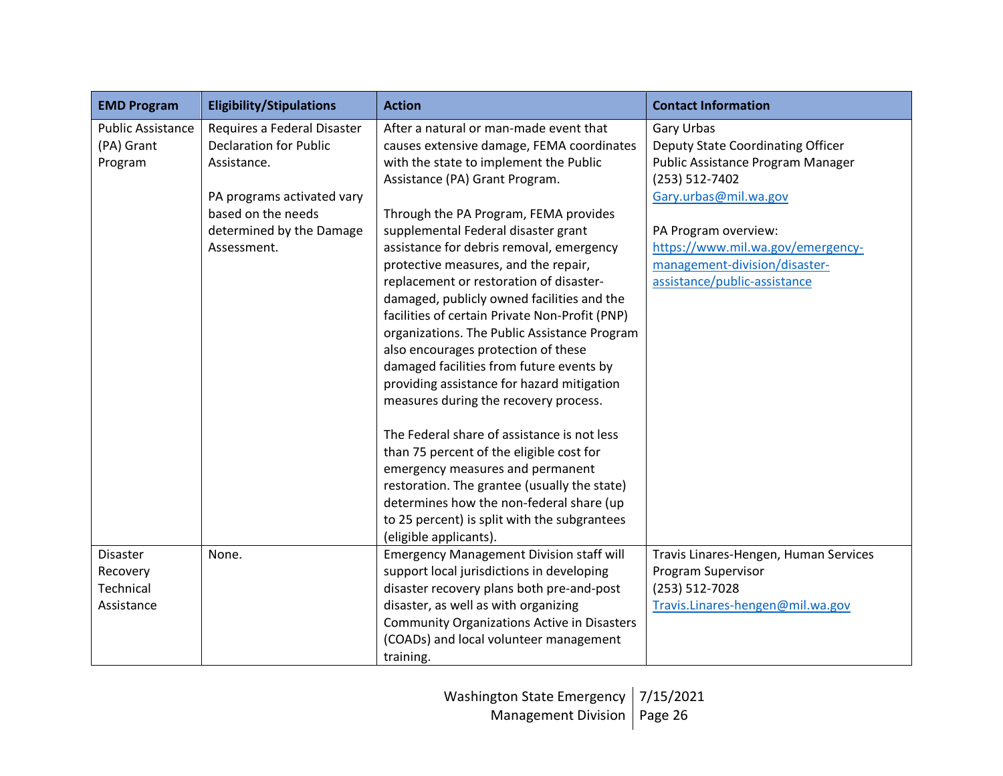| <b>EMD Program</b>                                     | <b>Eligibility/Stipulations</b>                                                                                                                                            | <b>Action</b>                                                                                                                                                                                                                                                                                                                                                                                                                                                                                                                                                         | <b>Contact Information</b>                                                                                                                                                                                                                                    |
|--------------------------------------------------------|----------------------------------------------------------------------------------------------------------------------------------------------------------------------------|-----------------------------------------------------------------------------------------------------------------------------------------------------------------------------------------------------------------------------------------------------------------------------------------------------------------------------------------------------------------------------------------------------------------------------------------------------------------------------------------------------------------------------------------------------------------------|---------------------------------------------------------------------------------------------------------------------------------------------------------------------------------------------------------------------------------------------------------------|
| <b>Public Assistance</b><br>(PA) Grant<br>Program      | Requires a Federal Disaster<br><b>Declaration for Public</b><br>Assistance.<br>PA programs activated vary<br>based on the needs<br>determined by the Damage<br>Assessment. | After a natural or man-made event that<br>causes extensive damage, FEMA coordinates<br>with the state to implement the Public<br>Assistance (PA) Grant Program.<br>Through the PA Program, FEMA provides<br>supplemental Federal disaster grant<br>assistance for debris removal, emergency<br>protective measures, and the repair,<br>replacement or restoration of disaster-<br>damaged, publicly owned facilities and the<br>facilities of certain Private Non-Profit (PNP)<br>organizations. The Public Assistance Program<br>also encourages protection of these | Gary Urbas<br>Deputy State Coordinating Officer<br>Public Assistance Program Manager<br>(253) 512-7402<br>Gary.urbas@mil.wa.gov<br>PA Program overview:<br>https://www.mil.wa.gov/emergency-<br>management-division/disaster-<br>assistance/public-assistance |
|                                                        |                                                                                                                                                                            | damaged facilities from future events by<br>providing assistance for hazard mitigation<br>measures during the recovery process.<br>The Federal share of assistance is not less<br>than 75 percent of the eligible cost for<br>emergency measures and permanent<br>restoration. The grantee (usually the state)<br>determines how the non-federal share (up<br>to 25 percent) is split with the subgrantees<br>(eligible applicants).                                                                                                                                  |                                                                                                                                                                                                                                                               |
| <b>Disaster</b><br>Recovery<br>Technical<br>Assistance | None.                                                                                                                                                                      | <b>Emergency Management Division staff will</b><br>support local jurisdictions in developing<br>disaster recovery plans both pre-and-post<br>disaster, as well as with organizing<br><b>Community Organizations Active in Disasters</b><br>(COADs) and local volunteer management<br>training.                                                                                                                                                                                                                                                                        | Travis Linares-Hengen, Human Services<br>Program Supervisor<br>(253) 512-7028<br>Travis.Linares-hengen@mil.wa.gov                                                                                                                                             |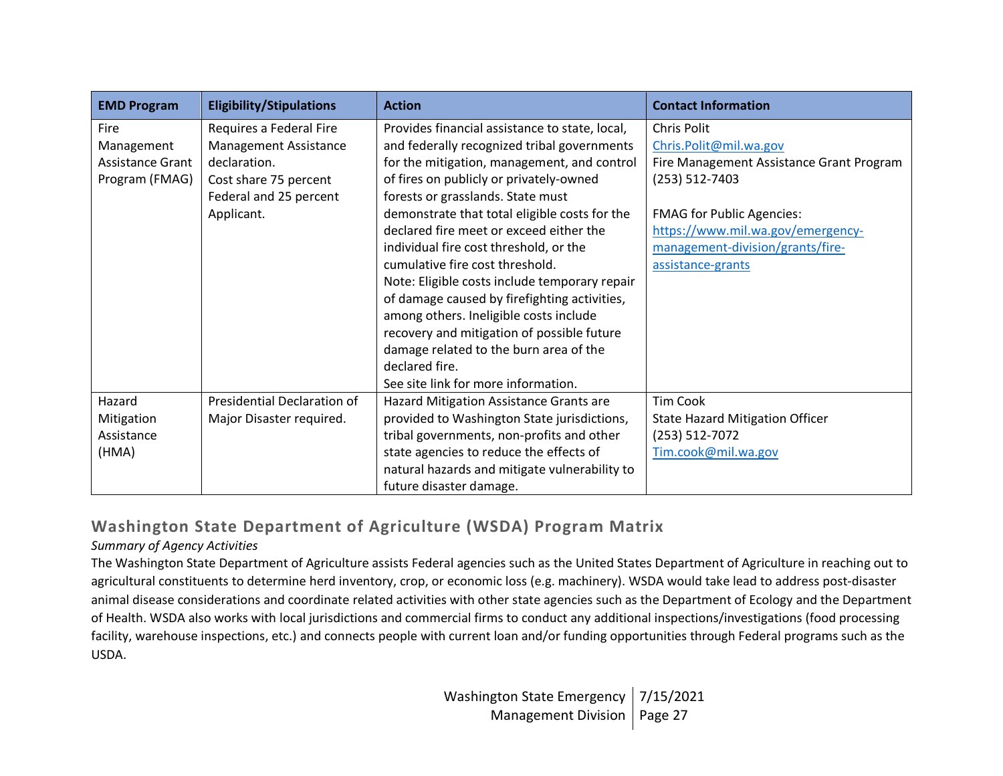| <b>EMD Program</b> | <b>Eligibility/Stipulations</b> | <b>Action</b>                                  | <b>Contact Information</b>               |
|--------------------|---------------------------------|------------------------------------------------|------------------------------------------|
| Fire               | Requires a Federal Fire         | Provides financial assistance to state, local, | Chris Polit                              |
| Management         | <b>Management Assistance</b>    | and federally recognized tribal governments    | Chris.Polit@mil.wa.gov                   |
| Assistance Grant   | declaration.                    | for the mitigation, management, and control    | Fire Management Assistance Grant Program |
| Program (FMAG)     | Cost share 75 percent           | of fires on publicly or privately-owned        | (253) 512-7403                           |
|                    | Federal and 25 percent          | forests or grasslands. State must              |                                          |
|                    | Applicant.                      | demonstrate that total eligible costs for the  | <b>FMAG for Public Agencies:</b>         |
|                    |                                 | declared fire meet or exceed either the        | https://www.mil.wa.gov/emergency-        |
|                    |                                 | individual fire cost threshold, or the         | management-division/grants/fire-         |
|                    |                                 | cumulative fire cost threshold.                | assistance-grants                        |
|                    |                                 | Note: Eligible costs include temporary repair  |                                          |
|                    |                                 | of damage caused by firefighting activities,   |                                          |
|                    |                                 | among others. Ineligible costs include         |                                          |
|                    |                                 | recovery and mitigation of possible future     |                                          |
|                    |                                 | damage related to the burn area of the         |                                          |
|                    |                                 | declared fire.                                 |                                          |
|                    |                                 | See site link for more information.            |                                          |
| Hazard             | Presidential Declaration of     | Hazard Mitigation Assistance Grants are        | <b>Tim Cook</b>                          |
| Mitigation         | Major Disaster required.        | provided to Washington State jurisdictions,    | <b>State Hazard Mitigation Officer</b>   |
| Assistance         |                                 | tribal governments, non-profits and other      | (253) 512-7072                           |
| (HMA)              |                                 | state agencies to reduce the effects of        | Tim.cook@mil.wa.gov                      |
|                    |                                 | natural hazards and mitigate vulnerability to  |                                          |
|                    |                                 | future disaster damage.                        |                                          |

## **Washington State Department of Agriculture (WSDA) Program Matrix**

## *Summary of Agency Activities*

The Washington State Department of Agriculture assists Federal agencies such as the United States Department of Agriculture in reaching out to agricultural constituents to determine herd inventory, crop, or economic loss (e.g. machinery). WSDA would take lead to address post-disaster animal disease considerations and coordinate related activities with other state agencies such as the Department of Ecology and the Department of Health. WSDA also works with local jurisdictions and commercial firms to conduct any additional inspections/investigations (food processing facility, warehouse inspections, etc.) and connects people with current loan and/or funding opportunities through Federal programs such as the USDA.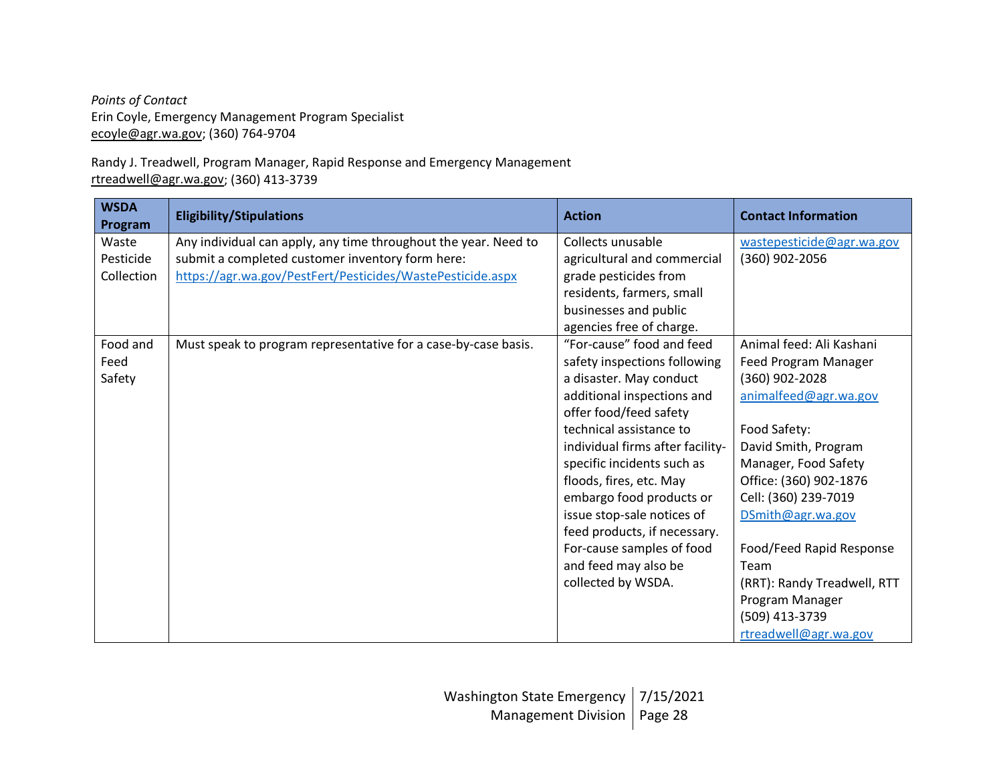*Points of Contact* Erin Coyle, Emergency Management Program Specialist [ecoyle@agr.wa.gov;](mailto:ecoyle@agr.wa.gov) (360) 764-9704

Randy J. Treadwell, Program Manager, Rapid Response and Emergency Management [rtreadwell@agr.wa.gov;](mailto:rtreadwell@agr.wa.gov) (360) 413-3739

| <b>WSDA</b><br>Program           | <b>Eligibility/Stipulations</b>                                                                                                                                                   | <b>Action</b>                                                                                                                                                                                                                                                                                                                                                                                                                             | <b>Contact Information</b>                                                                                                                                                                                                                                                                                                                                          |
|----------------------------------|-----------------------------------------------------------------------------------------------------------------------------------------------------------------------------------|-------------------------------------------------------------------------------------------------------------------------------------------------------------------------------------------------------------------------------------------------------------------------------------------------------------------------------------------------------------------------------------------------------------------------------------------|---------------------------------------------------------------------------------------------------------------------------------------------------------------------------------------------------------------------------------------------------------------------------------------------------------------------------------------------------------------------|
| Waste<br>Pesticide<br>Collection | Any individual can apply, any time throughout the year. Need to<br>submit a completed customer inventory form here:<br>https://agr.wa.gov/PestFert/Pesticides/WastePesticide.aspx | Collects unusable<br>agricultural and commercial<br>grade pesticides from<br>residents, farmers, small<br>businesses and public<br>agencies free of charge.                                                                                                                                                                                                                                                                               | wastepesticide@agr.wa.gov<br>(360) 902-2056                                                                                                                                                                                                                                                                                                                         |
| Food and<br>Feed<br>Safety       | Must speak to program representative for a case-by-case basis.                                                                                                                    | "For-cause" food and feed<br>safety inspections following<br>a disaster. May conduct<br>additional inspections and<br>offer food/feed safety<br>technical assistance to<br>individual firms after facility-<br>specific incidents such as<br>floods, fires, etc. May<br>embargo food products or<br>issue stop-sale notices of<br>feed products, if necessary.<br>For-cause samples of food<br>and feed may also be<br>collected by WSDA. | Animal feed: Ali Kashani<br>Feed Program Manager<br>(360) 902-2028<br>animalfeed@agr.wa.gov<br>Food Safety:<br>David Smith, Program<br>Manager, Food Safety<br>Office: (360) 902-1876<br>Cell: (360) 239-7019<br>DSmith@agr.wa.gov<br>Food/Feed Rapid Response<br>Team<br>(RRT): Randy Treadwell, RTT<br>Program Manager<br>(509) 413-3739<br>rtreadwell@agr.wa.gov |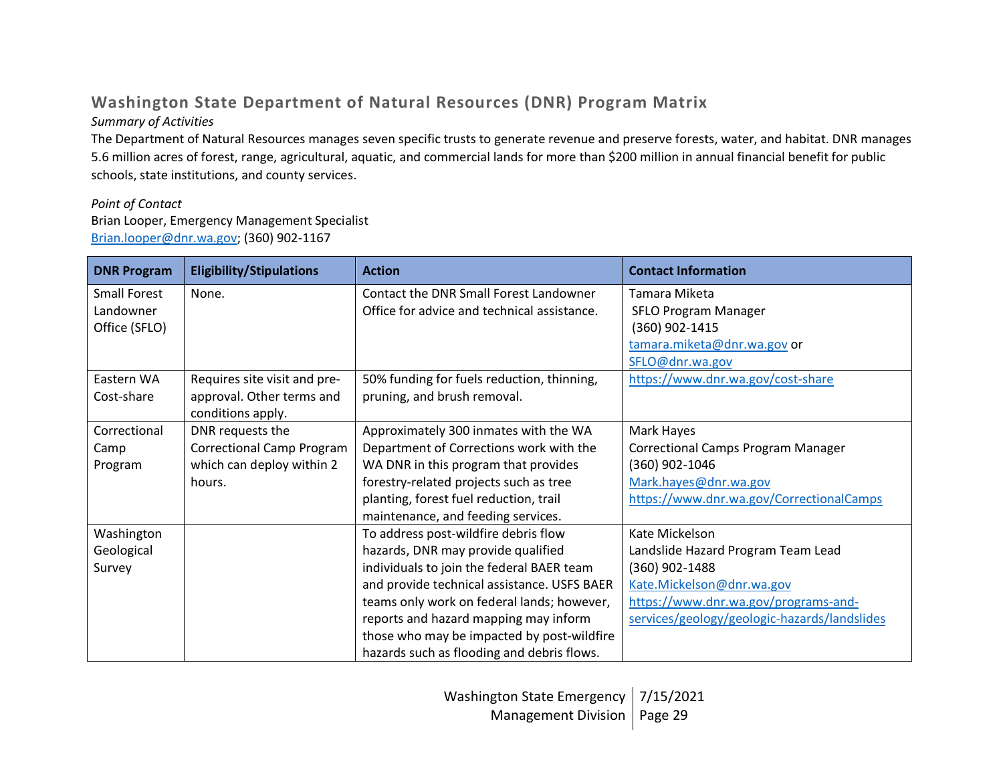# **Washington State Department of Natural Resources (DNR) Program Matrix**

## *Summary of Activities*

The Department of Natural Resources manages seven specific trusts to generate revenue and preserve forests, water, and habitat. DNR manages 5.6 million acres of forest, range, agricultural, aquatic, and commercial lands for more than \$200 million in annual financial benefit for public schools, state institutions, and county services.

## *Point of Contact*

Brian Looper, Emergency Management Specialist [Brian.looper@dnr.wa.gov;](mailto:Brian.looper@dnr.wa.gov) (360) 902-1167

| <b>DNR Program</b>  | <b>Eligibility/Stipulations</b>  | <b>Action</b>                               | <b>Contact Information</b>                   |
|---------------------|----------------------------------|---------------------------------------------|----------------------------------------------|
| <b>Small Forest</b> | None.                            | Contact the DNR Small Forest Landowner      | Tamara Miketa                                |
| Landowner           |                                  | Office for advice and technical assistance. | SFLO Program Manager                         |
| Office (SFLO)       |                                  |                                             | (360) 902-1415                               |
|                     |                                  |                                             | tamara.miketa@dnr.wa.gov or                  |
|                     |                                  |                                             | SFLO@dnr.wa.gov                              |
| Eastern WA          | Requires site visit and pre-     | 50% funding for fuels reduction, thinning,  | https://www.dnr.wa.gov/cost-share            |
| Cost-share          | approval. Other terms and        | pruning, and brush removal.                 |                                              |
|                     | conditions apply.                |                                             |                                              |
| Correctional        | DNR requests the                 | Approximately 300 inmates with the WA       | Mark Hayes                                   |
| Camp                | <b>Correctional Camp Program</b> | Department of Corrections work with the     | <b>Correctional Camps Program Manager</b>    |
| Program             | which can deploy within 2        | WA DNR in this program that provides        | (360) 902-1046                               |
|                     | hours.                           | forestry-related projects such as tree      | Mark.hayes@dnr.wa.gov                        |
|                     |                                  | planting, forest fuel reduction, trail      | https://www.dnr.wa.gov/CorrectionalCamps     |
|                     |                                  | maintenance, and feeding services.          |                                              |
| Washington          |                                  | To address post-wildfire debris flow        | Kate Mickelson                               |
| Geological          |                                  | hazards, DNR may provide qualified          | Landslide Hazard Program Team Lead           |
| Survey              |                                  | individuals to join the federal BAER team   | (360) 902-1488                               |
|                     |                                  | and provide technical assistance. USFS BAER | Kate.Mickelson@dnr.wa.gov                    |
|                     |                                  | teams only work on federal lands; however,  | https://www.dnr.wa.gov/programs-and-         |
|                     |                                  | reports and hazard mapping may inform       | services/geology/geologic-hazards/landslides |
|                     |                                  | those who may be impacted by post-wildfire  |                                              |
|                     |                                  | hazards such as flooding and debris flows.  |                                              |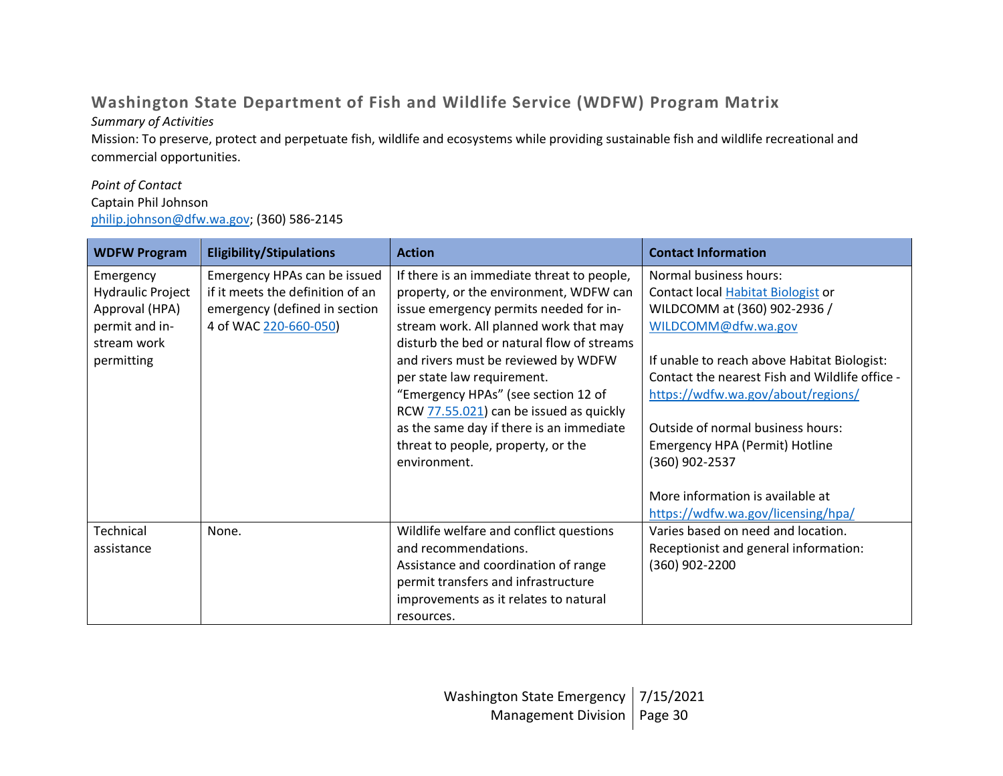# **Washington State Department of Fish and Wildlife Service (WDFW) Program Matrix**

## *Summary of Activities*

Mission: To preserve, protect and perpetuate fish, wildlife and ecosystems while providing sustainable fish and wildlife recreational and commercial opportunities.

## *Point of Contact*

## Captain Phil Johnson

[philip.johnson@dfw.wa.gov;](mailto:philip.johnson@dfw.wa.gov) (360) 586-2145

| <b>WDFW Program</b>      | <b>Eligibility/Stipulations</b>  | <b>Action</b>                              | <b>Contact Information</b>                     |
|--------------------------|----------------------------------|--------------------------------------------|------------------------------------------------|
| Emergency                | Emergency HPAs can be issued     | If there is an immediate threat to people, | Normal business hours:                         |
| <b>Hydraulic Project</b> | if it meets the definition of an | property, or the environment, WDFW can     | Contact local <b>Habitat Biologist</b> or      |
| Approval (HPA)           | emergency (defined in section    | issue emergency permits needed for in-     | WILDCOMM at (360) 902-2936 /                   |
| permit and in-           | 4 of WAC 220-660-050             | stream work. All planned work that may     | WILDCOMM@dfw.wa.gov                            |
| stream work              |                                  | disturb the bed or natural flow of streams |                                                |
| permitting               |                                  | and rivers must be reviewed by WDFW        | If unable to reach above Habitat Biologist:    |
|                          |                                  | per state law requirement.                 | Contact the nearest Fish and Wildlife office - |
|                          |                                  | "Emergency HPAs" (see section 12 of        | https://wdfw.wa.gov/about/regions/             |
|                          |                                  | RCW 77.55.021) can be issued as quickly    |                                                |
|                          |                                  | as the same day if there is an immediate   | Outside of normal business hours:              |
|                          |                                  | threat to people, property, or the         | Emergency HPA (Permit) Hotline                 |
|                          |                                  | environment.                               | (360) 902-2537                                 |
|                          |                                  |                                            |                                                |
|                          |                                  |                                            | More information is available at               |
|                          |                                  |                                            | https://wdfw.wa.gov/licensing/hpa/             |
| Technical                | None.                            | Wildlife welfare and conflict questions    | Varies based on need and location.             |
| assistance               |                                  | and recommendations.                       | Receptionist and general information:          |
|                          |                                  | Assistance and coordination of range       | (360) 902-2200                                 |
|                          |                                  | permit transfers and infrastructure        |                                                |
|                          |                                  | improvements as it relates to natural      |                                                |
|                          |                                  | resources.                                 |                                                |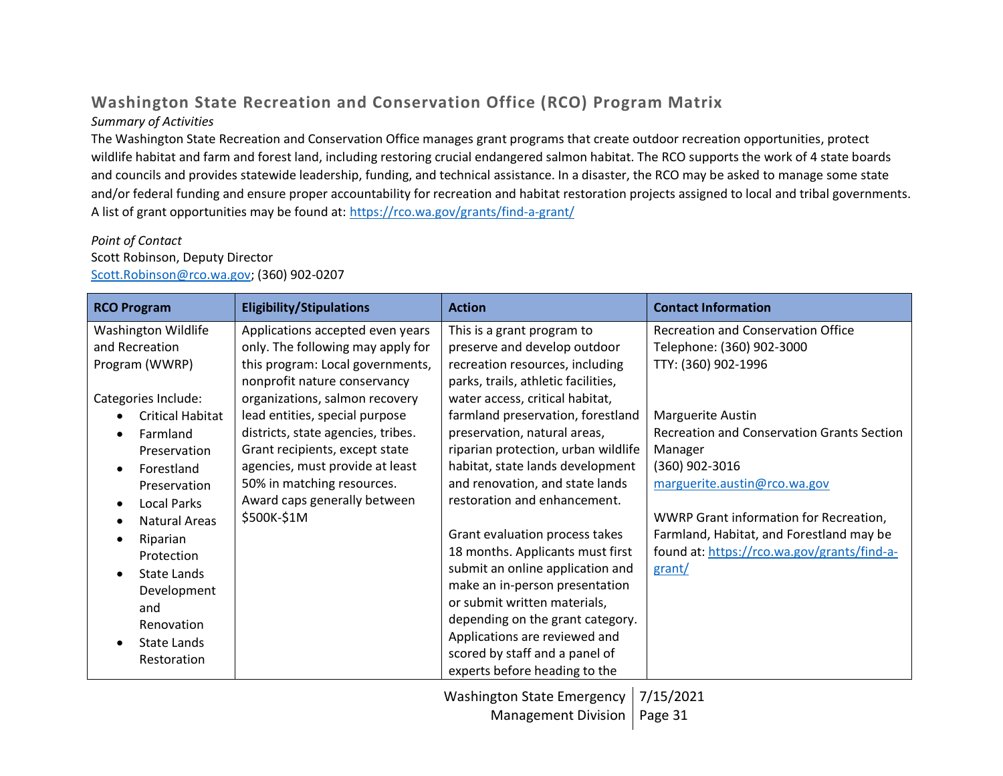# **Washington State Recreation and Conservation Office (RCO) Program Matrix**

### *Summary of Activities*

The Washington State Recreation and Conservation Office manages grant programs that create outdoor recreation opportunities, protect wildlife habitat and farm and forest land, including restoring crucial endangered salmon habitat. The RCO supports the work of 4 state boards and councils and provides statewide leadership, funding, and technical assistance. In a disaster, the RCO may be asked to manage some state and/or federal funding and ensure proper accountability for recreation and habitat restoration projects assigned to local and tribal governments. A list of grant opportunities may be found at:<https://rco.wa.gov/grants/find-a-grant/>

#### *Point of Contact*

#### Scott Robinson, Deputy Director [Scott.Robinson@rco.wa.gov;](mailto:Scott.Robinson@rco.wa.gov) (360) 902-0207

| <b>RCO Program</b>                                                                                                                                                                                                                           | <b>Eligibility/Stipulations</b>                                                                                                                                                                                                                                                                                                                                                                       | <b>Action</b>                                                                                                                                                                                                                                                                                                                                                                                                                                                                                        | <b>Contact Information</b>                                                                                                                                                                                                                                                                                                                                                          |
|----------------------------------------------------------------------------------------------------------------------------------------------------------------------------------------------------------------------------------------------|-------------------------------------------------------------------------------------------------------------------------------------------------------------------------------------------------------------------------------------------------------------------------------------------------------------------------------------------------------------------------------------------------------|------------------------------------------------------------------------------------------------------------------------------------------------------------------------------------------------------------------------------------------------------------------------------------------------------------------------------------------------------------------------------------------------------------------------------------------------------------------------------------------------------|-------------------------------------------------------------------------------------------------------------------------------------------------------------------------------------------------------------------------------------------------------------------------------------------------------------------------------------------------------------------------------------|
| Washington Wildlife<br>and Recreation<br>Program (WWRP)<br>Categories Include:<br>Critical Habitat<br>Farmland<br>Preservation<br>Forestland<br>Preservation<br><b>Local Parks</b><br>Natural Areas<br>Riparian<br>Protection<br>State Lands | Applications accepted even years<br>only. The following may apply for<br>this program: Local governments,<br>nonprofit nature conservancy<br>organizations, salmon recovery<br>lead entities, special purpose<br>districts, state agencies, tribes.<br>Grant recipients, except state<br>agencies, must provide at least<br>50% in matching resources.<br>Award caps generally between<br>\$500K-\$1M | This is a grant program to<br>preserve and develop outdoor<br>recreation resources, including<br>parks, trails, athletic facilities,<br>water access, critical habitat,<br>farmland preservation, forestland<br>preservation, natural areas,<br>riparian protection, urban wildlife<br>habitat, state lands development<br>and renovation, and state lands<br>restoration and enhancement.<br>Grant evaluation process takes<br>18 months. Applicants must first<br>submit an online application and | <b>Recreation and Conservation Office</b><br>Telephone: (360) 902-3000<br>TTY: (360) 902-1996<br>Marguerite Austin<br><b>Recreation and Conservation Grants Section</b><br>Manager<br>(360) 902-3016<br>marguerite.austin@rco.wa.gov<br>WWRP Grant information for Recreation,<br>Farmland, Habitat, and Forestland may be<br>found at: https://rco.wa.gov/grants/find-a-<br>grant/ |
| Development<br>and<br>Renovation                                                                                                                                                                                                             |                                                                                                                                                                                                                                                                                                                                                                                                       | make an in-person presentation<br>or submit written materials,<br>depending on the grant category.                                                                                                                                                                                                                                                                                                                                                                                                   |                                                                                                                                                                                                                                                                                                                                                                                     |
| State Lands<br>Restoration                                                                                                                                                                                                                   |                                                                                                                                                                                                                                                                                                                                                                                                       | Applications are reviewed and<br>scored by staff and a panel of<br>experts before heading to the                                                                                                                                                                                                                                                                                                                                                                                                     |                                                                                                                                                                                                                                                                                                                                                                                     |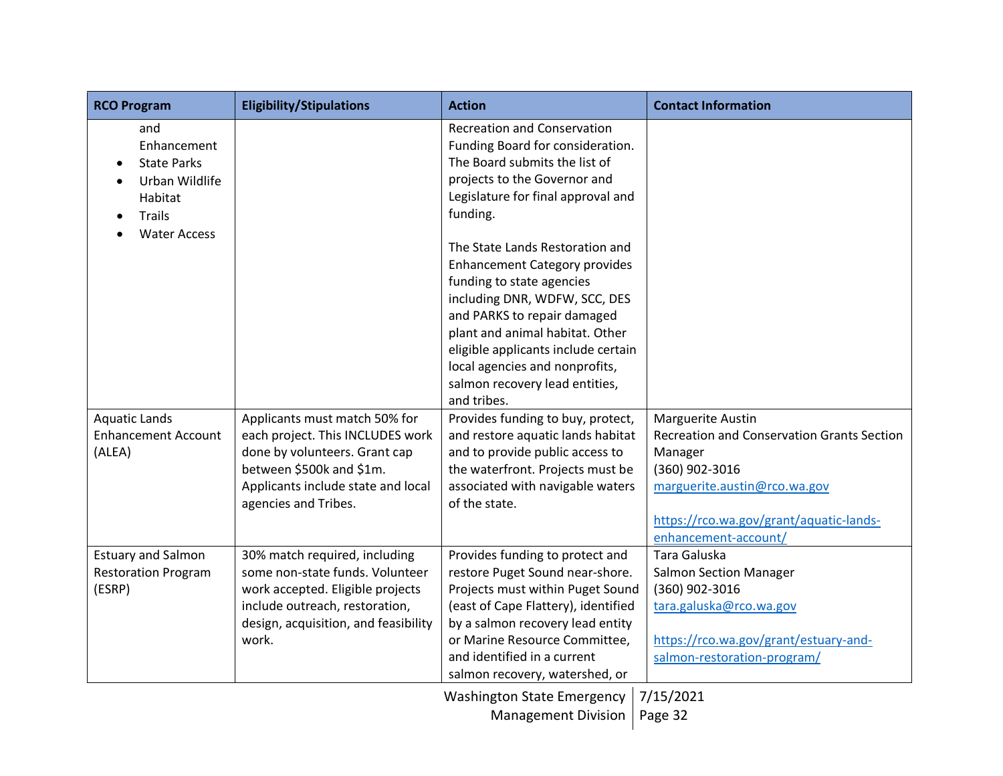| <b>RCO Program</b>                                                                                            | <b>Eligibility/Stipulations</b>                                                                                                                                                              | <b>Action</b>                                                                                                                                                                                                                                                                                                      | <b>Contact Information</b>                                                                                                                                                                             |
|---------------------------------------------------------------------------------------------------------------|----------------------------------------------------------------------------------------------------------------------------------------------------------------------------------------------|--------------------------------------------------------------------------------------------------------------------------------------------------------------------------------------------------------------------------------------------------------------------------------------------------------------------|--------------------------------------------------------------------------------------------------------------------------------------------------------------------------------------------------------|
| and<br>Enhancement<br><b>State Parks</b><br>Urban Wildlife<br>Habitat<br><b>Trails</b><br><b>Water Access</b> |                                                                                                                                                                                              | <b>Recreation and Conservation</b><br>Funding Board for consideration.<br>The Board submits the list of<br>projects to the Governor and<br>Legislature for final approval and<br>funding.                                                                                                                          |                                                                                                                                                                                                        |
|                                                                                                               |                                                                                                                                                                                              | The State Lands Restoration and<br><b>Enhancement Category provides</b><br>funding to state agencies<br>including DNR, WDFW, SCC, DES<br>and PARKS to repair damaged<br>plant and animal habitat. Other<br>eligible applicants include certain<br>local agencies and nonprofits,<br>salmon recovery lead entities, |                                                                                                                                                                                                        |
| <b>Aquatic Lands</b><br><b>Enhancement Account</b><br>(ALEA)                                                  | Applicants must match 50% for<br>each project. This INCLUDES work<br>done by volunteers. Grant cap<br>between \$500k and \$1m.<br>Applicants include state and local<br>agencies and Tribes. | and tribes.<br>Provides funding to buy, protect,<br>and restore aquatic lands habitat<br>and to provide public access to<br>the waterfront. Projects must be<br>associated with navigable waters<br>of the state.                                                                                                  | <b>Marguerite Austin</b><br>Recreation and Conservation Grants Section<br>Manager<br>(360) 902-3016<br>marguerite.austin@rco.wa.gov<br>https://rco.wa.gov/grant/aquatic-lands-<br>enhancement-account/ |
| <b>Estuary and Salmon</b><br><b>Restoration Program</b><br>(ESRP)                                             | 30% match required, including<br>some non-state funds. Volunteer<br>work accepted. Eligible projects<br>include outreach, restoration,<br>design, acquisition, and feasibility<br>work.      | Provides funding to protect and<br>restore Puget Sound near-shore.<br>Projects must within Puget Sound<br>(east of Cape Flattery), identified<br>by a salmon recovery lead entity<br>or Marine Resource Committee,<br>and identified in a current<br>salmon recovery, watershed, or                                | Tara Galuska<br><b>Salmon Section Manager</b><br>(360) 902-3016<br>tara.galuska@rco.wa.gov<br>https://rco.wa.gov/grant/estuary-and-<br>salmon-restoration-program/                                     |
|                                                                                                               |                                                                                                                                                                                              | <b>Washington State Emergency</b><br><b>Management Division</b>                                                                                                                                                                                                                                                    | 7/15/2021<br>Page 32                                                                                                                                                                                   |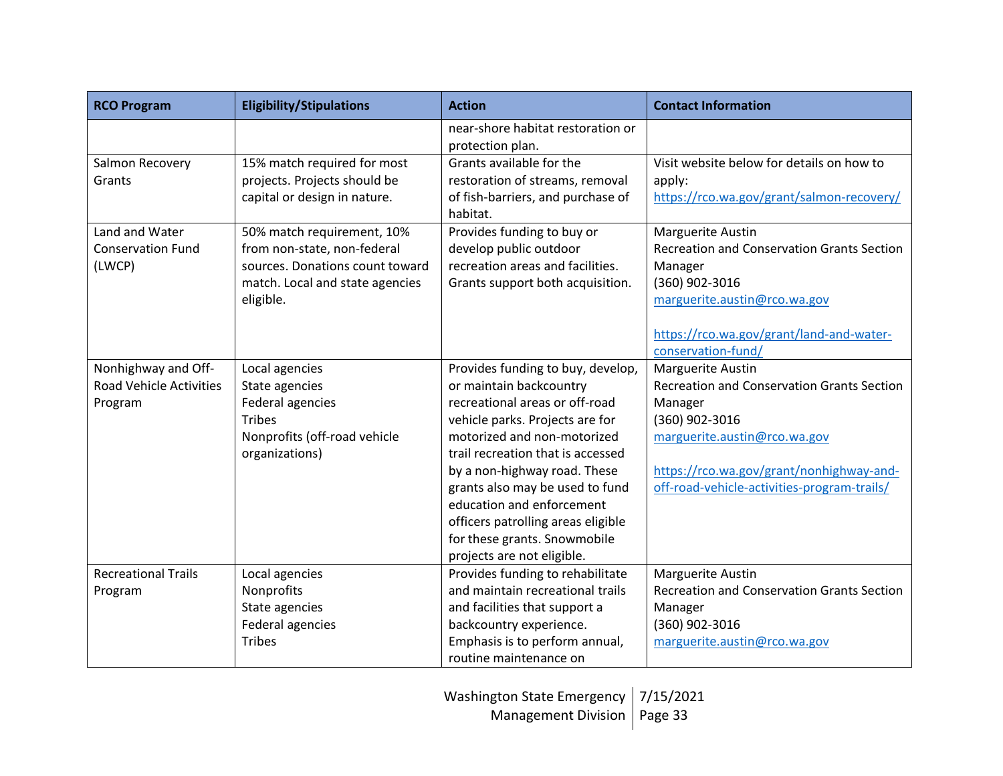| <b>RCO Program</b>             | <b>Eligibility/Stipulations</b> | <b>Action</b>                                         | <b>Contact Information</b>                        |
|--------------------------------|---------------------------------|-------------------------------------------------------|---------------------------------------------------|
|                                |                                 | near-shore habitat restoration or<br>protection plan. |                                                   |
| Salmon Recovery                | 15% match required for most     | Grants available for the                              | Visit website below for details on how to         |
| Grants                         | projects. Projects should be    | restoration of streams, removal                       | apply:                                            |
|                                | capital or design in nature.    | of fish-barriers, and purchase of                     | https://rco.wa.gov/grant/salmon-recovery/         |
|                                |                                 | habitat.                                              |                                                   |
| Land and Water                 | 50% match requirement, 10%      | Provides funding to buy or                            | Marguerite Austin                                 |
| <b>Conservation Fund</b>       | from non-state, non-federal     | develop public outdoor                                | <b>Recreation and Conservation Grants Section</b> |
| (LWCP)                         | sources. Donations count toward | recreation areas and facilities.                      | Manager                                           |
|                                | match. Local and state agencies | Grants support both acquisition.                      | (360) 902-3016                                    |
|                                | eligible.                       |                                                       | marguerite.austin@rco.wa.gov                      |
|                                |                                 |                                                       |                                                   |
|                                |                                 |                                                       | https://rco.wa.gov/grant/land-and-water-          |
|                                |                                 |                                                       | conservation-fund/                                |
| Nonhighway and Off-            | Local agencies                  | Provides funding to buy, develop,                     | Marguerite Austin                                 |
| <b>Road Vehicle Activities</b> | State agencies                  | or maintain backcountry                               | <b>Recreation and Conservation Grants Section</b> |
| Program                        | Federal agencies                | recreational areas or off-road                        | Manager                                           |
|                                | <b>Tribes</b>                   | vehicle parks. Projects are for                       | (360) 902-3016                                    |
|                                | Nonprofits (off-road vehicle    | motorized and non-motorized                           | marguerite.austin@rco.wa.gov                      |
|                                | organizations)                  | trail recreation that is accessed                     |                                                   |
|                                |                                 | by a non-highway road. These                          | https://rco.wa.gov/grant/nonhighway-and-          |
|                                |                                 | grants also may be used to fund                       | off-road-vehicle-activities-program-trails/       |
|                                |                                 | education and enforcement                             |                                                   |
|                                |                                 | officers patrolling areas eligible                    |                                                   |
|                                |                                 | for these grants. Snowmobile                          |                                                   |
|                                |                                 | projects are not eligible.                            |                                                   |
| <b>Recreational Trails</b>     | Local agencies                  | Provides funding to rehabilitate                      | <b>Marguerite Austin</b>                          |
| Program                        | Nonprofits                      | and maintain recreational trails                      | <b>Recreation and Conservation Grants Section</b> |
|                                | State agencies                  | and facilities that support a                         | Manager                                           |
|                                | Federal agencies                | backcountry experience.                               | (360) 902-3016                                    |
|                                | <b>Tribes</b>                   | Emphasis is to perform annual,                        | marguerite.austin@rco.wa.gov                      |
|                                |                                 | routine maintenance on                                |                                                   |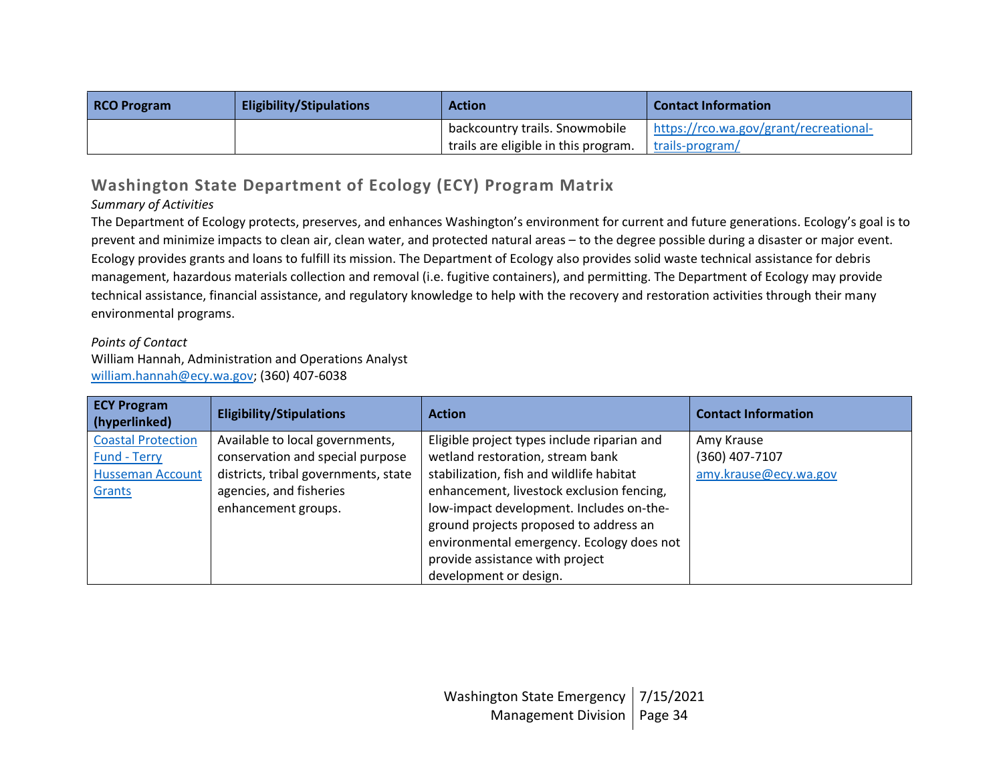| <b>RCO Program</b> | <b>Eligibility/Stipulations</b> | <b>Action</b>                        | <b>Contact Information</b>             |
|--------------------|---------------------------------|--------------------------------------|----------------------------------------|
|                    |                                 | backcountry trails. Snowmobile       | https://rco.wa.gov/grant/recreational- |
|                    |                                 | trails are eligible in this program. | trails-program/                        |

# **Washington State Department of Ecology (ECY) Program Matrix**

## *Summary of Activities*

The Department of Ecology protects, preserves, and enhances Washington's environment for current and future generations. Ecology's goal is to prevent and minimize impacts to clean air, clean water, and protected natural areas – to the degree possible during a disaster or major event. Ecology provides grants and loans to fulfill its mission. The Department of Ecology also provides solid waste technical assistance for debris management, hazardous materials collection and removal (i.e. fugitive containers), and permitting. The Department of Ecology may provide technical assistance, financial assistance, and regulatory knowledge to help with the recovery and restoration activities through their many environmental programs.

#### *Points of Contact*

William Hannah, Administration and Operations Analyst [william.hannah@ecy.wa.gov;](mailto:william.hannah@ecy.wa.gov) (360) 407-6038

| <b>ECY Program</b><br>(hyperlinked) | <b>Eligibility/Stipulations</b>      | <b>Action</b>                               | <b>Contact Information</b> |
|-------------------------------------|--------------------------------------|---------------------------------------------|----------------------------|
| <b>Coastal Protection</b>           | Available to local governments,      | Eligible project types include riparian and | Amy Krause                 |
| <b>Fund - Terry</b>                 | conservation and special purpose     | wetland restoration, stream bank            | (360) 407-7107             |
| <b>Husseman Account</b>             | districts, tribal governments, state | stabilization, fish and wildlife habitat    | amy.krause@ecy.wa.gov      |
| Grants                              | agencies, and fisheries              | enhancement, livestock exclusion fencing,   |                            |
|                                     | enhancement groups.                  | low-impact development. Includes on-the-    |                            |
|                                     |                                      | ground projects proposed to address an      |                            |
|                                     |                                      | environmental emergency. Ecology does not   |                            |
|                                     |                                      | provide assistance with project             |                            |
|                                     |                                      | development or design.                      |                            |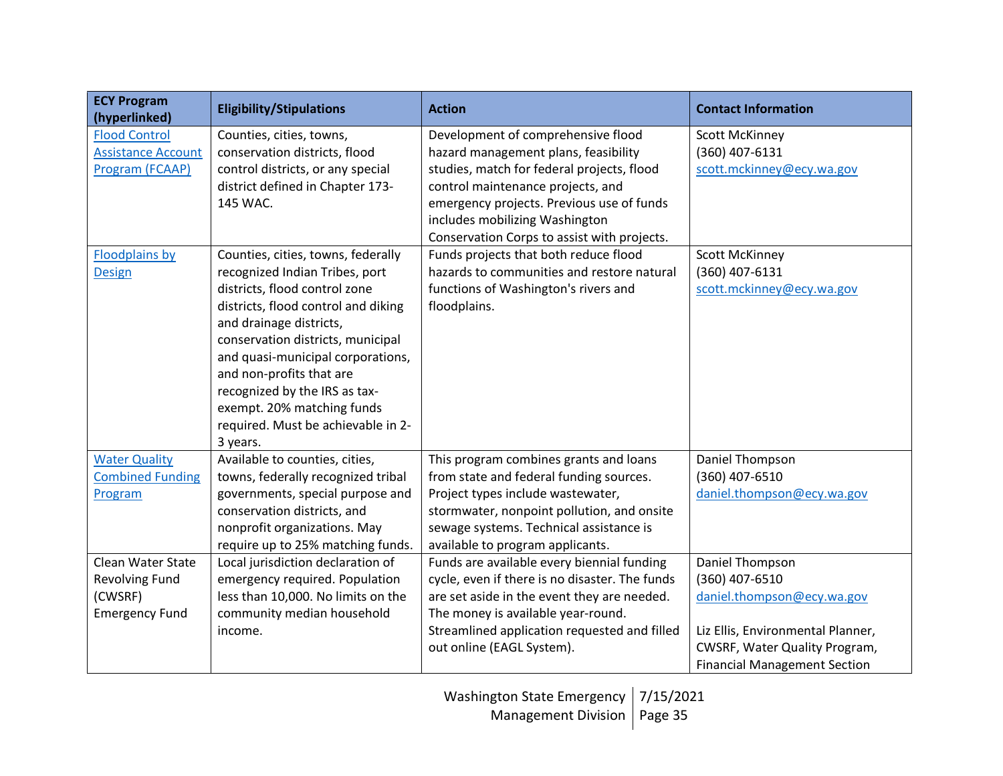| <b>ECY Program</b><br>(hyperlinked)                                     | <b>Eligibility/Stipulations</b>                                                                                                                                                                                                                                                                                                                                                                | <b>Action</b>                                                                                                                                                                                                                                                  | <b>Contact Information</b>                                                                                                                                                   |
|-------------------------------------------------------------------------|------------------------------------------------------------------------------------------------------------------------------------------------------------------------------------------------------------------------------------------------------------------------------------------------------------------------------------------------------------------------------------------------|----------------------------------------------------------------------------------------------------------------------------------------------------------------------------------------------------------------------------------------------------------------|------------------------------------------------------------------------------------------------------------------------------------------------------------------------------|
| <b>Flood Control</b><br><b>Assistance Account</b><br>Program (FCAAP)    | Counties, cities, towns,<br>conservation districts, flood<br>control districts, or any special<br>district defined in Chapter 173-<br>145 WAC.                                                                                                                                                                                                                                                 | Development of comprehensive flood<br>hazard management plans, feasibility<br>studies, match for federal projects, flood<br>control maintenance projects, and<br>emergency projects. Previous use of funds<br>includes mobilizing Washington                   | <b>Scott McKinney</b><br>(360) 407-6131<br>scott.mckinney@ecy.wa.gov                                                                                                         |
| <b>Floodplains by</b><br>Design                                         | Counties, cities, towns, federally<br>recognized Indian Tribes, port<br>districts, flood control zone<br>districts, flood control and diking<br>and drainage districts,<br>conservation districts, municipal<br>and quasi-municipal corporations,<br>and non-profits that are<br>recognized by the IRS as tax-<br>exempt. 20% matching funds<br>required. Must be achievable in 2-<br>3 years. | Conservation Corps to assist with projects.<br>Funds projects that both reduce flood<br>hazards to communities and restore natural<br>functions of Washington's rivers and<br>floodplains.                                                                     | <b>Scott McKinney</b><br>(360) 407-6131<br>scott.mckinney@ecy.wa.gov                                                                                                         |
| <b>Water Quality</b><br><b>Combined Funding</b><br>Program              | Available to counties, cities,<br>towns, federally recognized tribal<br>governments, special purpose and<br>conservation districts, and<br>nonprofit organizations. May<br>require up to 25% matching funds.                                                                                                                                                                                   | This program combines grants and loans<br>from state and federal funding sources.<br>Project types include wastewater,<br>stormwater, nonpoint pollution, and onsite<br>sewage systems. Technical assistance is<br>available to program applicants.            | Daniel Thompson<br>(360) 407-6510<br>daniel.thompson@ecy.wa.gov                                                                                                              |
| Clean Water State<br>Revolving Fund<br>(CWSRF)<br><b>Emergency Fund</b> | Local jurisdiction declaration of<br>emergency required. Population<br>less than 10,000. No limits on the<br>community median household<br>income.                                                                                                                                                                                                                                             | Funds are available every biennial funding<br>cycle, even if there is no disaster. The funds<br>are set aside in the event they are needed.<br>The money is available year-round.<br>Streamlined application requested and filled<br>out online (EAGL System). | Daniel Thompson<br>(360) 407-6510<br>daniel.thompson@ecy.wa.gov<br>Liz Ellis, Environmental Planner,<br>CWSRF, Water Quality Program,<br><b>Financial Management Section</b> |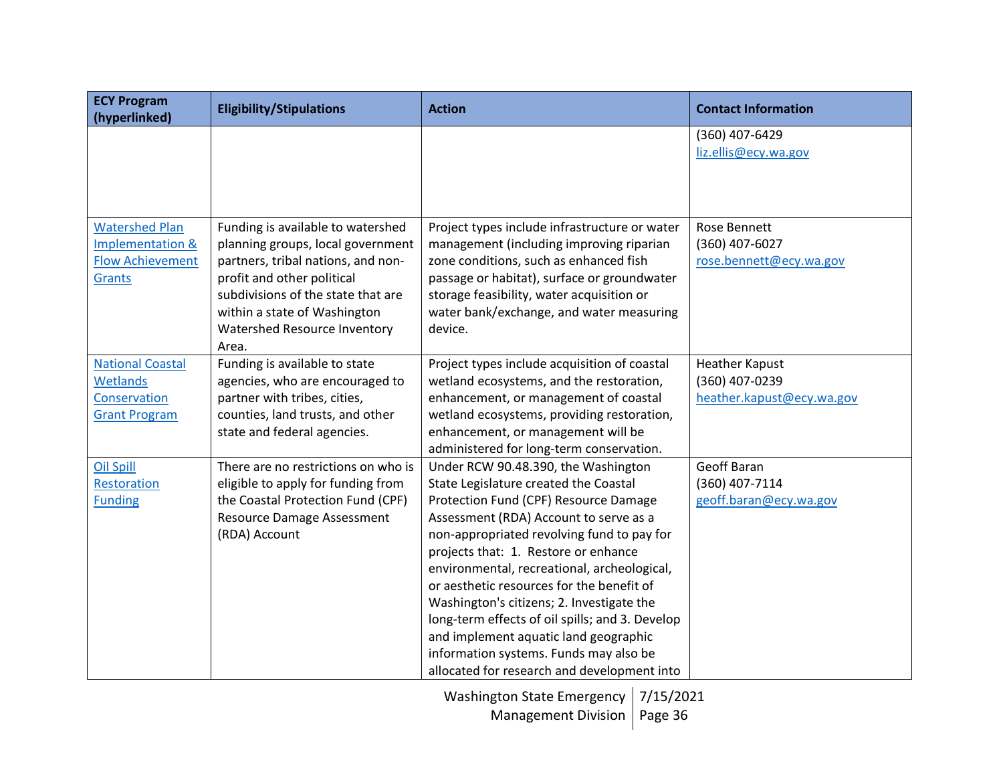| heather.kapust@ecy.wa.gov |
|---------------------------|
|                           |
|                           |
|                           |
|                           |
|                           |
|                           |
|                           |
|                           |
|                           |
|                           |
|                           |
|                           |
|                           |
|                           |
|                           |
| rose.bennett@ecy.wa.gov   |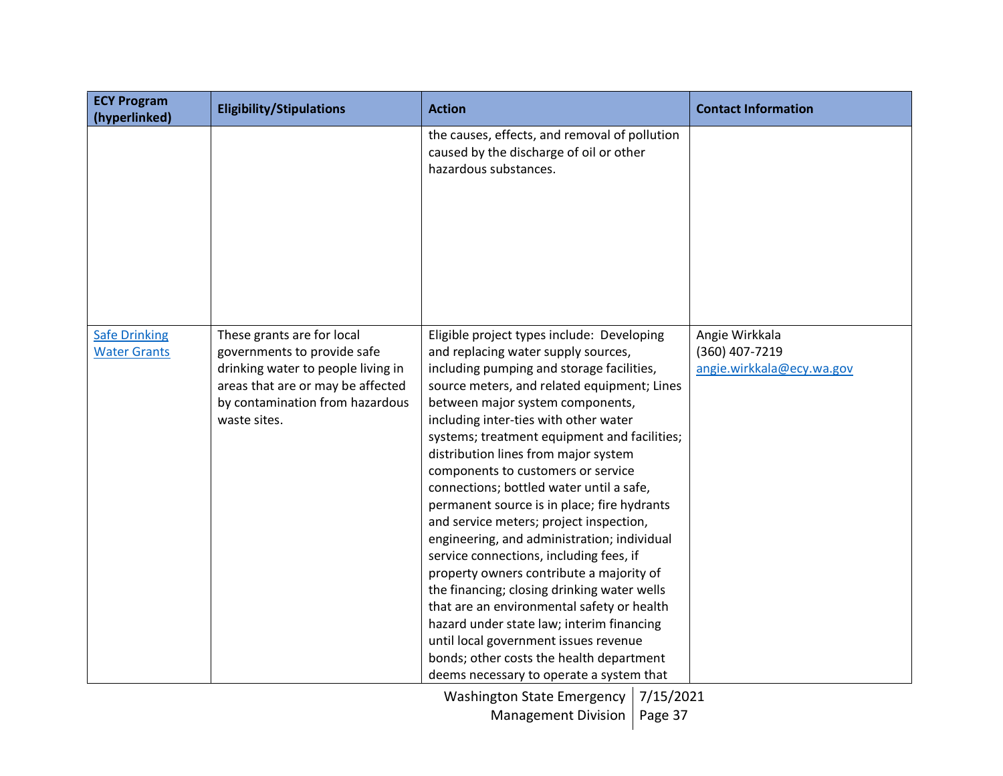| <b>ECY Program</b><br>(hyperlinked)         | <b>Eligibility/Stipulations</b>                                                                                                                                                         | <b>Action</b>                                                                                                                                                                                                                                                                                                                                                                                                                                                                                                                                                                                                                                                                                                                                                                                                                                                                                                                                   | <b>Contact Information</b>                                    |
|---------------------------------------------|-----------------------------------------------------------------------------------------------------------------------------------------------------------------------------------------|-------------------------------------------------------------------------------------------------------------------------------------------------------------------------------------------------------------------------------------------------------------------------------------------------------------------------------------------------------------------------------------------------------------------------------------------------------------------------------------------------------------------------------------------------------------------------------------------------------------------------------------------------------------------------------------------------------------------------------------------------------------------------------------------------------------------------------------------------------------------------------------------------------------------------------------------------|---------------------------------------------------------------|
|                                             |                                                                                                                                                                                         | the causes, effects, and removal of pollution<br>caused by the discharge of oil or other<br>hazardous substances.                                                                                                                                                                                                                                                                                                                                                                                                                                                                                                                                                                                                                                                                                                                                                                                                                               |                                                               |
| <b>Safe Drinking</b><br><b>Water Grants</b> | These grants are for local<br>governments to provide safe<br>drinking water to people living in<br>areas that are or may be affected<br>by contamination from hazardous<br>waste sites. | Eligible project types include: Developing<br>and replacing water supply sources,<br>including pumping and storage facilities,<br>source meters, and related equipment; Lines<br>between major system components,<br>including inter-ties with other water<br>systems; treatment equipment and facilities;<br>distribution lines from major system<br>components to customers or service<br>connections; bottled water until a safe,<br>permanent source is in place; fire hydrants<br>and service meters; project inspection,<br>engineering, and administration; individual<br>service connections, including fees, if<br>property owners contribute a majority of<br>the financing; closing drinking water wells<br>that are an environmental safety or health<br>hazard under state law; interim financing<br>until local government issues revenue<br>bonds; other costs the health department<br>deems necessary to operate a system that | Angie Wirkkala<br>(360) 407-7219<br>angie.wirkkala@ecy.wa.gov |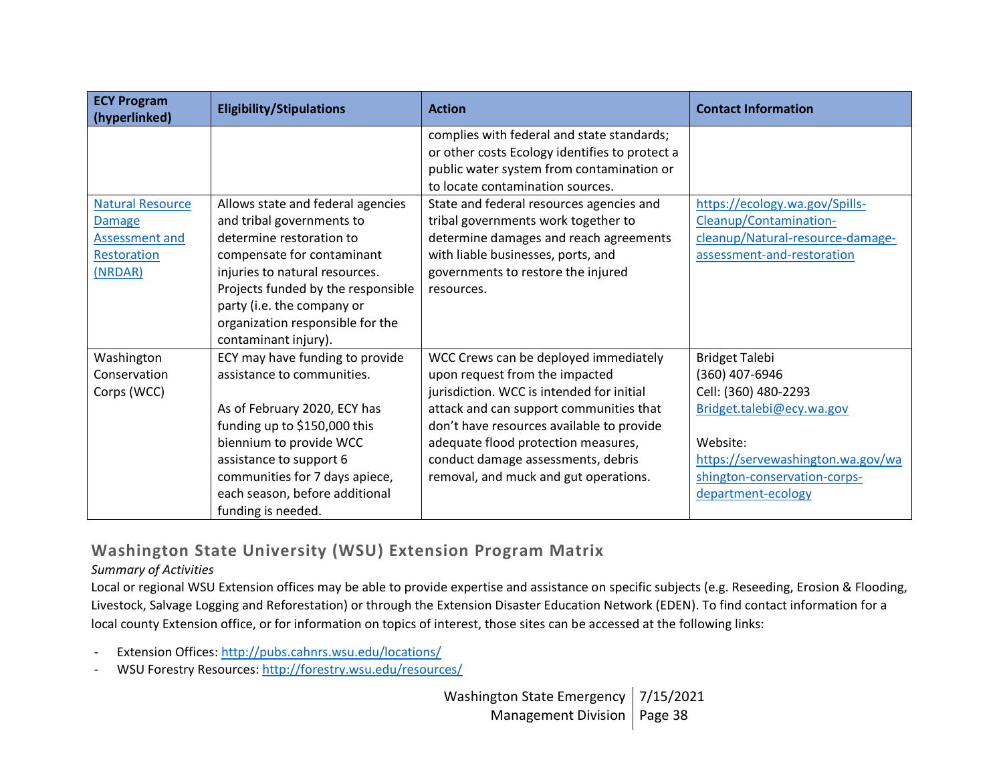| <b>ECY Program</b><br>(hyperlinked) | <b>Eligibility/Stipulations</b>    | <b>Action</b>                                  | <b>Contact Information</b>        |
|-------------------------------------|------------------------------------|------------------------------------------------|-----------------------------------|
|                                     |                                    | complies with federal and state standards;     |                                   |
|                                     |                                    | or other costs Ecology identifies to protect a |                                   |
|                                     |                                    | public water system from contamination or      |                                   |
|                                     |                                    | to locate contamination sources.               |                                   |
| <b>Natural Resource</b>             | Allows state and federal agencies  | State and federal resources agencies and       | https://ecology.wa.gov/Spills-    |
| <b>Damage</b>                       | and tribal governments to          | tribal governments work together to            | Cleanup/Contamination-            |
| Assessment and                      | determine restoration to           | determine damages and reach agreements         | cleanup/Natural-resource-damage-  |
| Restoration                         | compensate for contaminant         | with liable businesses, ports, and             | assessment-and-restoration        |
| (NRDAR)                             | injuries to natural resources.     | governments to restore the injured             |                                   |
|                                     | Projects funded by the responsible | resources.                                     |                                   |
|                                     | party (i.e. the company or         |                                                |                                   |
|                                     | organization responsible for the   |                                                |                                   |
|                                     | contaminant injury).               |                                                |                                   |
| Washington                          | ECY may have funding to provide    | WCC Crews can be deployed immediately          | <b>Bridget Talebi</b>             |
| Conservation                        | assistance to communities.         | upon request from the impacted                 | (360) 407-6946                    |
| Corps (WCC)                         |                                    | jurisdiction. WCC is intended for initial      | Cell: (360) 480-2293              |
|                                     | As of February 2020, ECY has       | attack and can support communities that        | Bridget.talebi@ecy.wa.gov         |
|                                     | funding up to \$150,000 this       | don't have resources available to provide      |                                   |
|                                     | biennium to provide WCC            | adequate flood protection measures,            | Website:                          |
|                                     | assistance to support 6            | conduct damage assessments, debris             | https://servewashington.wa.gov/wa |
|                                     | communities for 7 days apiece,     | removal, and muck and gut operations.          | shington-conservation-corps-      |
|                                     | each season, before additional     |                                                | department-ecology                |
|                                     | funding is needed.                 |                                                |                                   |

## **Washington State University (WSU) Extension Program Matrix**

### *Summary of Activities*

Local or regional WSU Extension offices may be able to provide expertise and assistance on specific subjects (e.g. Reseeding, Erosion & Flooding, Livestock, Salvage Logging and Reforestation) or through the Extension Disaster Education Network (EDEN). To find contact information for a local county Extension office, or for information on topics of interest, those sites can be accessed at the following links:

- Extension Offices[: http://pubs.cahnrs.wsu.edu/locations/](http://pubs.cahnrs.wsu.edu/locations/)
- WSU Forestry Resources:<http://forestry.wsu.edu/resources/>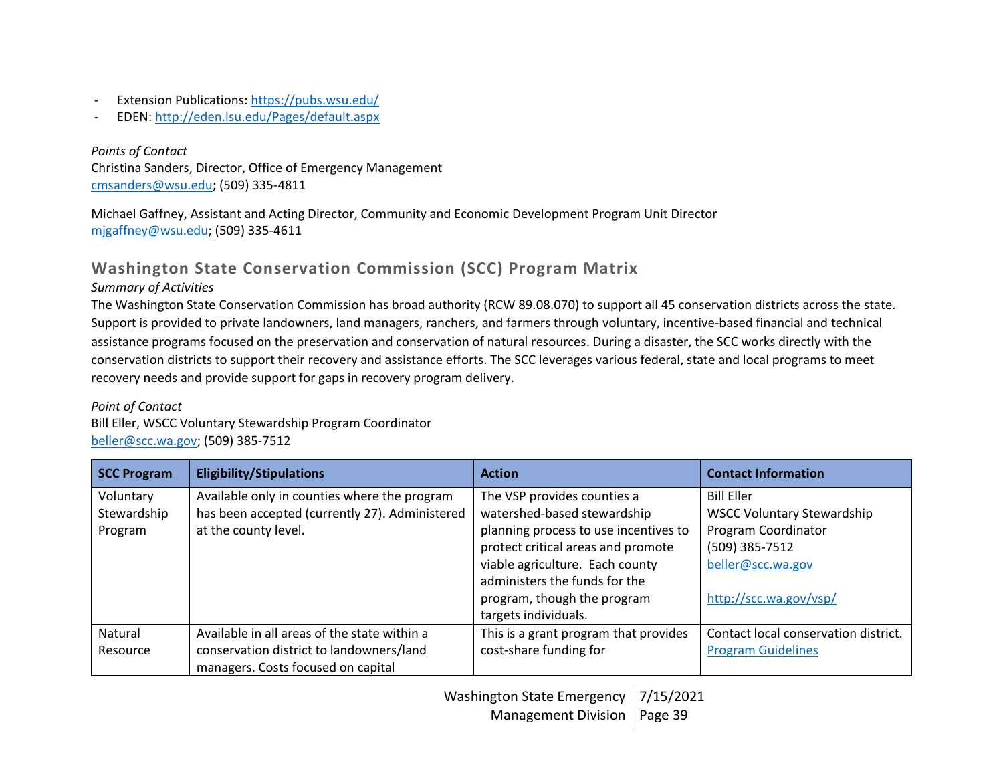- Extension Publications:<https://pubs.wsu.edu/>
- EDEN[: http://eden.lsu.edu/Pages/default.aspx](http://eden.lsu.edu/Pages/default.aspx)

*Points of Contact* Christina Sanders, Director, Office of Emergency Management [cmsanders@wsu.edu;](mailto:cmsanders@wsu.edu) (509) 335-4811

Michael Gaffney, Assistant and Acting Director, Community and Economic Development Program Unit Director [mjgaffney@wsu.edu;](mailto:mjgaffney@wsu.edu) (509) 335-4611

# **Washington State Conservation Commission (SCC) Program Matrix**

### *Summary of Activities*

The Washington State Conservation Commission has broad authority (RCW 89.08.070) to support all 45 conservation districts across the state. Support is provided to private landowners, land managers, ranchers, and farmers through voluntary, incentive-based financial and technical assistance programs focused on the preservation and conservation of natural resources. During a disaster, the SCC works directly with the conservation districts to support their recovery and assistance efforts. The SCC leverages various federal, state and local programs to meet recovery needs and provide support for gaps in recovery program delivery.

### *Point of Contact*

Bill Eller, WSCC Voluntary Stewardship Program Coordinator [beller@scc.wa.gov;](mailto:beller@scc.wa.gov) (509) 385-7512

| <b>SCC Program</b> | <b>Eligibility/Stipulations</b>                | <b>Action</b>                         | <b>Contact Information</b>           |
|--------------------|------------------------------------------------|---------------------------------------|--------------------------------------|
| Voluntary          | Available only in counties where the program   | The VSP provides counties a           | <b>Bill Eller</b>                    |
| Stewardship        | has been accepted (currently 27). Administered | watershed-based stewardship           | <b>WSCC Voluntary Stewardship</b>    |
| Program            | at the county level.                           | planning process to use incentives to | Program Coordinator                  |
|                    |                                                | protect critical areas and promote    | (509) 385-7512                       |
|                    |                                                | viable agriculture. Each county       | beller@scc.wa.gov                    |
|                    |                                                | administers the funds for the         |                                      |
|                    |                                                | program, though the program           | http://scc.wa.gov/vsp/               |
|                    |                                                | targets individuals.                  |                                      |
| Natural            | Available in all areas of the state within a   | This is a grant program that provides | Contact local conservation district. |
| Resource           | conservation district to landowners/land       | cost-share funding for                | <b>Program Guidelines</b>            |
|                    | managers. Costs focused on capital             |                                       |                                      |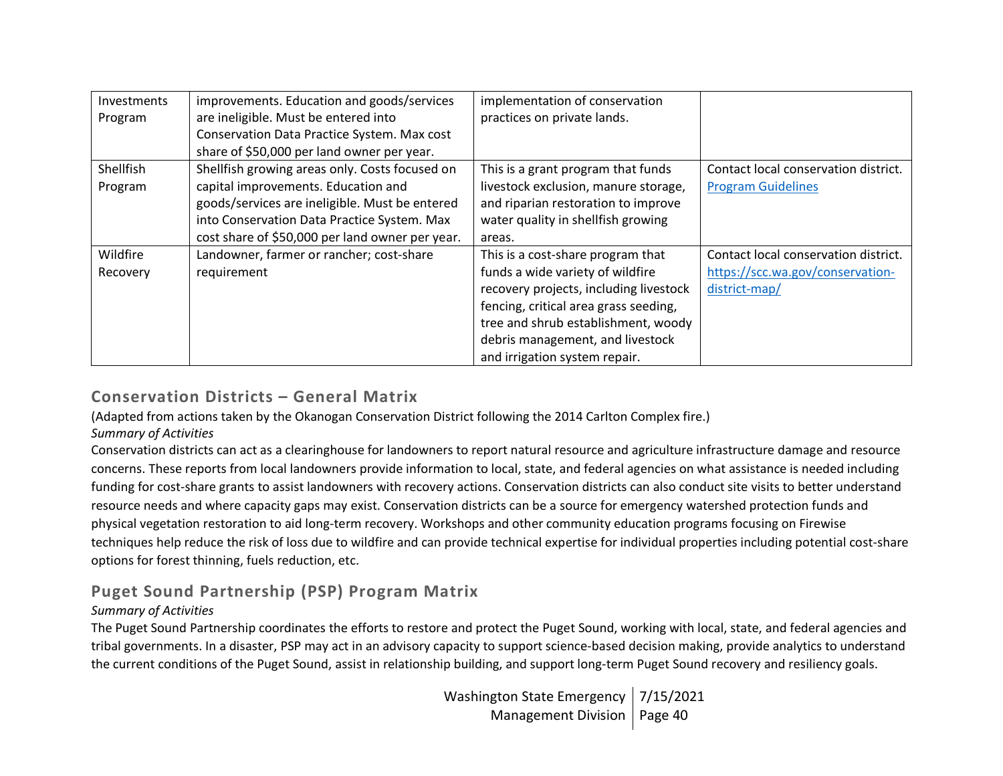| Investments | improvements. Education and goods/services      | implementation of conservation         |                                      |
|-------------|-------------------------------------------------|----------------------------------------|--------------------------------------|
| Program     | are ineligible. Must be entered into            | practices on private lands.            |                                      |
|             | Conservation Data Practice System. Max cost     |                                        |                                      |
|             | share of \$50,000 per land owner per year.      |                                        |                                      |
| Shellfish   | Shellfish growing areas only. Costs focused on  | This is a grant program that funds     | Contact local conservation district. |
| Program     | capital improvements. Education and             | livestock exclusion, manure storage,   | <b>Program Guidelines</b>            |
|             | goods/services are ineligible. Must be entered  | and riparian restoration to improve    |                                      |
|             | into Conservation Data Practice System. Max     | water quality in shellfish growing     |                                      |
|             | cost share of \$50,000 per land owner per year. | areas.                                 |                                      |
| Wildfire    | Landowner, farmer or rancher; cost-share        | This is a cost-share program that      | Contact local conservation district. |
| Recovery    | requirement                                     | funds a wide variety of wildfire       | https://scc.wa.gov/conservation-     |
|             |                                                 | recovery projects, including livestock | district-map/                        |
|             |                                                 | fencing, critical area grass seeding,  |                                      |
|             |                                                 | tree and shrub establishment, woody    |                                      |
|             |                                                 | debris management, and livestock       |                                      |
|             |                                                 | and irrigation system repair.          |                                      |

## **Conservation Districts – General Matrix**

(Adapted from actions taken by the Okanogan Conservation District following the 2014 Carlton Complex fire.)

#### *Summary of Activities*

Conservation districts can act as a clearinghouse for landowners to report natural resource and agriculture infrastructure damage and resource concerns. These reports from local landowners provide information to local, state, and federal agencies on what assistance is needed including funding for cost-share grants to assist landowners with recovery actions. Conservation districts can also conduct site visits to better understand resource needs and where capacity gaps may exist. Conservation districts can be a source for emergency watershed protection funds and physical vegetation restoration to aid long-term recovery. Workshops and other community education programs focusing on Firewise techniques help reduce the risk of loss due to wildfire and can provide technical expertise for individual properties including potential cost-share options for forest thinning, fuels reduction, etc.

# **Puget Sound Partnership (PSP) Program Matrix**

### *Summary of Activities*

The Puget Sound Partnership coordinates the efforts to restore and protect the Puget Sound, working with local, state, and federal agencies and tribal governments. In a disaster, PSP may act in an advisory capacity to support science-based decision making, provide analytics to understand the current conditions of the Puget Sound, assist in relationship building, and support long-term Puget Sound recovery and resiliency goals.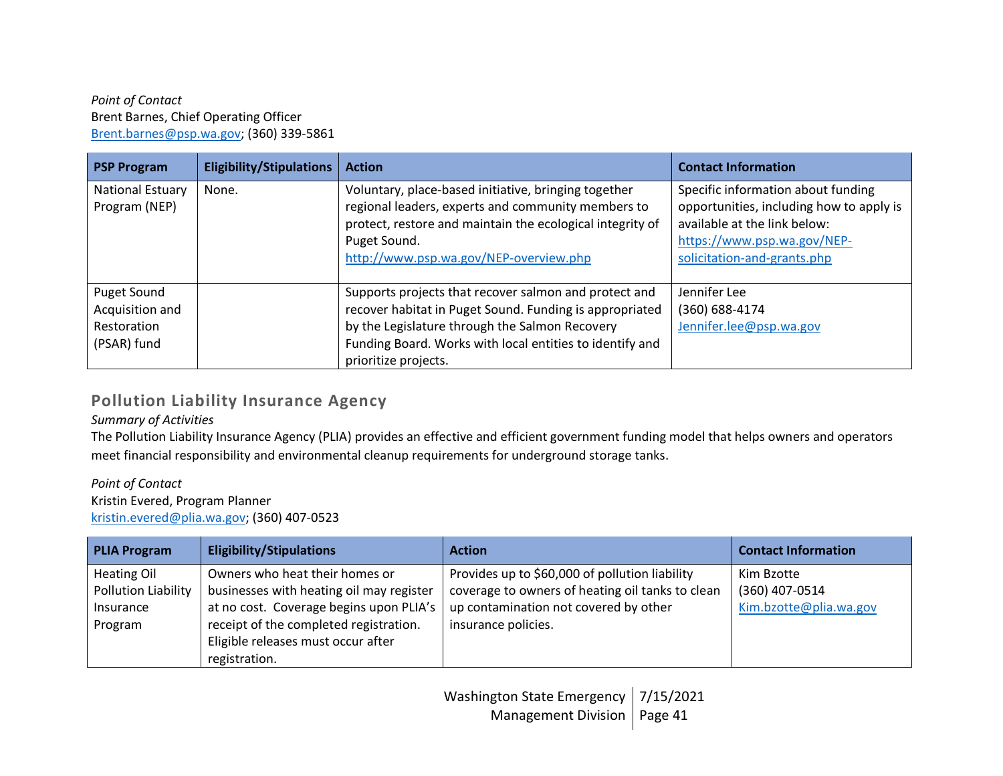#### *Point of Contact* Brent Barnes, Chief Operating Officer [Brent.barnes@psp.wa.gov;](mailto:Brent.barnes@psp.wa.gov) (360) 339-5861

| <b>PSP Program</b>                                           | <b>Eligibility/Stipulations</b> | <b>Action</b>                                                                                                                                                                                                                                          | <b>Contact Information</b>                                                                                                                                                   |
|--------------------------------------------------------------|---------------------------------|--------------------------------------------------------------------------------------------------------------------------------------------------------------------------------------------------------------------------------------------------------|------------------------------------------------------------------------------------------------------------------------------------------------------------------------------|
| National Estuary<br>Program (NEP)                            | None.                           | Voluntary, place-based initiative, bringing together<br>regional leaders, experts and community members to<br>protect, restore and maintain the ecological integrity of<br>Puget Sound.<br>http://www.psp.wa.gov/NEP-overview.php                      | Specific information about funding<br>opportunities, including how to apply is<br>available at the link below:<br>https://www.psp.wa.gov/NEP-<br>solicitation-and-grants.php |
| Puget Sound<br>Acquisition and<br>Restoration<br>(PSAR) fund |                                 | Supports projects that recover salmon and protect and<br>recover habitat in Puget Sound. Funding is appropriated<br>by the Legislature through the Salmon Recovery<br>Funding Board. Works with local entities to identify and<br>prioritize projects. | Jennifer Lee<br>(360) 688-4174<br>Jennifer.lee@psp.wa.gov                                                                                                                    |

## **Pollution Liability Insurance Agency**

### *Summary of Activities*

The Pollution Liability Insurance Agency (PLIA) provides an effective and efficient government funding model that helps owners and operators meet financial responsibility and environmental cleanup requirements for underground storage tanks.

#### *Point of Contact* Kristin Evered, Program Planner [kristin.evered@plia.wa.gov;](mailto:kristin.evered@plia.wa.gov) (360) 407-0523

| <b>PLIA Program</b> | <b>Eligibility/Stipulations</b>          | <b>Action</b>                                    | <b>Contact Information</b> |
|---------------------|------------------------------------------|--------------------------------------------------|----------------------------|
| Heating Oil         | Owners who heat their homes or           | Provides up to \$60,000 of pollution liability   | Kim Bzotte                 |
| Pollution Liability | businesses with heating oil may register | coverage to owners of heating oil tanks to clean | (360) 407-0514             |
| Insurance           | at no cost. Coverage begins upon PLIA's  | up contamination not covered by other            | Kim.bzotte@plia.wa.gov     |
| Program             | receipt of the completed registration.   | insurance policies.                              |                            |
|                     | Eligible releases must occur after       |                                                  |                            |
|                     | registration.                            |                                                  |                            |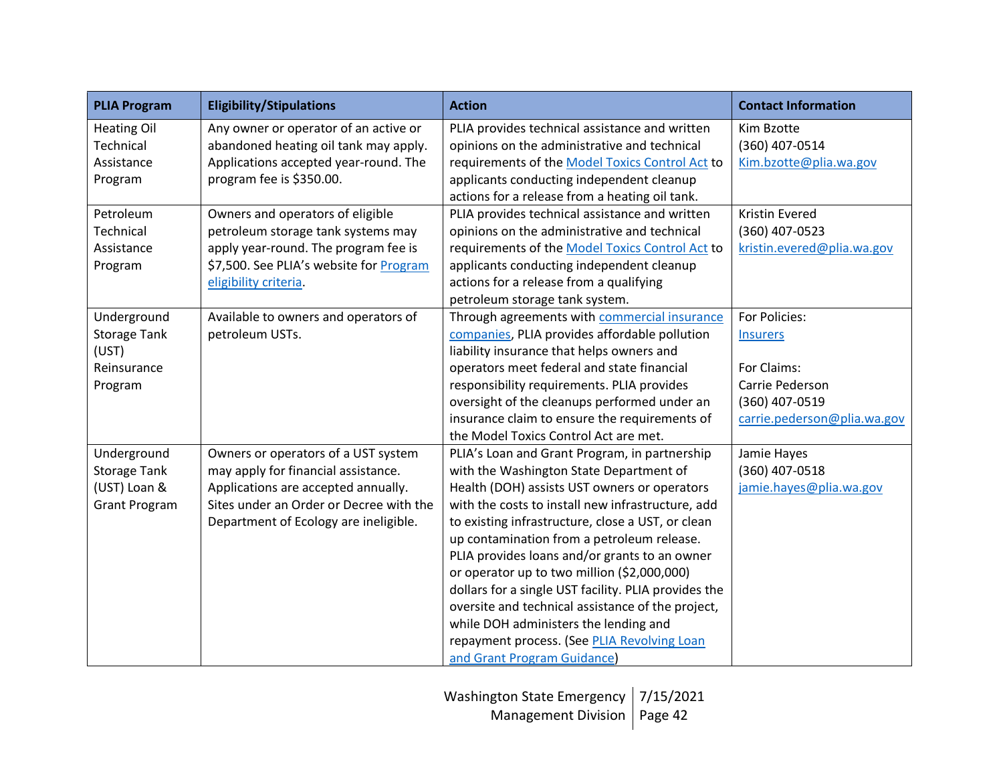| <b>PLIA Program</b>  | <b>Eligibility/Stipulations</b>         | <b>Action</b>                                        | <b>Contact Information</b>  |
|----------------------|-----------------------------------------|------------------------------------------------------|-----------------------------|
| <b>Heating Oil</b>   | Any owner or operator of an active or   | PLIA provides technical assistance and written       | Kim Bzotte                  |
| Technical            | abandoned heating oil tank may apply.   | opinions on the administrative and technical         | (360) 407-0514              |
| Assistance           | Applications accepted year-round. The   | requirements of the Model Toxics Control Act to      | Kim.bzotte@plia.wa.gov      |
| Program              | program fee is \$350.00.                | applicants conducting independent cleanup            |                             |
|                      |                                         | actions for a release from a heating oil tank.       |                             |
| Petroleum            | Owners and operators of eligible        | PLIA provides technical assistance and written       | Kristin Evered              |
| Technical            | petroleum storage tank systems may      | opinions on the administrative and technical         | (360) 407-0523              |
| Assistance           | apply year-round. The program fee is    | requirements of the Model Toxics Control Act to      | kristin.evered@plia.wa.gov  |
| Program              | \$7,500. See PLIA's website for Program | applicants conducting independent cleanup            |                             |
|                      | eligibility criteria.                   | actions for a release from a qualifying              |                             |
|                      |                                         | petroleum storage tank system.                       |                             |
| Underground          | Available to owners and operators of    | Through agreements with commercial insurance         | For Policies:               |
| <b>Storage Tank</b>  | petroleum USTs.                         | companies, PLIA provides affordable pollution        | <b>Insurers</b>             |
| (UST)                |                                         | liability insurance that helps owners and            |                             |
| Reinsurance          |                                         | operators meet federal and state financial           | For Claims:                 |
| Program              |                                         | responsibility requirements. PLIA provides           | Carrie Pederson             |
|                      |                                         | oversight of the cleanups performed under an         | (360) 407-0519              |
|                      |                                         | insurance claim to ensure the requirements of        | carrie.pederson@plia.wa.gov |
|                      |                                         | the Model Toxics Control Act are met.                |                             |
| Underground          | Owners or operators of a UST system     | PLIA's Loan and Grant Program, in partnership        | Jamie Hayes                 |
| <b>Storage Tank</b>  | may apply for financial assistance.     | with the Washington State Department of              | (360) 407-0518              |
| (UST) Loan &         | Applications are accepted annually.     | Health (DOH) assists UST owners or operators         | jamie.hayes@plia.wa.gov     |
| <b>Grant Program</b> | Sites under an Order or Decree with the | with the costs to install new infrastructure, add    |                             |
|                      | Department of Ecology are ineligible.   | to existing infrastructure, close a UST, or clean    |                             |
|                      |                                         | up contamination from a petroleum release.           |                             |
|                      |                                         | PLIA provides loans and/or grants to an owner        |                             |
|                      |                                         | or operator up to two million (\$2,000,000)          |                             |
|                      |                                         | dollars for a single UST facility. PLIA provides the |                             |
|                      |                                         | oversite and technical assistance of the project,    |                             |
|                      |                                         | while DOH administers the lending and                |                             |
|                      |                                         | repayment process. (See PLIA Revolving Loan          |                             |
|                      |                                         | and Grant Program Guidance)                          |                             |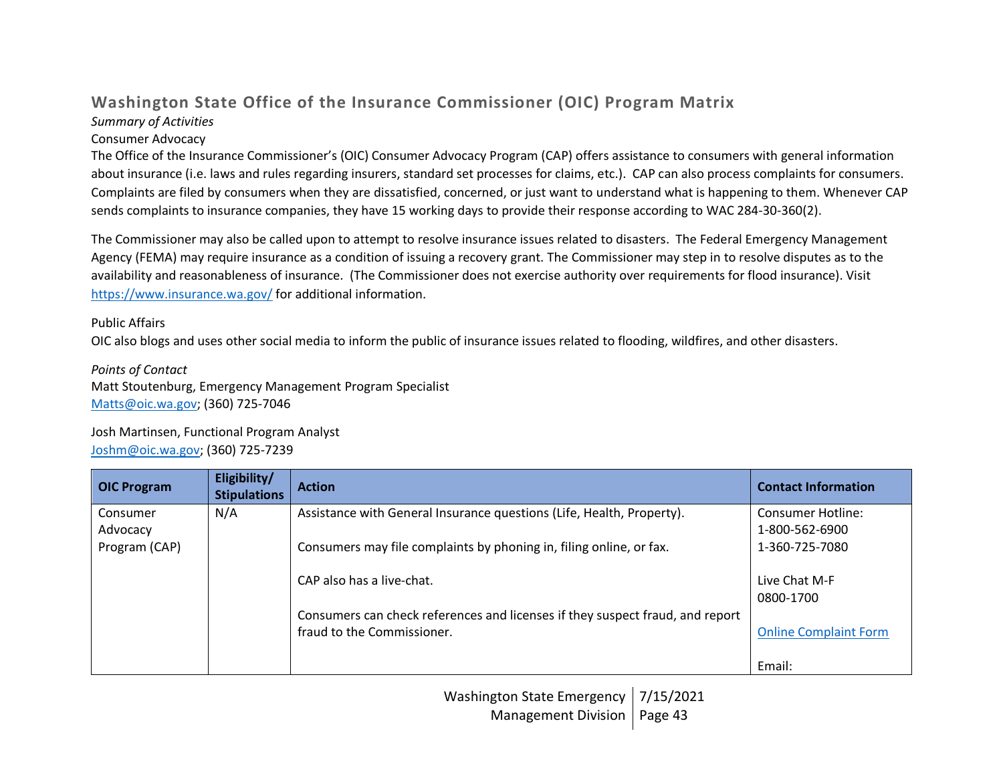## **Washington State Office of the Insurance Commissioner (OIC) Program Matrix** *Summary of Activities*

### Consumer Advocacy

The Office of the Insurance Commissioner's (OIC) Consumer Advocacy Program (CAP) offers assistance to consumers with general information about insurance (i.e. laws and rules regarding insurers, standard set processes for claims, etc.). CAP can also process complaints for consumers. Complaints are filed by consumers when they are dissatisfied, concerned, or just want to understand what is happening to them. Whenever CAP sends complaints to insurance companies, they have 15 working days to provide their response according to WAC 284-30-360(2).

The Commissioner may also be called upon to attempt to resolve insurance issues related to disasters. The Federal Emergency Management Agency (FEMA) may require insurance as a condition of issuing a recovery grant. The Commissioner may step in to resolve disputes as to the availability and reasonableness of insurance. (The Commissioner does not exercise authority over requirements for flood insurance). Visit <https://www.insurance.wa.gov/> for additional information.

### Public Affairs

OIC also blogs and uses other social media to inform the public of insurance issues related to flooding, wildfires, and other disasters.

*Points of Contact* Matt Stoutenburg, Emergency Management Program Specialist [Matts@oic.wa.gov;](mailto:Matts@oic.wa.gov) (360) 725-7046

Josh Martinsen, Functional Program Analyst [Joshm@oic.wa.gov;](mailto:Joshm@oic.wa.gov) (360) 725-7239

| <b>OIC Program</b> | Eligibility/<br><b>Stipulations</b> | <b>Action</b>                                                                 | <b>Contact Information</b>   |
|--------------------|-------------------------------------|-------------------------------------------------------------------------------|------------------------------|
| Consumer           | N/A                                 | Assistance with General Insurance questions (Life, Health, Property).         | Consumer Hotline:            |
| Advocacy           |                                     |                                                                               | 1-800-562-6900               |
| Program (CAP)      |                                     | Consumers may file complaints by phoning in, filing online, or fax.           | 1-360-725-7080               |
|                    |                                     | CAP also has a live-chat.                                                     | Live Chat M-F                |
|                    |                                     |                                                                               | 0800-1700                    |
|                    |                                     | Consumers can check references and licenses if they suspect fraud, and report |                              |
|                    |                                     | fraud to the Commissioner.                                                    | <b>Online Complaint Form</b> |
|                    |                                     |                                                                               | Email:                       |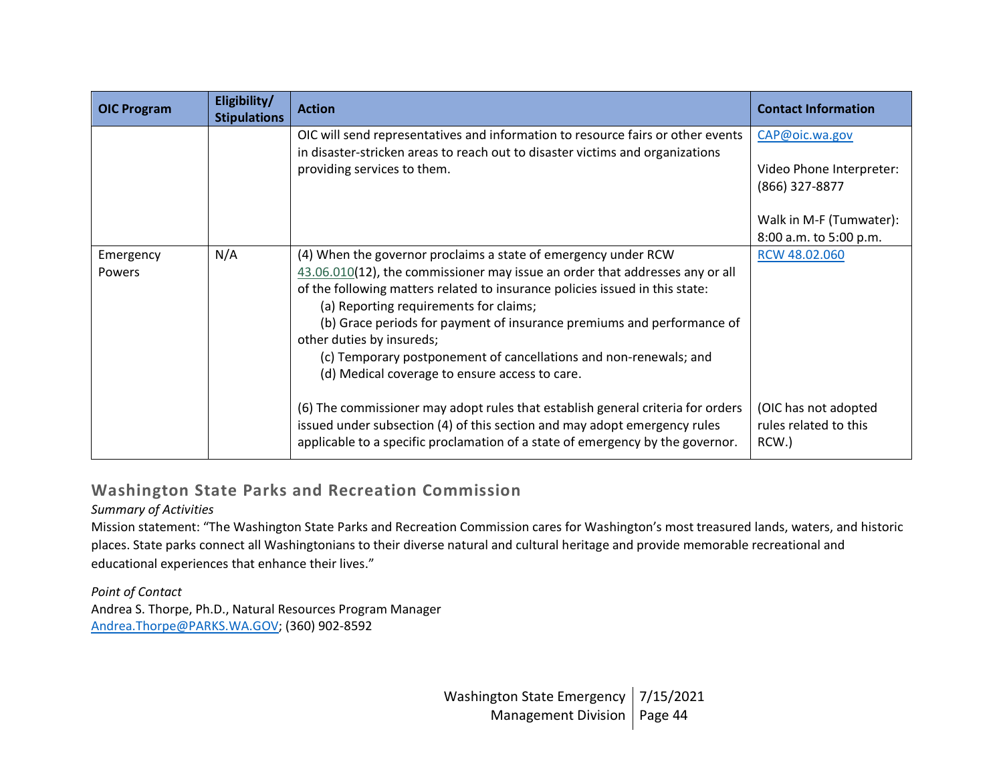| <b>OIC Program</b> | Eligibility/<br><b>Stipulations</b> | <b>Action</b>                                                                                                                                                                                                                                  | <b>Contact Information</b>                             |
|--------------------|-------------------------------------|------------------------------------------------------------------------------------------------------------------------------------------------------------------------------------------------------------------------------------------------|--------------------------------------------------------|
|                    |                                     | OIC will send representatives and information to resource fairs or other events                                                                                                                                                                | CAP@oic.wa.gov                                         |
|                    |                                     | in disaster-stricken areas to reach out to disaster victims and organizations<br>providing services to them.                                                                                                                                   | Video Phone Interpreter:                               |
|                    |                                     |                                                                                                                                                                                                                                                | (866) 327-8877                                         |
|                    |                                     |                                                                                                                                                                                                                                                | Walk in M-F (Tumwater):                                |
|                    |                                     |                                                                                                                                                                                                                                                | 8:00 a.m. to 5:00 p.m.                                 |
| Emergency          | N/A                                 | (4) When the governor proclaims a state of emergency under RCW                                                                                                                                                                                 | RCW 48.02.060                                          |
| Powers             |                                     | 43.06.010(12), the commissioner may issue an order that addresses any or all                                                                                                                                                                   |                                                        |
|                    |                                     | of the following matters related to insurance policies issued in this state:<br>(a) Reporting requirements for claims;                                                                                                                         |                                                        |
|                    |                                     | (b) Grace periods for payment of insurance premiums and performance of                                                                                                                                                                         |                                                        |
|                    |                                     | other duties by insureds;                                                                                                                                                                                                                      |                                                        |
|                    |                                     | (c) Temporary postponement of cancellations and non-renewals; and                                                                                                                                                                              |                                                        |
|                    |                                     | (d) Medical coverage to ensure access to care.                                                                                                                                                                                                 |                                                        |
|                    |                                     | (6) The commissioner may adopt rules that establish general criteria for orders<br>issued under subsection (4) of this section and may adopt emergency rules<br>applicable to a specific proclamation of a state of emergency by the governor. | (OIC has not adopted<br>rules related to this<br>RCW.) |

## **Washington State Parks and Recreation Commission**

## *Summary of Activities*

Mission statement: "The Washington State Parks and Recreation Commission cares for Washington's most treasured lands, waters, and historic places. State parks connect all Washingtonians to their diverse natural and cultural heritage and provide memorable recreational and educational experiences that enhance their lives."

*Point of Contact* Andrea S. Thorpe, Ph.D., Natural Resources Program Manager [Andrea.Thorpe@PARKS.WA.GOV;](mailto:Andrea.Thorpe@PARKS.WA.GOV) (360) 902-8592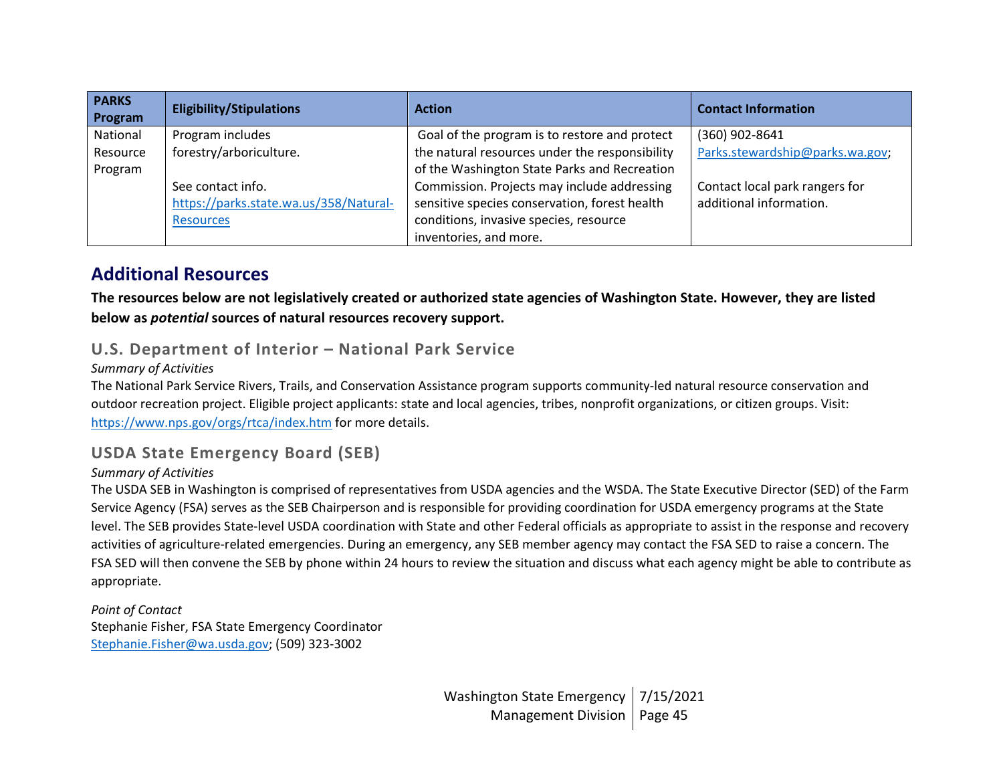| <b>PARKS</b><br>Program | <b>Eligibility/Stipulations</b>        | <b>Action</b>                                  | <b>Contact Information</b>      |
|-------------------------|----------------------------------------|------------------------------------------------|---------------------------------|
| National                | Program includes                       | Goal of the program is to restore and protect  | (360) 902-8641                  |
| Resource                | forestry/arboriculture.                | the natural resources under the responsibility | Parks.stewardship@parks.wa.gov; |
| Program                 |                                        | of the Washington State Parks and Recreation   |                                 |
|                         | See contact info.                      | Commission. Projects may include addressing    | Contact local park rangers for  |
|                         | https://parks.state.wa.us/358/Natural- | sensitive species conservation, forest health  | additional information.         |
|                         | <b>Resources</b>                       | conditions, invasive species, resource         |                                 |
|                         |                                        | inventories, and more.                         |                                 |

## **Additional Resources**

**The resources below are not legislatively created or authorized state agencies of Washington State. However, they are listed below as** *potential* **sources of natural resources recovery support.**

## **U.S. Department of Interior – National Park Service**

### *Summary of Activities*

The National Park Service Rivers, Trails, and Conservation Assistance program supports community-led natural resource conservation and outdoor recreation project. Eligible project applicants: state and local agencies, tribes, nonprofit organizations, or citizen groups. Visit: <https://www.nps.gov/orgs/rtca/index.htm> for more details.

## **USDA State Emergency Board (SEB)**

#### *Summary of Activities*

The USDA SEB in Washington is comprised of representatives from USDA agencies and the WSDA. The State Executive Director (SED) of the Farm Service Agency (FSA) serves as the SEB Chairperson and is responsible for providing coordination for USDA emergency programs at the State level. The SEB provides State-level USDA coordination with State and other Federal officials as appropriate to assist in the response and recovery activities of agriculture-related emergencies. During an emergency, any SEB member agency may contact the FSA SED to raise a concern. The FSA SED will then convene the SEB by phone within 24 hours to review the situation and discuss what each agency might be able to contribute as appropriate.

*Point of Contact* Stephanie Fisher, FSA State Emergency Coordinator [Stephanie.Fisher@wa.usda.gov;](mailto:Stephanie.Fisher@wa.usda.gov) (509) 323-3002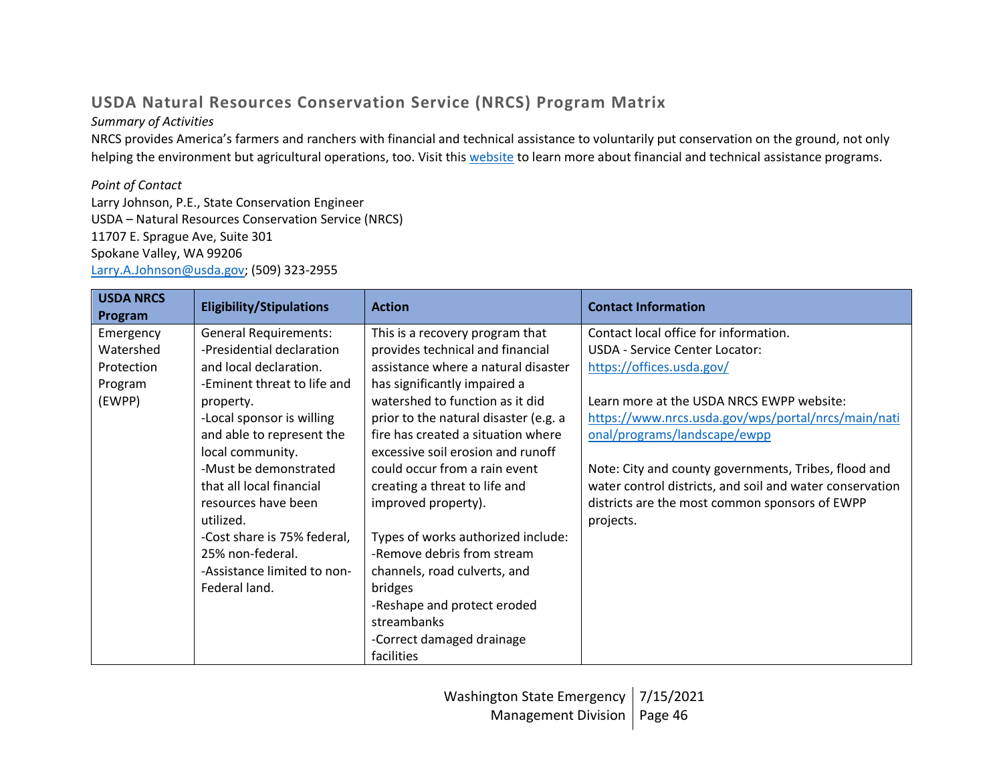# **USDA Natural Resources Conservation Service (NRCS) Program Matrix**

## *Summary of Activities*

NRCS provides America's farmers and ranchers with financial and technical assistance to voluntarily put conservation on the ground, not only helping the environment but agricultural operations, too. Visit this [website](https://www.nrcs.usda.gov/wps/portal/nrcs/main/national/about/) to learn more about financial and technical assistance programs.

### *Point of Contact*

Larry Johnson, P.E., State Conservation Engineer USDA – Natural Resources Conservation Service (NRCS) 11707 E. Sprague Ave, Suite 301 Spokane Valley, WA 99206 [Larry.A.Johnson@usda.gov;](mailto:Larry.A.Johnson@usda.gov) (509) 323-2955

| <b>USDA NRCS</b><br>Program | <b>Eligibility/Stipulations</b> | <b>Action</b>                         | <b>Contact Information</b>                               |
|-----------------------------|---------------------------------|---------------------------------------|----------------------------------------------------------|
| Emergency                   | <b>General Requirements:</b>    | This is a recovery program that       | Contact local office for information.                    |
| Watershed                   | -Presidential declaration       | provides technical and financial      | <b>USDA - Service Center Locator:</b>                    |
| Protection                  | and local declaration.          | assistance where a natural disaster   | https://offices.usda.gov/                                |
| Program                     | -Eminent threat to life and     | has significantly impaired a          |                                                          |
| (EWPP)                      | property.                       | watershed to function as it did       | Learn more at the USDA NRCS EWPP website:                |
|                             | -Local sponsor is willing       | prior to the natural disaster (e.g. a | https://www.nrcs.usda.gov/wps/portal/nrcs/main/nati      |
|                             | and able to represent the       | fire has created a situation where    | onal/programs/landscape/ewpp                             |
|                             | local community.                | excessive soil erosion and runoff     |                                                          |
|                             | -Must be demonstrated           | could occur from a rain event         | Note: City and county governments, Tribes, flood and     |
|                             | that all local financial        | creating a threat to life and         | water control districts, and soil and water conservation |
|                             | resources have been             | improved property).                   | districts are the most common sponsors of EWPP           |
|                             | utilized.                       |                                       | projects.                                                |
|                             | -Cost share is 75% federal,     | Types of works authorized include:    |                                                          |
|                             | 25% non-federal.                | -Remove debris from stream            |                                                          |
|                             | -Assistance limited to non-     | channels, road culverts, and          |                                                          |
|                             | Federal land.                   | bridges                               |                                                          |
|                             |                                 | -Reshape and protect eroded           |                                                          |
|                             |                                 | streambanks                           |                                                          |
|                             |                                 | -Correct damaged drainage             |                                                          |
|                             |                                 | facilities                            |                                                          |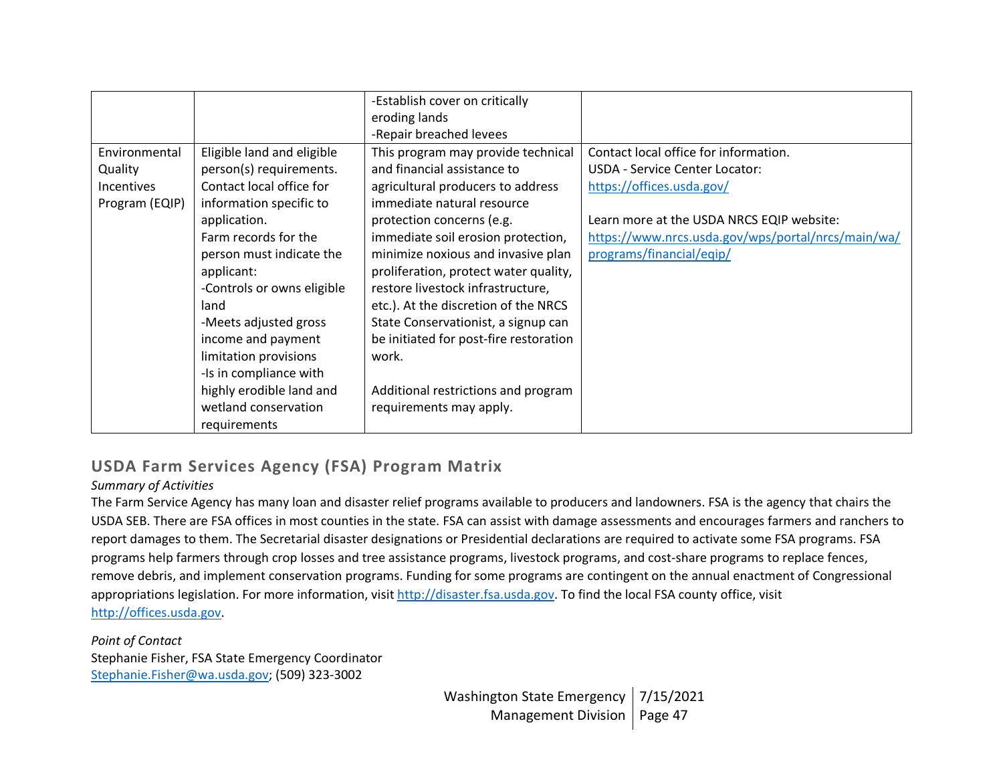|                |                            | -Establish cover on critically         |                                                    |
|----------------|----------------------------|----------------------------------------|----------------------------------------------------|
|                |                            | eroding lands                          |                                                    |
|                |                            | -Repair breached levees                |                                                    |
| Environmental  | Eligible land and eligible | This program may provide technical     | Contact local office for information.              |
| Quality        | person(s) requirements.    | and financial assistance to            | <b>USDA - Service Center Locator:</b>              |
| Incentives     | Contact local office for   | agricultural producers to address      | https://offices.usda.gov/                          |
| Program (EQIP) | information specific to    | immediate natural resource             |                                                    |
|                | application.               | protection concerns (e.g.              | Learn more at the USDA NRCS EQIP website:          |
|                | Farm records for the       | immediate soil erosion protection,     | https://www.nrcs.usda.gov/wps/portal/nrcs/main/wa/ |
|                | person must indicate the   | minimize noxious and invasive plan     | programs/financial/eqip/                           |
|                | applicant:                 | proliferation, protect water quality,  |                                                    |
|                | -Controls or owns eligible | restore livestock infrastructure,      |                                                    |
|                | land                       | etc.). At the discretion of the NRCS   |                                                    |
|                | -Meets adjusted gross      | State Conservationist, a signup can    |                                                    |
|                | income and payment         | be initiated for post-fire restoration |                                                    |
|                | limitation provisions      | work.                                  |                                                    |
|                | -Is in compliance with     |                                        |                                                    |
|                | highly erodible land and   | Additional restrictions and program    |                                                    |
|                | wetland conservation       | requirements may apply.                |                                                    |
|                | requirements               |                                        |                                                    |

## **USDA Farm Services Agency (FSA) Program Matrix**

#### *Summary of Activities*

The Farm Service Agency has many loan and disaster relief programs available to producers and landowners. FSA is the agency that chairs the USDA SEB. There are FSA offices in most counties in the state. FSA can assist with damage assessments and encourages farmers and ranchers to report damages to them. The Secretarial disaster designations or Presidential declarations are required to activate some FSA programs. FSA programs help farmers through crop losses and tree assistance programs, livestock programs, and cost-share programs to replace fences, remove debris, and implement conservation programs. Funding for some programs are contingent on the annual enactment of Congressional appropriations legislation. For more information, visi[t http://disaster.fsa.usda.gov.](http://disaster.fsa.usda.gov/) To find the local FSA county office, visit [http://offices.usda.gov.](http://offices.usda.gov/)

*Point of Contact* Stephanie Fisher, FSA State Emergency Coordinator [Stephanie.Fisher@wa.usda.gov;](mailto:Stephanie.Fisher@wa.usda.gov) (509) 323-3002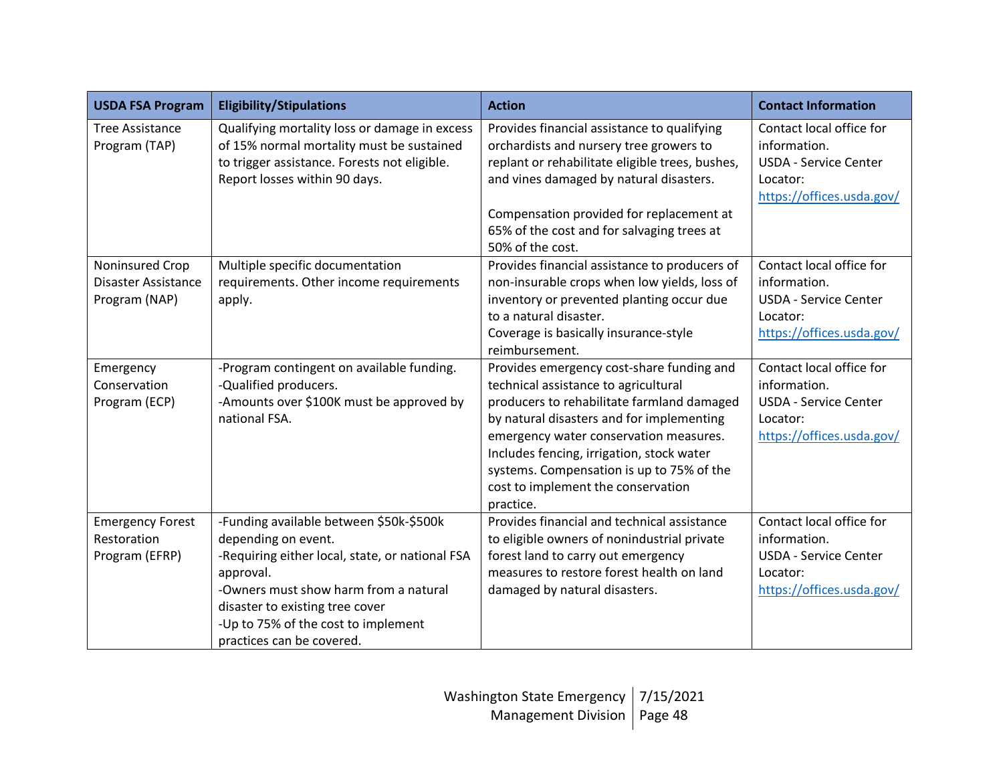| <b>USDA FSA Program</b>                                        | <b>Eligibility/Stipulations</b>                                                                                                                                                                                                                                                | <b>Action</b>                                                                                                                                                                                                                                                                                                                                                       | <b>Contact Information</b>                                                                                        |
|----------------------------------------------------------------|--------------------------------------------------------------------------------------------------------------------------------------------------------------------------------------------------------------------------------------------------------------------------------|---------------------------------------------------------------------------------------------------------------------------------------------------------------------------------------------------------------------------------------------------------------------------------------------------------------------------------------------------------------------|-------------------------------------------------------------------------------------------------------------------|
| <b>Tree Assistance</b><br>Program (TAP)                        | Qualifying mortality loss or damage in excess<br>of 15% normal mortality must be sustained<br>to trigger assistance. Forests not eligible.<br>Report losses within 90 days.                                                                                                    | Provides financial assistance to qualifying<br>orchardists and nursery tree growers to<br>replant or rehabilitate eligible trees, bushes,<br>and vines damaged by natural disasters.<br>Compensation provided for replacement at<br>65% of the cost and for salvaging trees at<br>50% of the cost.                                                                  | Contact local office for<br>information.<br><b>USDA - Service Center</b><br>Locator:<br>https://offices.usda.gov/ |
| Noninsured Crop<br><b>Disaster Assistance</b><br>Program (NAP) | Multiple specific documentation<br>requirements. Other income requirements<br>apply.                                                                                                                                                                                           | Provides financial assistance to producers of<br>non-insurable crops when low yields, loss of<br>inventory or prevented planting occur due<br>to a natural disaster.<br>Coverage is basically insurance-style<br>reimbursement.                                                                                                                                     | Contact local office for<br>information.<br><b>USDA - Service Center</b><br>Locator:<br>https://offices.usda.gov/ |
| Emergency<br>Conservation<br>Program (ECP)                     | -Program contingent on available funding.<br>-Qualified producers.<br>-Amounts over \$100K must be approved by<br>national FSA.                                                                                                                                                | Provides emergency cost-share funding and<br>technical assistance to agricultural<br>producers to rehabilitate farmland damaged<br>by natural disasters and for implementing<br>emergency water conservation measures.<br>Includes fencing, irrigation, stock water<br>systems. Compensation is up to 75% of the<br>cost to implement the conservation<br>practice. | Contact local office for<br>information.<br><b>USDA - Service Center</b><br>Locator:<br>https://offices.usda.gov/ |
| <b>Emergency Forest</b><br>Restoration<br>Program (EFRP)       | -Funding available between \$50k-\$500k<br>depending on event.<br>-Requiring either local, state, or national FSA<br>approval.<br>-Owners must show harm from a natural<br>disaster to existing tree cover<br>-Up to 75% of the cost to implement<br>practices can be covered. | Provides financial and technical assistance<br>to eligible owners of nonindustrial private<br>forest land to carry out emergency<br>measures to restore forest health on land<br>damaged by natural disasters.                                                                                                                                                      | Contact local office for<br>information.<br><b>USDA - Service Center</b><br>Locator:<br>https://offices.usda.gov/ |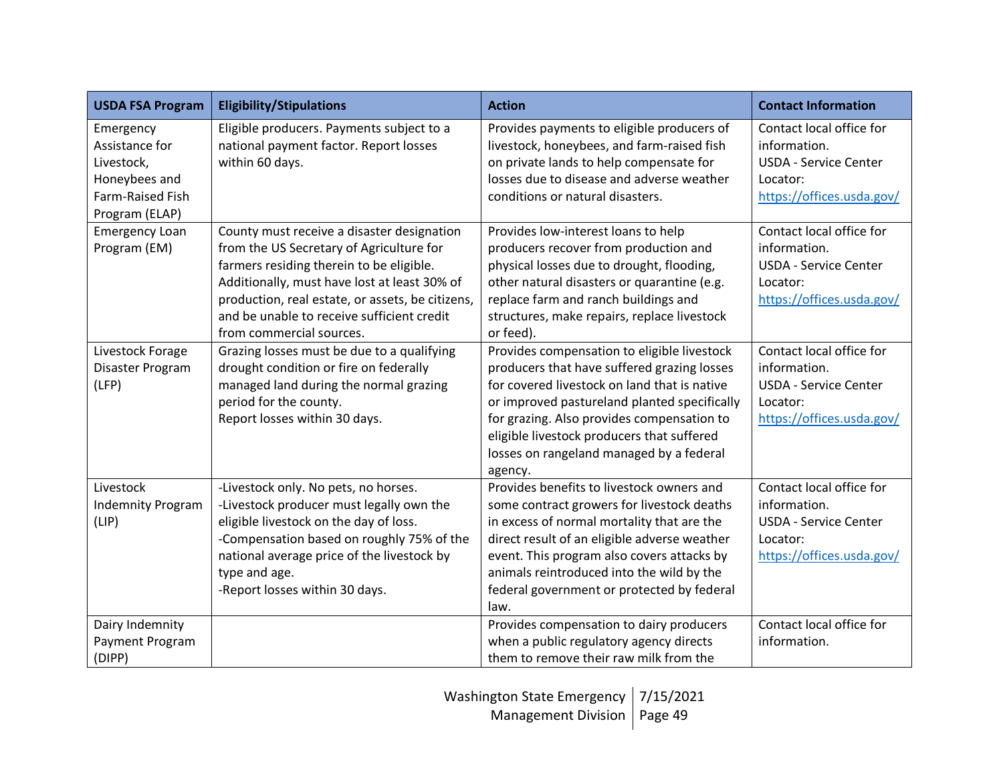| <b>USDA FSA Program</b>                                                                          | <b>Eligibility/Stipulations</b>                                                                                                                                                                                                                                                                                  | <b>Action</b>                                                                                                                                                                                                                                                                                                                                 | <b>Contact Information</b>                                                                                        |
|--------------------------------------------------------------------------------------------------|------------------------------------------------------------------------------------------------------------------------------------------------------------------------------------------------------------------------------------------------------------------------------------------------------------------|-----------------------------------------------------------------------------------------------------------------------------------------------------------------------------------------------------------------------------------------------------------------------------------------------------------------------------------------------|-------------------------------------------------------------------------------------------------------------------|
| Emergency<br>Assistance for<br>Livestock,<br>Honeybees and<br>Farm-Raised Fish<br>Program (ELAP) | Eligible producers. Payments subject to a<br>national payment factor. Report losses<br>within 60 days.                                                                                                                                                                                                           | Provides payments to eligible producers of<br>livestock, honeybees, and farm-raised fish<br>on private lands to help compensate for<br>losses due to disease and adverse weather<br>conditions or natural disasters.                                                                                                                          | Contact local office for<br>information.<br><b>USDA - Service Center</b><br>Locator:<br>https://offices.usda.gov/ |
| <b>Emergency Loan</b><br>Program (EM)                                                            | County must receive a disaster designation<br>from the US Secretary of Agriculture for<br>farmers residing therein to be eligible.<br>Additionally, must have lost at least 30% of<br>production, real estate, or assets, be citizens,<br>and be unable to receive sufficient credit<br>from commercial sources. | Provides low-interest loans to help<br>producers recover from production and<br>physical losses due to drought, flooding,<br>other natural disasters or quarantine (e.g.<br>replace farm and ranch buildings and<br>structures, make repairs, replace livestock<br>or feed).                                                                  | Contact local office for<br>information.<br><b>USDA - Service Center</b><br>Locator:<br>https://offices.usda.gov/ |
| Livestock Forage<br>Disaster Program<br>(LFP)                                                    | Grazing losses must be due to a qualifying<br>drought condition or fire on federally<br>managed land during the normal grazing<br>period for the county.<br>Report losses within 30 days.                                                                                                                        | Provides compensation to eligible livestock<br>producers that have suffered grazing losses<br>for covered livestock on land that is native<br>or improved pastureland planted specifically<br>for grazing. Also provides compensation to<br>eligible livestock producers that suffered<br>losses on rangeland managed by a federal<br>agency. | Contact local office for<br>information.<br><b>USDA - Service Center</b><br>Locator:<br>https://offices.usda.gov/ |
| Livestock<br><b>Indemnity Program</b><br>(LIP)                                                   | -Livestock only. No pets, no horses.<br>-Livestock producer must legally own the<br>eligible livestock on the day of loss.<br>-Compensation based on roughly 75% of the<br>national average price of the livestock by<br>type and age.<br>-Report losses within 30 days.                                         | Provides benefits to livestock owners and<br>some contract growers for livestock deaths<br>in excess of normal mortality that are the<br>direct result of an eligible adverse weather<br>event. This program also covers attacks by<br>animals reintroduced into the wild by the<br>federal government or protected by federal<br>law.        | Contact local office for<br>information.<br><b>USDA - Service Center</b><br>Locator:<br>https://offices.usda.gov/ |
| Dairy Indemnity<br>Payment Program<br>(DIPP)                                                     |                                                                                                                                                                                                                                                                                                                  | Provides compensation to dairy producers<br>when a public regulatory agency directs<br>them to remove their raw milk from the                                                                                                                                                                                                                 | Contact local office for<br>information.                                                                          |